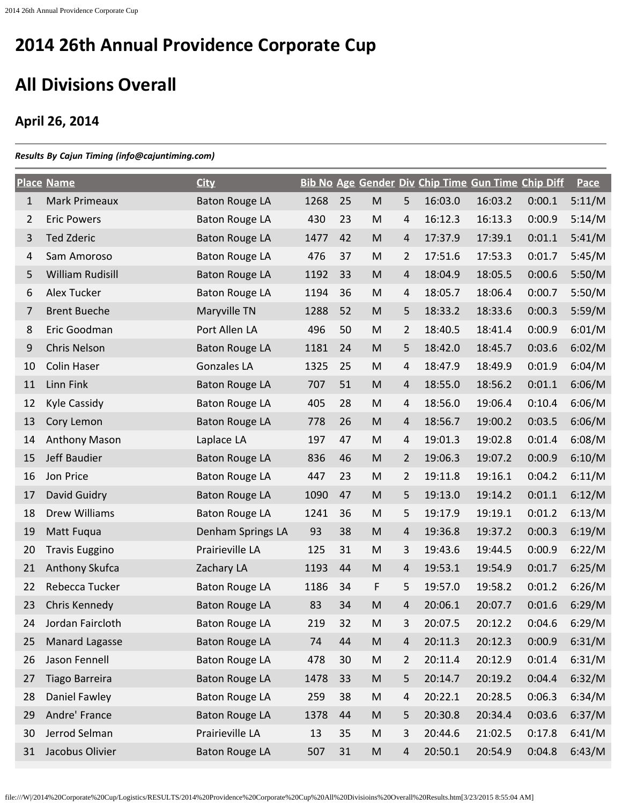## **All Divisions Overall**

## **April 26, 2014**

## *Results By Cajun Timing (info@cajuntiming.com)*

|              | <b>Place Name</b>     | <b>City</b>           |      |    |                                                                                                            |                |         | Bib No Age Gender Div Chip Time Gun Time Chip Diff |        | Pace   |
|--------------|-----------------------|-----------------------|------|----|------------------------------------------------------------------------------------------------------------|----------------|---------|----------------------------------------------------|--------|--------|
| $\mathbf{1}$ | <b>Mark Primeaux</b>  | <b>Baton Rouge LA</b> | 1268 | 25 | ${\sf M}$                                                                                                  | 5              | 16:03.0 | 16:03.2                                            | 0:00.1 | 5:11/M |
| 2            | <b>Eric Powers</b>    | <b>Baton Rouge LA</b> | 430  | 23 | M                                                                                                          | 4              | 16:12.3 | 16:13.3                                            | 0:00.9 | 5:14/M |
| 3            | <b>Ted Zderic</b>     | <b>Baton Rouge LA</b> | 1477 | 42 | $\mathsf{M}% _{T}=\mathsf{M}_{T}\!\left( a,b\right) ,\ \mathsf{M}_{T}=\mathsf{M}_{T}\!\left( a,b\right) ,$ | $\overline{4}$ | 17:37.9 | 17:39.1                                            | 0:01.1 | 5:41/M |
| 4            | Sam Amoroso           | <b>Baton Rouge LA</b> | 476  | 37 | ${\sf M}$                                                                                                  | 2              | 17:51.6 | 17:53.3                                            | 0:01.7 | 5:45/M |
| 5            | William Rudisill      | <b>Baton Rouge LA</b> | 1192 | 33 | $\mathsf{M}% _{T}=\mathsf{M}_{T}\!\left( a,b\right) ,\ \mathsf{M}_{T}=\mathsf{M}_{T}\!\left( a,b\right) ,$ | $\overline{4}$ | 18:04.9 | 18:05.5                                            | 0:00.6 | 5:50/M |
| 6            | <b>Alex Tucker</b>    | <b>Baton Rouge LA</b> | 1194 | 36 | ${\sf M}$                                                                                                  | 4              | 18:05.7 | 18:06.4                                            | 0:00.7 | 5:50/M |
| 7            | <b>Brent Bueche</b>   | Maryville TN          | 1288 | 52 | M                                                                                                          | 5              | 18:33.2 | 18:33.6                                            | 0:00.3 | 5:59/M |
| 8            | Eric Goodman          | Port Allen LA         | 496  | 50 | ${\sf M}$                                                                                                  | 2              | 18:40.5 | 18:41.4                                            | 0:00.9 | 6:01/M |
| 9            | <b>Chris Nelson</b>   | <b>Baton Rouge LA</b> | 1181 | 24 | M                                                                                                          | 5              | 18:42.0 | 18:45.7                                            | 0:03.6 | 6:02/M |
| 10           | <b>Colin Haser</b>    | <b>Gonzales LA</b>    | 1325 | 25 | ${\sf M}$                                                                                                  | 4              | 18:47.9 | 18:49.9                                            | 0:01.9 | 6:04/M |
| 11           | Linn Fink             | <b>Baton Rouge LA</b> | 707  | 51 | M                                                                                                          | $\overline{4}$ | 18:55.0 | 18:56.2                                            | 0:01.1 | 6:06/M |
| 12           | <b>Kyle Cassidy</b>   | <b>Baton Rouge LA</b> | 405  | 28 | M                                                                                                          | 4              | 18:56.0 | 19:06.4                                            | 0:10.4 | 6:06/M |
| 13           | Cory Lemon            | <b>Baton Rouge LA</b> | 778  | 26 | M                                                                                                          | 4              | 18:56.7 | 19:00.2                                            | 0:03.5 | 6:06/M |
| 14           | <b>Anthony Mason</b>  | Laplace LA            | 197  | 47 | M                                                                                                          | 4              | 19:01.3 | 19:02.8                                            | 0:01.4 | 6:08/M |
| 15           | Jeff Baudier          | <b>Baton Rouge LA</b> | 836  | 46 | M                                                                                                          | $\overline{2}$ | 19:06.3 | 19:07.2                                            | 0:00.9 | 6:10/M |
| 16           | Jon Price             | <b>Baton Rouge LA</b> | 447  | 23 | M                                                                                                          | $\overline{2}$ | 19:11.8 | 19:16.1                                            | 0:04.2 | 6:11/M |
| 17           | David Guidry          | <b>Baton Rouge LA</b> | 1090 | 47 | M                                                                                                          | 5              | 19:13.0 | 19:14.2                                            | 0:01.1 | 6:12/M |
| 18           | Drew Williams         | <b>Baton Rouge LA</b> | 1241 | 36 | M                                                                                                          | 5              | 19:17.9 | 19:19.1                                            | 0:01.2 | 6:13/M |
| 19           | Matt Fuqua            | Denham Springs LA     | 93   | 38 | M                                                                                                          | 4              | 19:36.8 | 19:37.2                                            | 0:00.3 | 6:19/M |
| 20           | <b>Travis Euggino</b> | Prairieville LA       | 125  | 31 | M                                                                                                          | 3              | 19:43.6 | 19:44.5                                            | 0:00.9 | 6:22/M |
| 21           | Anthony Skufca        | Zachary LA            | 1193 | 44 | M                                                                                                          | 4              | 19:53.1 | 19:54.9                                            | 0:01.7 | 6:25/M |
| 22           | Rebecca Tucker        | <b>Baton Rouge LA</b> | 1186 | 34 | F                                                                                                          | 5              | 19:57.0 | 19:58.2                                            | 0:01.2 | 6:26/M |
| 23           | Chris Kennedy         | <b>Baton Rouge LA</b> | 83   | 34 | M                                                                                                          | 4              | 20:06.1 | 20:07.7                                            | 0:01.6 | 6:29/M |
| 24           | Jordan Faircloth      | <b>Baton Rouge LA</b> | 219  | 32 | M                                                                                                          | 3              | 20:07.5 | 20:12.2                                            | 0:04.6 | 6:29/M |
| 25           | Manard Lagasse        | <b>Baton Rouge LA</b> | 74   | 44 | ${\sf M}$                                                                                                  | 4              | 20:11.3 | 20:12.3                                            | 0:00.9 | 6:31/M |
| 26           | Jason Fennell         | <b>Baton Rouge LA</b> | 478  | 30 | M                                                                                                          | $\overline{2}$ | 20:11.4 | 20:12.9                                            | 0:01.4 | 6:31/M |
| 27           | <b>Tiago Barreira</b> | <b>Baton Rouge LA</b> | 1478 | 33 | M                                                                                                          | 5              | 20:14.7 | 20:19.2                                            | 0:04.4 | 6:32/M |
| 28           | Daniel Fawley         | <b>Baton Rouge LA</b> | 259  | 38 | M                                                                                                          | 4              | 20:22.1 | 20:28.5                                            | 0:06.3 | 6:34/M |
| 29           | Andre' France         | <b>Baton Rouge LA</b> | 1378 | 44 | M                                                                                                          | 5              | 20:30.8 | 20:34.4                                            | 0:03.6 | 6:37/M |
| 30           | Jerrod Selman         | Prairieville LA       | 13   | 35 | M                                                                                                          | 3              | 20:44.6 | 21:02.5                                            | 0:17.8 | 6:41/M |
| 31           | Jacobus Olivier       | <b>Baton Rouge LA</b> | 507  | 31 | ${\sf M}$                                                                                                  | 4              | 20:50.1 | 20:54.9                                            | 0:04.8 | 6:43/M |

file:///W|/2014%20Corporate%20Cup/Logistics/RESULTS/2014%20Providence%20Corporate%20Cup%20All%20Divisioins%20Overall%20Results.htm[3/23/2015 8:55:04 AM]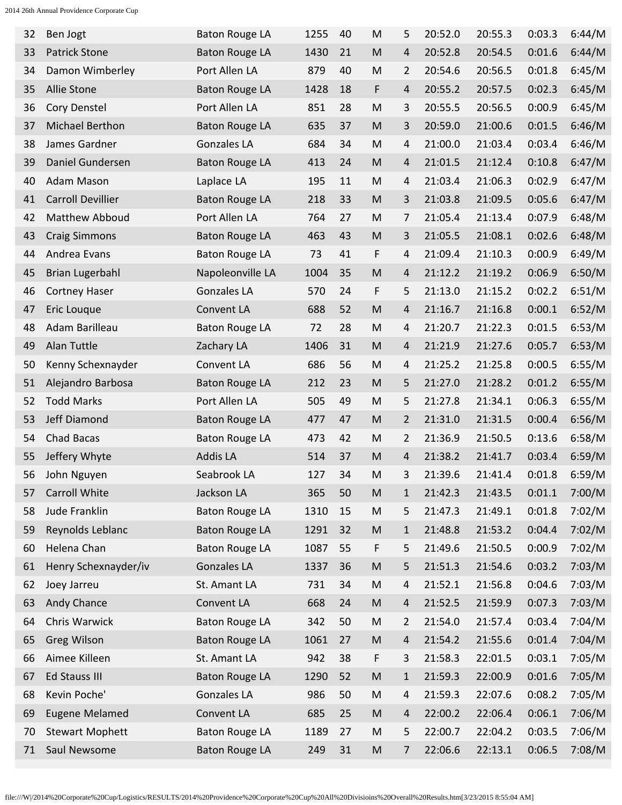| 32 | Ben Jogt                 | <b>Baton Rouge LA</b> | 1255 | 40 | M                                                                                                          | 5              | 20:52.0 | 20:55.3 | 0:03.3 | 6:44/M |
|----|--------------------------|-----------------------|------|----|------------------------------------------------------------------------------------------------------------|----------------|---------|---------|--------|--------|
| 33 | <b>Patrick Stone</b>     | <b>Baton Rouge LA</b> | 1430 | 21 | M                                                                                                          | $\overline{4}$ | 20:52.8 | 20:54.5 | 0:01.6 | 6:44/M |
| 34 | Damon Wimberley          | Port Allen LA         | 879  | 40 | M                                                                                                          | 2              | 20:54.6 | 20:56.5 | 0:01.8 | 6:45/M |
| 35 | Allie Stone              | <b>Baton Rouge LA</b> | 1428 | 18 | F                                                                                                          | $\overline{4}$ | 20:55.2 | 20:57.5 | 0:02.3 | 6:45/M |
| 36 | Cory Denstel             | Port Allen LA         | 851  | 28 | M                                                                                                          | 3              | 20:55.5 | 20:56.5 | 0:00.9 | 6:45/M |
| 37 | Michael Berthon          | <b>Baton Rouge LA</b> | 635  | 37 | ${\sf M}$                                                                                                  | 3              | 20:59.0 | 21:00.6 | 0:01.5 | 6:46/M |
| 38 | James Gardner            | <b>Gonzales LA</b>    | 684  | 34 | M                                                                                                          | 4              | 21:00.0 | 21:03.4 | 0:03.4 | 6:46/M |
| 39 | Daniel Gundersen         | <b>Baton Rouge LA</b> | 413  | 24 | $\mathsf{M}% _{T}=\mathsf{M}_{T}\!\left( a,b\right) ,\ \mathsf{M}_{T}=\mathsf{M}_{T}\!\left( a,b\right) ,$ | $\overline{4}$ | 21:01.5 | 21:12.4 | 0:10.8 | 6:47/M |
| 40 | Adam Mason               | Laplace LA            | 195  | 11 | M                                                                                                          | 4              | 21:03.4 | 21:06.3 | 0:02.9 | 6:47/M |
| 41 | <b>Carroll Devillier</b> | <b>Baton Rouge LA</b> | 218  | 33 | M                                                                                                          | 3              | 21:03.8 | 21:09.5 | 0:05.6 | 6:47/M |
| 42 | Matthew Abboud           | Port Allen LA         | 764  | 27 | M                                                                                                          | 7              | 21:05.4 | 21:13.4 | 0:07.9 | 6:48/M |
| 43 | <b>Craig Simmons</b>     | <b>Baton Rouge LA</b> | 463  | 43 | M                                                                                                          | 3              | 21:05.5 | 21:08.1 | 0:02.6 | 6:48/M |
| 44 | Andrea Evans             | <b>Baton Rouge LA</b> | 73   | 41 | F                                                                                                          | 4              | 21:09.4 | 21:10.3 | 0:00.9 | 6:49/M |
| 45 | <b>Brian Lugerbahl</b>   | Napoleonville LA      | 1004 | 35 | M                                                                                                          | 4              | 21:12.2 | 21:19.2 | 0:06.9 | 6:50/M |
| 46 | <b>Cortney Haser</b>     | <b>Gonzales LA</b>    | 570  | 24 | F                                                                                                          | 5              | 21:13.0 | 21:15.2 | 0:02.2 | 6:51/M |
| 47 | Eric Louque              | Convent LA            | 688  | 52 | M                                                                                                          | 4              | 21:16.7 | 21:16.8 | 0:00.1 | 6:52/M |
| 48 | Adam Barilleau           | <b>Baton Rouge LA</b> | 72   | 28 | M                                                                                                          | 4              | 21:20.7 | 21:22.3 | 0:01.5 | 6:53/M |
| 49 | Alan Tuttle              | Zachary LA            | 1406 | 31 | M                                                                                                          | 4              | 21:21.9 | 21:27.6 | 0:05.7 | 6:53/M |
| 50 | Kenny Schexnayder        | Convent LA            | 686  | 56 | M                                                                                                          | 4              | 21:25.2 | 21:25.8 | 0:00.5 | 6:55/M |
| 51 | Alejandro Barbosa        | <b>Baton Rouge LA</b> | 212  | 23 | M                                                                                                          | 5              | 21:27.0 | 21:28.2 | 0:01.2 | 6:55/M |
| 52 | <b>Todd Marks</b>        | Port Allen LA         | 505  | 49 | M                                                                                                          | 5              | 21:27.8 | 21:34.1 | 0:06.3 | 6:55/M |
| 53 | Jeff Diamond             | <b>Baton Rouge LA</b> | 477  | 47 | M                                                                                                          | 2              | 21:31.0 | 21:31.5 | 0:00.4 | 6:56/M |
| 54 | <b>Chad Bacas</b>        | <b>Baton Rouge LA</b> | 473  | 42 | M                                                                                                          | 2              | 21:36.9 | 21:50.5 | 0:13.6 | 6:58/M |
| 55 | Jeffery Whyte            | <b>Addis LA</b>       | 514  | 37 | M                                                                                                          | 4              | 21:38.2 | 21:41.7 | 0:03.4 | 6:59/M |
| 56 | John Nguyen              | Seabrook LA           | 127  | 34 | M                                                                                                          | 3              | 21:39.6 | 21:41.4 | 0:01.8 | 6:59/M |
| 57 | Carroll White            | Jackson LA            | 365  | 50 | ${\sf M}$                                                                                                  | 1              | 21:42.3 | 21:43.5 | 0:01.1 | 7:00/M |
| 58 | Jude Franklin            | <b>Baton Rouge LA</b> | 1310 | 15 | M                                                                                                          | 5              | 21:47.3 | 21:49.1 | 0:01.8 | 7:02/M |
| 59 | Reynolds Leblanc         | <b>Baton Rouge LA</b> | 1291 | 32 | M                                                                                                          | $\mathbf{1}$   | 21:48.8 | 21:53.2 | 0:04.4 | 7:02/M |
| 60 | Helena Chan              | <b>Baton Rouge LA</b> | 1087 | 55 | F                                                                                                          | 5              | 21:49.6 | 21:50.5 | 0:00.9 | 7:02/M |
| 61 | Henry Schexnayder/iv     | <b>Gonzales LA</b>    | 1337 | 36 | M                                                                                                          | 5              | 21:51.3 | 21:54.6 | 0:03.2 | 7:03/M |
| 62 | Joey Jarreu              | St. Amant LA          | 731  | 34 | M                                                                                                          | 4              | 21:52.1 | 21:56.8 | 0:04.6 | 7:03/M |
| 63 | Andy Chance              | Convent LA            | 668  | 24 | ${\sf M}$                                                                                                  | 4              | 21:52.5 | 21:59.9 | 0:07.3 | 7:03/M |
| 64 | Chris Warwick            | <b>Baton Rouge LA</b> | 342  | 50 | M                                                                                                          | 2              | 21:54.0 | 21:57.4 | 0:03.4 | 7:04/M |
| 65 | <b>Greg Wilson</b>       | <b>Baton Rouge LA</b> | 1061 | 27 | ${\sf M}$                                                                                                  | 4              | 21:54.2 | 21:55.6 | 0:01.4 | 7:04/M |
| 66 | Aimee Killeen            | St. Amant LA          | 942  | 38 | F                                                                                                          | 3              | 21:58.3 | 22:01.5 | 0:03.1 | 7:05/M |
| 67 | <b>Ed Stauss III</b>     | <b>Baton Rouge LA</b> | 1290 | 52 | ${\sf M}$                                                                                                  | $\mathbf{1}$   | 21:59.3 | 22:00.9 | 0:01.6 | 7:05/M |
| 68 | Kevin Poche'             | Gonzales LA           | 986  | 50 | M                                                                                                          | 4              | 21:59.3 | 22:07.6 | 0:08.2 | 7:05/M |
| 69 | <b>Eugene Melamed</b>    | Convent LA            | 685  | 25 | ${\sf M}$                                                                                                  | 4              | 22:00.2 | 22:06.4 | 0:06.1 | 7:06/M |
| 70 | <b>Stewart Mophett</b>   | <b>Baton Rouge LA</b> | 1189 | 27 | M                                                                                                          | 5              | 22:00.7 | 22:04.2 | 0:03.5 | 7:06/M |
| 71 | Saul Newsome             | <b>Baton Rouge LA</b> | 249  | 31 | M                                                                                                          | 7              | 22:06.6 | 22:13.1 | 0:06.5 | 7:08/M |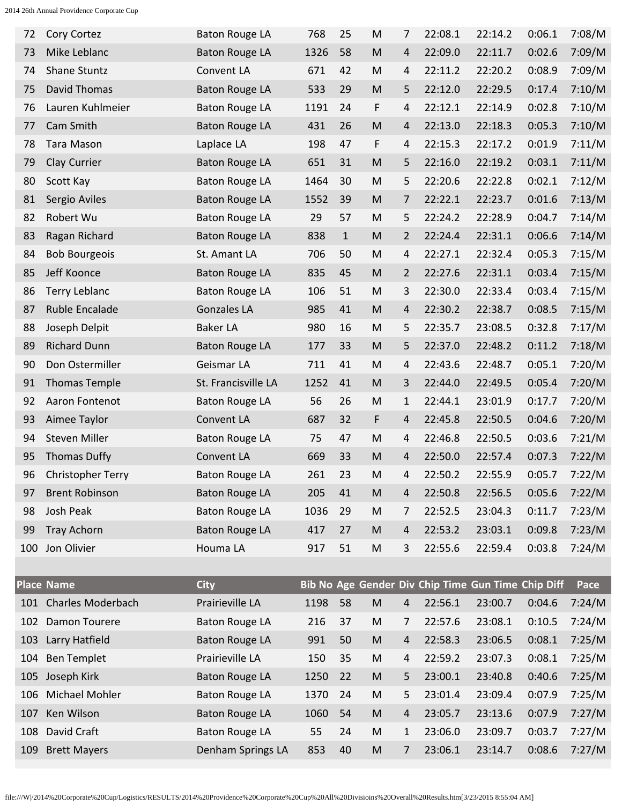| 72  | Cory Cortez              | <b>Baton Rouge LA</b> | 768  | 25           | M                                                                                                          | 7              | 22:08.1                                            | 22:14.2 | 0:06.1 | 7:08/M |
|-----|--------------------------|-----------------------|------|--------------|------------------------------------------------------------------------------------------------------------|----------------|----------------------------------------------------|---------|--------|--------|
| 73  | Mike Leblanc             | <b>Baton Rouge LA</b> | 1326 | 58           | M                                                                                                          | $\overline{4}$ | 22:09.0                                            | 22:11.7 | 0:02.6 | 7:09/M |
| 74  | Shane Stuntz             | Convent LA            | 671  | 42           | M                                                                                                          | 4              | 22:11.2                                            | 22:20.2 | 0:08.9 | 7:09/M |
| 75  | <b>David Thomas</b>      | <b>Baton Rouge LA</b> | 533  | 29           | $\mathsf{M}% _{T}=\mathsf{M}_{T}\!\left( a,b\right) ,\ \mathsf{M}_{T}=\mathsf{M}_{T}\!\left( a,b\right) ,$ | 5              | 22:12.0                                            | 22:29.5 | 0:17.4 | 7:10/M |
| 76  | Lauren Kuhlmeier         | <b>Baton Rouge LA</b> | 1191 | 24           | F                                                                                                          | 4              | 22:12.1                                            | 22:14.9 | 0:02.8 | 7:10/M |
| 77  | Cam Smith                | <b>Baton Rouge LA</b> | 431  | 26           | M                                                                                                          | 4              | 22:13.0                                            | 22:18.3 | 0:05.3 | 7:10/M |
| 78  | <b>Tara Mason</b>        | Laplace LA            | 198  | 47           | F                                                                                                          | 4              | 22:15.3                                            | 22:17.2 | 0:01.9 | 7:11/M |
| 79  | Clay Currier             | <b>Baton Rouge LA</b> | 651  | 31           | M                                                                                                          | 5              | 22:16.0                                            | 22:19.2 | 0:03.1 | 7:11/M |
| 80  | Scott Kay                | <b>Baton Rouge LA</b> | 1464 | 30           | M                                                                                                          | 5              | 22:20.6                                            | 22:22.8 | 0:02.1 | 7:12/M |
| 81  | Sergio Aviles            | <b>Baton Rouge LA</b> | 1552 | 39           | M                                                                                                          | 7              | 22:22.1                                            | 22:23.7 | 0:01.6 | 7:13/M |
| 82  | Robert Wu                | <b>Baton Rouge LA</b> | 29   | 57           | M                                                                                                          | 5              | 22:24.2                                            | 22:28.9 | 0:04.7 | 7:14/M |
| 83  | Ragan Richard            | <b>Baton Rouge LA</b> | 838  | $\mathbf{1}$ | $\mathsf{M}% _{T}=\mathsf{M}_{T}\!\left( a,b\right) ,\ \mathsf{M}_{T}=\mathsf{M}_{T}$                      | $\overline{2}$ | 22:24.4                                            | 22:31.1 | 0:06.6 | 7:14/M |
| 84  | <b>Bob Bourgeois</b>     | St. Amant LA          | 706  | 50           | M                                                                                                          | 4              | 22:27.1                                            | 22:32.4 | 0:05.3 | 7:15/M |
| 85  | Jeff Koonce              | <b>Baton Rouge LA</b> | 835  | 45           | M                                                                                                          | $\overline{2}$ | 22:27.6                                            | 22:31.1 | 0:03.4 | 7:15/M |
| 86  | <b>Terry Leblanc</b>     | <b>Baton Rouge LA</b> | 106  | 51           | M                                                                                                          | 3              | 22:30.0                                            | 22:33.4 | 0:03.4 | 7:15/M |
| 87  | Ruble Encalade           | <b>Gonzales LA</b>    | 985  | 41           | M                                                                                                          | 4              | 22:30.2                                            | 22:38.7 | 0:08.5 | 7:15/M |
| 88  | Joseph Delpit            | <b>Baker LA</b>       | 980  | 16           | M                                                                                                          | 5              | 22:35.7                                            | 23:08.5 | 0:32.8 | 7:17/M |
| 89  | <b>Richard Dunn</b>      | <b>Baton Rouge LA</b> | 177  | 33           | M                                                                                                          | 5              | 22:37.0                                            | 22:48.2 | 0:11.2 | 7:18/M |
| 90  | Don Ostermiller          | Geismar LA            | 711  | 41           | M                                                                                                          | 4              | 22:43.6                                            | 22:48.7 | 0:05.1 | 7:20/M |
| 91  | <b>Thomas Temple</b>     | St. Francisville LA   | 1252 | 41           | M                                                                                                          | 3              | 22:44.0                                            | 22:49.5 | 0:05.4 | 7:20/M |
| 92  | Aaron Fontenot           | <b>Baton Rouge LA</b> | 56   | 26           | M                                                                                                          | 1              | 22:44.1                                            | 23:01.9 | 0:17.7 | 7:20/M |
| 93  | Aimee Taylor             | Convent LA            | 687  | 32           | F                                                                                                          | 4              | 22:45.8                                            | 22:50.5 | 0:04.6 | 7:20/M |
| 94  | <b>Steven Miller</b>     | <b>Baton Rouge LA</b> | 75   | 47           | M                                                                                                          | 4              | 22:46.8                                            | 22:50.5 | 0:03.6 | 7:21/M |
| 95  | <b>Thomas Duffy</b>      | Convent LA            | 669  | 33           | M                                                                                                          | 4              | 22:50.0                                            | 22:57.4 | 0:07.3 | 7:22/M |
| 96  | <b>Christopher Terry</b> | <b>Baton Rouge LA</b> | 261  | 23           | M                                                                                                          | 4              | 22:50.2                                            | 22:55.9 | 0:05.7 | 7:22/M |
| 97  | <b>Brent Robinson</b>    | <b>Baton Rouge LA</b> | 205  | 41           | ${\sf M}$                                                                                                  | 4              | 22:50.8                                            | 22:56.5 | 0:05.6 | 7:22/M |
| 98  | Josh Peak                | <b>Baton Rouge LA</b> | 1036 | 29           | M                                                                                                          | 7              | 22:52.5                                            | 23:04.3 | 0:11.7 | 7:23/M |
| 99  | <b>Tray Achorn</b>       | <b>Baton Rouge LA</b> | 417  | 27           | ${\sf M}$                                                                                                  | 4              | 22:53.2                                            | 23:03.1 | 0:09.8 | 7:23/M |
| 100 | Jon Olivier              | Houma LA              | 917  | 51           | M                                                                                                          | 3              | 22:55.6                                            | 22:59.4 | 0:03.8 | 7:24/M |
|     |                          |                       |      |              |                                                                                                            |                |                                                    |         |        |        |
|     | <b>Place Name</b>        | <b>City</b>           |      |              |                                                                                                            |                | Bib No Age Gender Div Chip Time Gun Time Chip Diff |         |        | Pace   |
|     | 101 Charles Moderbach    | Prairieville LA       | 1198 | 58           | ${\sf M}$                                                                                                  | $\overline{a}$ | 22:56.1                                            | 23:00.7 | 0:04.6 | 7:24/M |
| 102 | Damon Tourere            | <b>Baton Rouge LA</b> | 216  | 37           | M                                                                                                          | 7              | 22:57.6                                            | 23:08.1 | 0:10.5 | 7:24/M |
| 103 | Larry Hatfield           | <b>Baton Rouge LA</b> | 991  | 50           | ${\sf M}$                                                                                                  | 4              | 22:58.3                                            | 23:06.5 | 0:08.1 | 7:25/M |
| 104 | <b>Ben Templet</b>       | Prairieville LA       | 150  | 35           | M                                                                                                          | 4              | 22:59.2                                            | 23:07.3 | 0:08.1 | 7:25/M |
| 105 | Joseph Kirk              | <b>Baton Rouge LA</b> | 1250 | 22           | ${\sf M}$                                                                                                  | 5              | 23:00.1                                            | 23:40.8 | 0:40.6 | 7:25/M |
| 106 | Michael Mohler           | <b>Baton Rouge LA</b> | 1370 | 24           | M                                                                                                          | 5              | 23:01.4                                            | 23:09.4 | 0:07.9 | 7:25/M |
| 107 | Ken Wilson               | <b>Baton Rouge LA</b> | 1060 | 54           | ${\sf M}$                                                                                                  | 4              | 23:05.7                                            | 23:13.6 | 0:07.9 | 7:27/M |
| 108 | David Craft              | <b>Baton Rouge LA</b> | 55   | 24           | M                                                                                                          | $\mathbf{1}$   | 23:06.0                                            | 23:09.7 | 0:03.7 | 7:27/M |
| 109 | <b>Brett Mayers</b>      | Denham Springs LA     | 853  | 40           | M                                                                                                          | 7              | 23:06.1                                            | 23:14.7 | 0:08.6 | 7:27/M |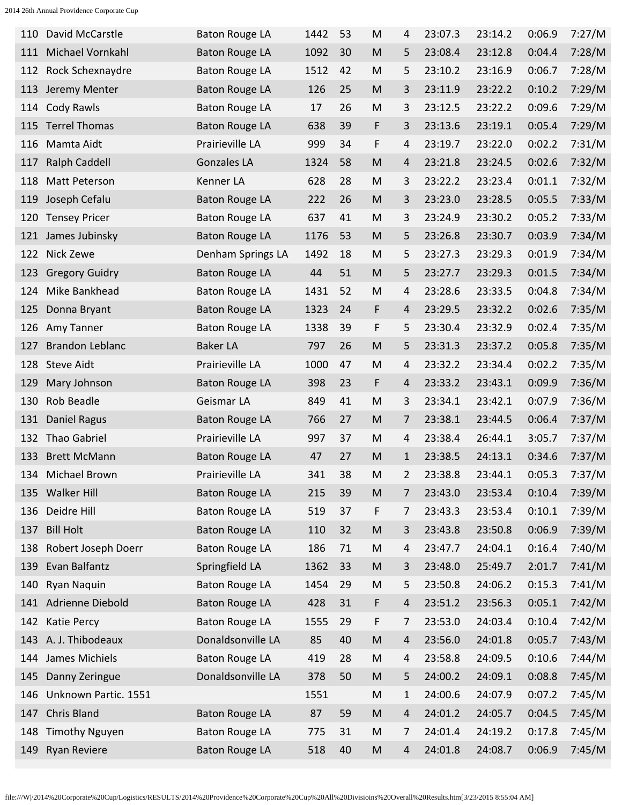| 110 | David McCarstle         | <b>Baton Rouge LA</b> | 1442 | 53 | M                                                                                                          | 4           | 23:07.3 | 23:14.2 | 0:06.9 | 7:27/M |
|-----|-------------------------|-----------------------|------|----|------------------------------------------------------------------------------------------------------------|-------------|---------|---------|--------|--------|
| 111 | Michael Vornkahl        | <b>Baton Rouge LA</b> | 1092 | 30 | M                                                                                                          | 5           | 23:08.4 | 23:12.8 | 0:04.4 | 7:28/M |
| 112 | Rock Schexnaydre        | <b>Baton Rouge LA</b> | 1512 | 42 | M                                                                                                          | 5           | 23:10.2 | 23:16.9 | 0:06.7 | 7:28/M |
| 113 | Jeremy Menter           | <b>Baton Rouge LA</b> | 126  | 25 | M                                                                                                          | 3           | 23:11.9 | 23:22.2 | 0:10.2 | 7:29/M |
| 114 | Cody Rawls              | <b>Baton Rouge LA</b> | 17   | 26 | M                                                                                                          | 3           | 23:12.5 | 23:22.2 | 0:09.6 | 7:29/M |
| 115 | <b>Terrel Thomas</b>    | <b>Baton Rouge LA</b> | 638  | 39 | F                                                                                                          | 3           | 23:13.6 | 23:19.1 | 0:05.4 | 7:29/M |
| 116 | Mamta Aidt              | Prairieville LA       | 999  | 34 | F                                                                                                          | 4           | 23:19.7 | 23:22.0 | 0:02.2 | 7:31/M |
| 117 | <b>Ralph Caddell</b>    | <b>Gonzales LA</b>    | 1324 | 58 | M                                                                                                          | 4           | 23:21.8 | 23:24.5 | 0:02.6 | 7:32/M |
| 118 | Matt Peterson           | Kenner LA             | 628  | 28 | M                                                                                                          | 3           | 23:22.2 | 23:23.4 | 0:01.1 | 7:32/M |
| 119 | Joseph Cefalu           | <b>Baton Rouge LA</b> | 222  | 26 | M                                                                                                          | 3           | 23:23.0 | 23:28.5 | 0:05.5 | 7:33/M |
| 120 | <b>Tensey Pricer</b>    | <b>Baton Rouge LA</b> | 637  | 41 | M                                                                                                          | 3           | 23:24.9 | 23:30.2 | 0:05.2 | 7:33/M |
| 121 | James Jubinsky          | <b>Baton Rouge LA</b> | 1176 | 53 | M                                                                                                          | 5           | 23:26.8 | 23:30.7 | 0:03.9 | 7:34/M |
| 122 | Nick Zewe               | Denham Springs LA     | 1492 | 18 | M                                                                                                          | 5           | 23:27.3 | 23:29.3 | 0:01.9 | 7:34/M |
| 123 | <b>Gregory Guidry</b>   | <b>Baton Rouge LA</b> | 44   | 51 | M                                                                                                          | 5           | 23:27.7 | 23:29.3 | 0:01.5 | 7:34/M |
| 124 | Mike Bankhead           | <b>Baton Rouge LA</b> | 1431 | 52 | M                                                                                                          | 4           | 23:28.6 | 23:33.5 | 0:04.8 | 7:34/M |
| 125 | Donna Bryant            | <b>Baton Rouge LA</b> | 1323 | 24 | F                                                                                                          | 4           | 23:29.5 | 23:32.2 | 0:02.6 | 7:35/M |
| 126 | Amy Tanner              | <b>Baton Rouge LA</b> | 1338 | 39 | F                                                                                                          | 5           | 23:30.4 | 23:32.9 | 0:02.4 | 7:35/M |
| 127 | <b>Brandon Leblanc</b>  | <b>Baker LA</b>       | 797  | 26 | M                                                                                                          | 5           | 23:31.3 | 23:37.2 | 0:05.8 | 7:35/M |
| 128 | <b>Steve Aidt</b>       | Prairieville LA       | 1000 | 47 | M                                                                                                          | 4           | 23:32.2 | 23:34.4 | 0:02.2 | 7:35/M |
| 129 | Mary Johnson            | <b>Baton Rouge LA</b> | 398  | 23 | F                                                                                                          | 4           | 23:33.2 | 23:43.1 | 0:09.9 | 7:36/M |
| 130 | Rob Beadle              | Geismar LA            | 849  | 41 | M                                                                                                          | 3           | 23:34.1 | 23:42.1 | 0:07.9 | 7:36/M |
| 131 | <b>Daniel Ragus</b>     | <b>Baton Rouge LA</b> | 766  | 27 | M                                                                                                          | 7           | 23:38.1 | 23:44.5 | 0:06.4 | 7:37/M |
| 132 | <b>Thao Gabriel</b>     | Prairieville LA       | 997  | 37 | M                                                                                                          | 4           | 23:38.4 | 26:44.1 | 3:05.7 | 7:37/M |
| 133 | <b>Brett McMann</b>     | <b>Baton Rouge LA</b> | 47   | 27 | M                                                                                                          | $\mathbf 1$ | 23:38.5 | 24:13.1 | 0:34.6 | 7:37/M |
| 134 | Michael Brown           | Prairieville LA       | 341  | 38 | M                                                                                                          | 2           | 23:38.8 | 23:44.1 | 0:05.3 | 7:37/M |
|     | 135 Walker Hill         | <b>Baton Rouge LA</b> | 215  | 39 | $\mathsf{M}% _{T}=\mathsf{M}_{T}\!\left( a,b\right) ,\ \mathsf{M}_{T}=\mathsf{M}_{T}\!\left( a,b\right) ,$ | 7           | 23:43.0 | 23:53.4 | 0:10.4 | 7:39/M |
|     | 136 Deidre Hill         | <b>Baton Rouge LA</b> | 519  | 37 | F                                                                                                          | 7           | 23:43.3 | 23:53.4 | 0:10.1 | 7:39/M |
| 137 | <b>Bill Holt</b>        | <b>Baton Rouge LA</b> | 110  | 32 | $\mathsf{M}% _{T}=\mathsf{M}_{T}\!\left( a,b\right) ,\ \mathsf{M}_{T}=\mathsf{M}_{T}\!\left( a,b\right) ,$ | 3           | 23:43.8 | 23:50.8 | 0:06.9 | 7:39/M |
|     | 138 Robert Joseph Doerr | <b>Baton Rouge LA</b> | 186  | 71 | ${\sf M}$                                                                                                  | 4           | 23:47.7 | 24:04.1 | 0:16.4 | 7:40/M |
| 139 | Evan Balfantz           | Springfield LA        | 1362 | 33 | $\mathsf{M}% _{T}=\mathsf{M}_{T}\!\left( a,b\right) ,\ \mathsf{M}_{T}=\mathsf{M}_{T}\!\left( a,b\right) ,$ | 3           | 23:48.0 | 25:49.7 | 2:01.7 | 7:41/M |
| 140 | Ryan Naquin             | <b>Baton Rouge LA</b> | 1454 | 29 | M                                                                                                          | 5           | 23:50.8 | 24:06.2 | 0:15.3 | 7:41/M |
|     | 141 Adrienne Diebold    | <b>Baton Rouge LA</b> | 428  | 31 | F                                                                                                          | 4           | 23:51.2 | 23:56.3 | 0:05.1 | 7:42/M |
|     | 142 Katie Percy         | <b>Baton Rouge LA</b> | 1555 | 29 | F                                                                                                          | 7           | 23:53.0 | 24:03.4 | 0:10.4 | 7:42/M |
|     | 143 A. J. Thibodeaux    | Donaldsonville LA     | 85   | 40 | $\mathsf{M}% _{T}=\mathsf{M}_{T}\!\left( a,b\right) ,\ \mathsf{M}_{T}=\mathsf{M}_{T}\!\left( a,b\right) ,$ | 4           | 23:56.0 | 24:01.8 | 0:05.7 | 7:43/M |
|     | 144 James Michiels      | <b>Baton Rouge LA</b> | 419  | 28 | ${\sf M}$                                                                                                  | 4           | 23:58.8 | 24:09.5 | 0:10.6 | 7:44/M |
| 145 | Danny Zeringue          | Donaldsonville LA     | 378  | 50 | $\mathsf{M}% _{T}=\mathsf{M}_{T}\!\left( a,b\right) ,\ \mathsf{M}_{T}=\mathsf{M}_{T}\!\left( a,b\right) ,$ | 5           | 24:00.2 | 24:09.1 | 0:08.8 | 7:45/M |
| 146 | Unknown Partic. 1551    |                       | 1551 |    | M                                                                                                          | 1           | 24:00.6 | 24:07.9 | 0:07.2 | 7:45/M |
| 147 | Chris Bland             | <b>Baton Rouge LA</b> | 87   | 59 | $\mathsf{M}% _{T}=\mathsf{M}_{T}\!\left( a,b\right) ,\ \mathsf{M}_{T}=\mathsf{M}_{T}\!\left( a,b\right) ,$ | 4           | 24:01.2 | 24:05.7 | 0:04.5 | 7:45/M |
| 148 | <b>Timothy Nguyen</b>   | <b>Baton Rouge LA</b> | 775  | 31 | M                                                                                                          | 7           | 24:01.4 | 24:19.2 | 0:17.8 | 7:45/M |
| 149 | <b>Ryan Reviere</b>     | <b>Baton Rouge LA</b> | 518  | 40 | M                                                                                                          | 4           | 24:01.8 | 24:08.7 | 0:06.9 | 7:45/M |
|     |                         |                       |      |    |                                                                                                            |             |         |         |        |        |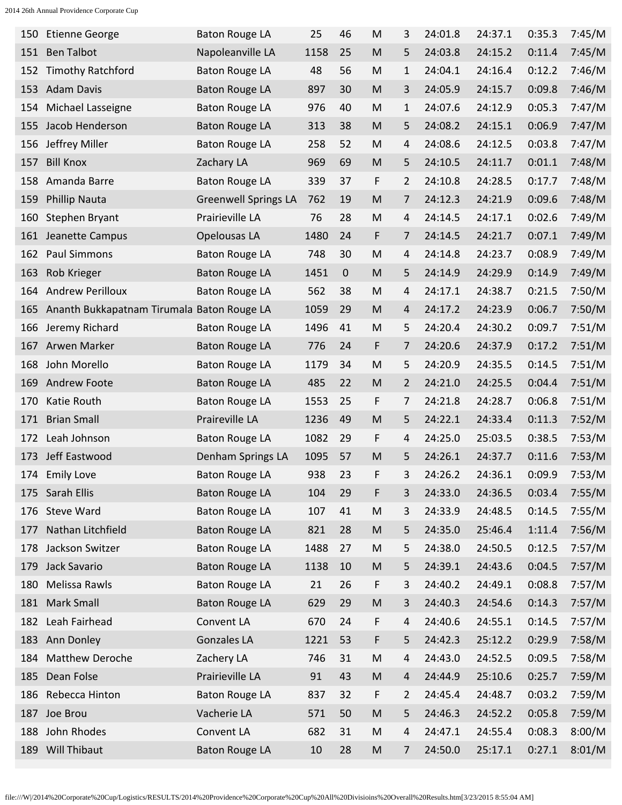| 150 | <b>Etienne George</b>                      | <b>Baton Rouge LA</b>       | 25   | 46 | M                                                                                                          | 3 | 24:01.8 | 24:37.1 | 0:35.3 | 7:45/M |
|-----|--------------------------------------------|-----------------------------|------|----|------------------------------------------------------------------------------------------------------------|---|---------|---------|--------|--------|
| 151 | <b>Ben Talbot</b>                          | Napoleanville LA            | 1158 | 25 | M                                                                                                          | 5 | 24:03.8 | 24:15.2 | 0:11.4 | 7:45/M |
| 152 | <b>Timothy Ratchford</b>                   | <b>Baton Rouge LA</b>       | 48   | 56 | M                                                                                                          | 1 | 24:04.1 | 24:16.4 | 0:12.2 | 7:46/M |
| 153 | <b>Adam Davis</b>                          | <b>Baton Rouge LA</b>       | 897  | 30 | M                                                                                                          | 3 | 24:05.9 | 24:15.7 | 0:09.8 | 7:46/M |
| 154 | Michael Lasseigne                          | <b>Baton Rouge LA</b>       | 976  | 40 | M                                                                                                          | 1 | 24:07.6 | 24:12.9 | 0:05.3 | 7:47/M |
| 155 | Jacob Henderson                            | <b>Baton Rouge LA</b>       | 313  | 38 | M                                                                                                          | 5 | 24:08.2 | 24:15.1 | 0:06.9 | 7:47/M |
| 156 | Jeffrey Miller                             | <b>Baton Rouge LA</b>       | 258  | 52 | M                                                                                                          | 4 | 24:08.6 | 24:12.5 | 0:03.8 | 7:47/M |
| 157 | <b>Bill Knox</b>                           | Zachary LA                  | 969  | 69 | M                                                                                                          | 5 | 24:10.5 | 24:11.7 | 0:01.1 | 7:48/M |
| 158 | Amanda Barre                               | <b>Baton Rouge LA</b>       | 339  | 37 | F                                                                                                          | 2 | 24:10.8 | 24:28.5 | 0:17.7 | 7:48/M |
| 159 | <b>Phillip Nauta</b>                       | <b>Greenwell Springs LA</b> | 762  | 19 | M                                                                                                          | 7 | 24:12.3 | 24:21.9 | 0:09.6 | 7:48/M |
| 160 | Stephen Bryant                             | Prairieville LA             | 76   | 28 | M                                                                                                          | 4 | 24:14.5 | 24:17.1 | 0:02.6 | 7:49/M |
| 161 | Jeanette Campus                            | Opelousas LA                | 1480 | 24 | F                                                                                                          | 7 | 24:14.5 | 24:21.7 | 0:07.1 | 7:49/M |
| 162 | Paul Simmons                               | <b>Baton Rouge LA</b>       | 748  | 30 | M                                                                                                          | 4 | 24:14.8 | 24:23.7 | 0:08.9 | 7:49/M |
| 163 | Rob Krieger                                | <b>Baton Rouge LA</b>       | 1451 | 0  | M                                                                                                          | 5 | 24:14.9 | 24:29.9 | 0:14.9 | 7:49/M |
| 164 | <b>Andrew Perilloux</b>                    | <b>Baton Rouge LA</b>       | 562  | 38 | M                                                                                                          | 4 | 24:17.1 | 24:38.7 | 0:21.5 | 7:50/M |
| 165 | Ananth Bukkapatnam Tirumala Baton Rouge LA |                             | 1059 | 29 | M                                                                                                          | 4 | 24:17.2 | 24:23.9 | 0:06.7 | 7:50/M |
| 166 | Jeremy Richard                             | <b>Baton Rouge LA</b>       | 1496 | 41 | M                                                                                                          | 5 | 24:20.4 | 24:30.2 | 0:09.7 | 7:51/M |
|     | 167 Arwen Marker                           | <b>Baton Rouge LA</b>       | 776  | 24 | F                                                                                                          | 7 | 24:20.6 | 24:37.9 | 0:17.2 | 7:51/M |
| 168 | John Morello                               | <b>Baton Rouge LA</b>       | 1179 | 34 | M                                                                                                          | 5 | 24:20.9 | 24:35.5 | 0:14.5 | 7:51/M |
| 169 | <b>Andrew Foote</b>                        | <b>Baton Rouge LA</b>       | 485  | 22 | M                                                                                                          | 2 | 24:21.0 | 24:25.5 | 0:04.4 | 7:51/M |
| 170 | Katie Routh                                | <b>Baton Rouge LA</b>       | 1553 | 25 | F                                                                                                          | 7 | 24:21.8 | 24:28.7 | 0:06.8 | 7:51/M |
|     | 171 Brian Small                            | Praireville LA              | 1236 | 49 | M                                                                                                          | 5 | 24:22.1 | 24:33.4 | 0:11.3 | 7:52/M |
| 172 | Leah Johnson                               | <b>Baton Rouge LA</b>       | 1082 | 29 | F                                                                                                          | 4 | 24:25.0 | 25:03.5 | 0:38.5 | 7:53/M |
| 173 | Jeff Eastwood                              | Denham Springs LA           | 1095 | 57 | M                                                                                                          | 5 | 24:26.1 | 24:37.7 | 0:11.6 | 7:53/M |
|     | 174 Emily Love                             | <b>Baton Rouge LA</b>       | 938  | 23 | F                                                                                                          | 3 | 24:26.2 | 24:36.1 | 0:09.9 | 7:53/M |
|     | 175 Sarah Ellis                            | <b>Baton Rouge LA</b>       | 104  | 29 | F                                                                                                          | 3 | 24:33.0 | 24:36.5 | 0:03.4 | 7:55/M |
|     | 176 Steve Ward                             | <b>Baton Rouge LA</b>       | 107  | 41 | M                                                                                                          | 3 | 24:33.9 | 24:48.5 | 0:14.5 | 7:55/M |
| 177 | Nathan Litchfield                          | <b>Baton Rouge LA</b>       | 821  | 28 | $\mathsf{M}% _{T}=\mathsf{M}_{T}\!\left( a,b\right) ,\ \mathsf{M}_{T}=\mathsf{M}_{T}\!\left( a,b\right) ,$ | 5 | 24:35.0 | 25:46.4 | 1:11.4 | 7:56/M |
|     | 178 Jackson Switzer                        | <b>Baton Rouge LA</b>       | 1488 | 27 | ${\sf M}$                                                                                                  | 5 | 24:38.0 | 24:50.5 | 0:12.5 | 7:57/M |
| 179 | Jack Savario                               | <b>Baton Rouge LA</b>       | 1138 | 10 | ${\sf M}$                                                                                                  | 5 | 24:39.1 | 24:43.6 | 0:04.5 | 7:57/M |
|     | 180 Melissa Rawls                          | <b>Baton Rouge LA</b>       | 21   | 26 | F                                                                                                          | 3 | 24:40.2 | 24:49.1 | 0:08.8 | 7:57/M |
|     | 181 Mark Small                             | <b>Baton Rouge LA</b>       | 629  | 29 | M                                                                                                          | 3 | 24:40.3 | 24:54.6 | 0:14.3 | 7:57/M |
|     | 182 Leah Fairhead                          | Convent LA                  | 670  | 24 | F                                                                                                          | 4 | 24:40.6 | 24:55.1 | 0:14.5 | 7:57/M |
|     | 183 Ann Donley                             | Gonzales LA                 | 1221 | 53 | F                                                                                                          | 5 | 24:42.3 | 25:12.2 | 0:29.9 | 7:58/M |
|     | 184 Matthew Deroche                        | Zachery LA                  | 746  | 31 | M                                                                                                          | 4 | 24:43.0 | 24:52.5 | 0:09.5 | 7:58/M |
| 185 | Dean Folse                                 | Prairieville LA             | 91   | 43 | ${\sf M}$                                                                                                  | 4 | 24:44.9 | 25:10.6 | 0:25.7 | 7:59/M |
|     | 186 Rebecca Hinton                         | <b>Baton Rouge LA</b>       | 837  | 32 | F                                                                                                          | 2 | 24:45.4 | 24:48.7 | 0:03.2 | 7:59/M |
| 187 | Joe Brou                                   | Vacherie LA                 | 571  | 50 | ${\sf M}$                                                                                                  | 5 | 24:46.3 | 24:52.2 | 0:05.8 | 7:59/M |
|     | 188 John Rhodes                            | Convent LA                  | 682  | 31 | M                                                                                                          | 4 | 24:47.1 | 24:55.4 | 0:08.3 | 8:00/M |
|     | 189 Will Thibaut                           | <b>Baton Rouge LA</b>       | 10   | 28 | M                                                                                                          | 7 | 24:50.0 | 25:17.1 | 0:27.1 | 8:01/M |
|     |                                            |                             |      |    |                                                                                                            |   |         |         |        |        |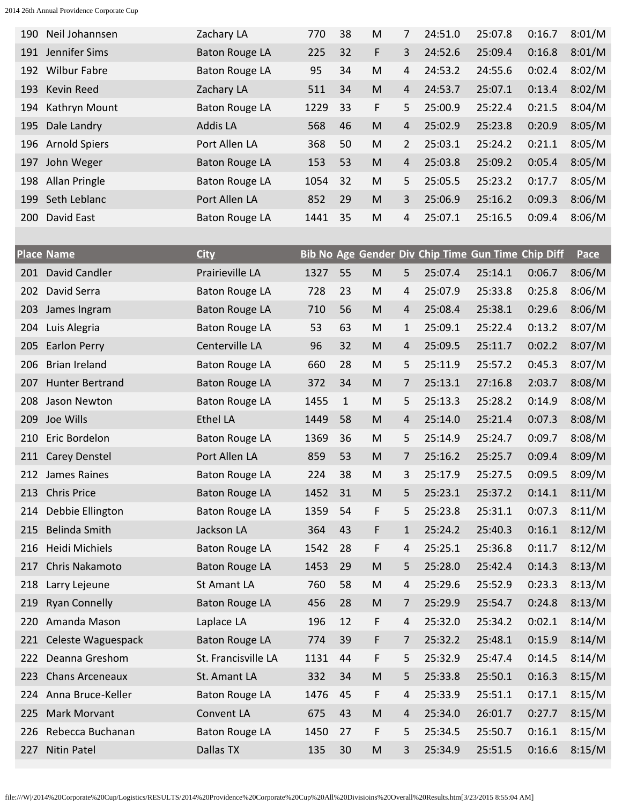| 190        | Neil Johannsen       | Zachary LA            | 770  | 38 | M | 7              | 24:51.0 | 25:07.8 | 0:16.7 | 8:01/M |
|------------|----------------------|-----------------------|------|----|---|----------------|---------|---------|--------|--------|
| 191        | Jennifer Sims        | <b>Baton Rouge LA</b> | 225  | 32 | F | 3              | 24:52.6 | 25:09.4 | 0:16.8 | 8:01/M |
| 192        | <b>Wilbur Fabre</b>  | <b>Baton Rouge LA</b> | 95   | 34 | M | 4              | 24:53.2 | 24:55.6 | 0:02.4 | 8:02/M |
| 193        | Kevin Reed           | Zachary LA            | 511  | 34 | M | $\overline{4}$ | 24:53.7 | 25:07.1 | 0:13.4 | 8:02/M |
| 194        | Kathryn Mount        | <b>Baton Rouge LA</b> | 1229 | 33 | F | 5              | 25:00.9 | 25:22.4 | 0:21.5 | 8:04/M |
|            | 195 Dale Landry      | <b>Addis LA</b>       | 568  | 46 | M | 4              | 25:02.9 | 25:23.8 | 0:20.9 | 8:05/M |
| 196        | <b>Arnold Spiers</b> | Port Allen LA         | 368  | 50 | M | $\overline{2}$ | 25:03.1 | 25:24.2 | 0:21.1 | 8:05/M |
| 197        | John Weger           | <b>Baton Rouge LA</b> | 153  | 53 | M | $\overline{4}$ | 25:03.8 | 25:09.2 | 0:05.4 | 8:05/M |
| 198        | Allan Pringle        | <b>Baton Rouge LA</b> | 1054 | 32 | M | 5.             | 25:05.5 | 25:23.2 | 0:17.7 | 8:05/M |
| 199        | Seth Leblanc         | Port Allen LA         | 852  | 29 | M | 3              | 25:06.9 | 25:16.2 | 0:09.3 | 8:06/M |
| <b>200</b> | David East           | <b>Baton Rouge LA</b> | 1441 | 35 | M | 4              | 25:07.1 | 25:16.5 | 0:09.4 | 8:06/M |

|     | <b>Place Name</b>      | <b>City</b>           |      |              |   |              |         | Bib No Age Gender Div Chip Time Gun Time Chip Diff |        | <u>Pace</u> |
|-----|------------------------|-----------------------|------|--------------|---|--------------|---------|----------------------------------------------------|--------|-------------|
| 201 | David Candler          | Prairieville LA       | 1327 | 55           | M | 5            | 25:07.4 | 25:14.1                                            | 0:06.7 | 8:06/M      |
| 202 | David Serra            | <b>Baton Rouge LA</b> | 728  | 23           | M | 4            | 25:07.9 | 25:33.8                                            | 0:25.8 | 8:06/M      |
| 203 | James Ingram           | <b>Baton Rouge LA</b> | 710  | 56           | M | 4            | 25:08.4 | 25:38.1                                            | 0:29.6 | 8:06/M      |
| 204 | Luis Alegria           | <b>Baton Rouge LA</b> | 53   | 63           | M | 1            | 25:09.1 | 25:22.4                                            | 0:13.2 | 8:07/M      |
| 205 | <b>Earlon Perry</b>    | Centerville LA        | 96   | 32           | M | 4            | 25:09.5 | 25:11.7                                            | 0:02.2 | 8:07/M      |
| 206 | <b>Brian Ireland</b>   | <b>Baton Rouge LA</b> | 660  | 28           | M | 5            | 25:11.9 | 25:57.2                                            | 0:45.3 | 8:07/M      |
| 207 | <b>Hunter Bertrand</b> | <b>Baton Rouge LA</b> | 372  | 34           | M | 7            | 25:13.1 | 27:16.8                                            | 2:03.7 | 8:08/M      |
| 208 | Jason Newton           | <b>Baton Rouge LA</b> | 1455 | $\mathbf{1}$ | M | 5            | 25:13.3 | 25:28.2                                            | 0:14.9 | 8:08/M      |
| 209 | Joe Wills              | <b>Ethel LA</b>       | 1449 | 58           | M | 4            | 25:14.0 | 25:21.4                                            | 0:07.3 | 8:08/M      |
| 210 | Eric Bordelon          | <b>Baton Rouge LA</b> | 1369 | 36           | M | 5            | 25:14.9 | 25:24.7                                            | 0:09.7 | 8:08/M      |
| 211 | <b>Carey Denstel</b>   | Port Allen LA         | 859  | 53           | M | 7            | 25:16.2 | 25:25.7                                            | 0:09.4 | 8:09/M      |
| 212 | James Raines           | <b>Baton Rouge LA</b> | 224  | 38           | M | 3            | 25:17.9 | 25:27.5                                            | 0:09.5 | 8:09/M      |
| 213 | <b>Chris Price</b>     | <b>Baton Rouge LA</b> | 1452 | 31           | M | 5            | 25:23.1 | 25:37.2                                            | 0:14.1 | 8:11/M      |
| 214 | Debbie Ellington       | <b>Baton Rouge LA</b> | 1359 | 54           | F | 5            | 25:23.8 | 25:31.1                                            | 0:07.3 | 8:11/M      |
| 215 | Belinda Smith          | Jackson LA            | 364  | 43           | F | $\mathbf{1}$ | 25:24.2 | 25:40.3                                            | 0:16.1 | 8:12/M      |
| 216 | <b>Heidi Michiels</b>  | <b>Baton Rouge LA</b> | 1542 | 28           | F | 4            | 25:25.1 | 25:36.8                                            | 0:11.7 | 8:12/M      |
| 217 | Chris Nakamoto         | <b>Baton Rouge LA</b> | 1453 | 29           | M | 5            | 25:28.0 | 25:42.4                                            | 0:14.3 | 8:13/M      |
| 218 | Larry Lejeune          | <b>St Amant LA</b>    | 760  | 58           | M | 4            | 25:29.6 | 25:52.9                                            | 0:23.3 | 8:13/M      |
| 219 | <b>Ryan Connelly</b>   | <b>Baton Rouge LA</b> | 456  | 28           | M | 7            | 25:29.9 | 25:54.7                                            | 0:24.8 | 8:13/M      |
| 220 | Amanda Mason           | Laplace LA            | 196  | 12           | F | 4            | 25:32.0 | 25:34.2                                            | 0:02.1 | 8:14/M      |
| 221 | Celeste Waguespack     | <b>Baton Rouge LA</b> | 774  | 39           | F | 7            | 25:32.2 | 25:48.1                                            | 0:15.9 | 8:14/M      |
| 222 | Deanna Greshom         | St. Francisville LA   | 1131 | 44           | F | 5            | 25:32.9 | 25:47.4                                            | 0:14.5 | 8:14/M      |
| 223 | <b>Chans Arceneaux</b> | St. Amant LA          | 332  | 34           | M | 5            | 25:33.8 | 25:50.1                                            | 0:16.3 | 8:15/M      |
| 224 | Anna Bruce-Keller      | <b>Baton Rouge LA</b> | 1476 | 45           | F | 4            | 25:33.9 | 25:51.1                                            | 0:17.1 | 8:15/M      |
| 225 | <b>Mark Morvant</b>    | Convent LA            | 675  | 43           | M | 4            | 25:34.0 | 26:01.7                                            | 0:27.7 | 8:15/M      |
| 226 | Rebecca Buchanan       | <b>Baton Rouge LA</b> | 1450 | 27           | F | 5            | 25:34.5 | 25:50.7                                            | 0:16.1 | 8:15/M      |
| 227 | <b>Nitin Patel</b>     | Dallas TX             | 135  | 30           | M | 3            | 25:34.9 | 25:51.5                                            | 0:16.6 | 8:15/M      |

file:///W|/2014%20Corporate%20Cup/Logistics/RESULTS/2014%20Providence%20Corporate%20Cup%20All%20Divisioins%20Overall%20Results.htm[3/23/2015 8:55:04 AM]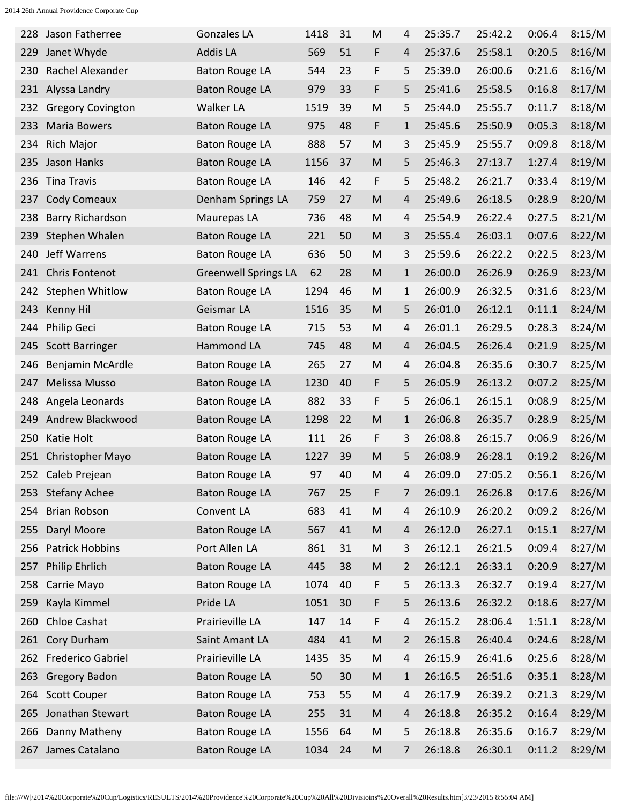| 228 | Jason Fatherree          | <b>Gonzales LA</b>          | 1418 | 31 | M         | 4              | 25:35.7 | 25:42.2 | 0:06.4 | 8:15/M |
|-----|--------------------------|-----------------------------|------|----|-----------|----------------|---------|---------|--------|--------|
| 229 | Janet Whyde              | <b>Addis LA</b>             | 569  | 51 | F         | 4              | 25:37.6 | 25:58.1 | 0:20.5 | 8:16/M |
| 230 | Rachel Alexander         | <b>Baton Rouge LA</b>       | 544  | 23 | F         | 5              | 25:39.0 | 26:00.6 | 0:21.6 | 8:16/M |
| 231 | Alyssa Landry            | <b>Baton Rouge LA</b>       | 979  | 33 | F         | 5              | 25:41.6 | 25:58.5 | 0:16.8 | 8:17/M |
| 232 | <b>Gregory Covington</b> | Walker LA                   | 1519 | 39 | M         | 5              | 25:44.0 | 25:55.7 | 0:11.7 | 8:18/M |
| 233 | <b>Maria Bowers</b>      | <b>Baton Rouge LA</b>       | 975  | 48 | F         | $\mathbf{1}$   | 25:45.6 | 25:50.9 | 0:05.3 | 8:18/M |
| 234 | <b>Rich Major</b>        | <b>Baton Rouge LA</b>       | 888  | 57 | M         | 3              | 25:45.9 | 25:55.7 | 0:09.8 | 8:18/M |
| 235 | Jason Hanks              | <b>Baton Rouge LA</b>       | 1156 | 37 | M         | 5              | 25:46.3 | 27:13.7 | 1:27.4 | 8:19/M |
| 236 | <b>Tina Travis</b>       | <b>Baton Rouge LA</b>       | 146  | 42 | F         | 5              | 25:48.2 | 26:21.7 | 0:33.4 | 8:19/M |
| 237 | Cody Comeaux             | Denham Springs LA           | 759  | 27 | M         | 4              | 25:49.6 | 26:18.5 | 0:28.9 | 8:20/M |
| 238 | Barry Richardson         | Maurepas LA                 | 736  | 48 | M         | 4              | 25:54.9 | 26:22.4 | 0:27.5 | 8:21/M |
| 239 | Stephen Whalen           | <b>Baton Rouge LA</b>       | 221  | 50 | M         | 3              | 25:55.4 | 26:03.1 | 0:07.6 | 8:22/M |
| 240 | Jeff Warrens             | <b>Baton Rouge LA</b>       | 636  | 50 | M         | 3              | 25:59.6 | 26:22.2 | 0:22.5 | 8:23/M |
| 241 | <b>Chris Fontenot</b>    | <b>Greenwell Springs LA</b> | 62   | 28 | M         | $\mathbf{1}$   | 26:00.0 | 26:26.9 | 0:26.9 | 8:23/M |
| 242 | <b>Stephen Whitlow</b>   | <b>Baton Rouge LA</b>       | 1294 | 46 | M         | 1              | 26:00.9 | 26:32.5 | 0:31.6 | 8:23/M |
| 243 | <b>Kenny Hil</b>         | Geismar LA                  | 1516 | 35 | M         | 5              | 26:01.0 | 26:12.1 | 0:11.1 | 8:24/M |
| 244 | Philip Geci              | <b>Baton Rouge LA</b>       | 715  | 53 | M         | 4              | 26:01.1 | 26:29.5 | 0:28.3 | 8:24/M |
| 245 | <b>Scott Barringer</b>   | Hammond LA                  | 745  | 48 | M         | 4              | 26:04.5 | 26:26.4 | 0:21.9 | 8:25/M |
| 246 | Benjamin McArdle         | <b>Baton Rouge LA</b>       | 265  | 27 | M         | 4              | 26:04.8 | 26:35.6 | 0:30.7 | 8:25/M |
| 247 | Melissa Musso            | <b>Baton Rouge LA</b>       | 1230 | 40 | F         | 5              | 26:05.9 | 26:13.2 | 0:07.2 | 8:25/M |
| 248 | Angela Leonards          | <b>Baton Rouge LA</b>       | 882  | 33 | F         | 5              | 26:06.1 | 26:15.1 | 0:08.9 | 8:25/M |
| 249 | Andrew Blackwood         | <b>Baton Rouge LA</b>       | 1298 | 22 | M         | $\mathbf{1}$   | 26:06.8 | 26:35.7 | 0:28.9 | 8:25/M |
| 250 | Katie Holt               | <b>Baton Rouge LA</b>       | 111  | 26 | F         | 3              | 26:08.8 | 26:15.7 | 0:06.9 | 8:26/M |
| 251 | <b>Christopher Mayo</b>  | <b>Baton Rouge LA</b>       | 1227 | 39 | M         | 5              | 26:08.9 | 26:28.1 | 0:19.2 | 8:26/M |
|     | 252 Caleb Prejean        | <b>Baton Rouge LA</b>       | 97   | 40 | M         | 4              | 26:09.0 | 27:05.2 | 0:56.1 | 8:26/M |
|     | 253 Stefany Achee        | <b>Baton Rouge LA</b>       | 767  | 25 | F         | 7              | 26:09.1 | 26:26.8 | 0:17.6 | 8:26/M |
| 254 | <b>Brian Robson</b>      | Convent LA                  | 683  | 41 | M         | 4              | 26:10.9 | 26:20.2 | 0:09.2 | 8:26/M |
| 255 | Daryl Moore              | <b>Baton Rouge LA</b>       | 567  | 41 | ${\sf M}$ | 4              | 26:12.0 | 26:27.1 | 0:15.1 | 8:27/M |
| 256 | <b>Patrick Hobbins</b>   | Port Allen LA               | 861  | 31 | M         | 3              | 26:12.1 | 26:21.5 | 0:09.4 | 8:27/M |
| 257 | Philip Ehrlich           | <b>Baton Rouge LA</b>       | 445  | 38 | ${\sf M}$ | $\overline{2}$ | 26:12.1 | 26:33.1 | 0:20.9 | 8:27/M |
| 258 | Carrie Mayo              | <b>Baton Rouge LA</b>       | 1074 | 40 | F         | 5              | 26:13.3 | 26:32.7 | 0:19.4 | 8:27/M |
| 259 | Kayla Kimmel             | Pride LA                    | 1051 | 30 | F         | 5              | 26:13.6 | 26:32.2 | 0:18.6 | 8:27/M |
| 260 | Chloe Cashat             | Prairieville LA             | 147  | 14 | F         | 4              | 26:15.2 | 28:06.4 | 1:51.1 | 8:28/M |
| 261 | Cory Durham              | Saint Amant LA              | 484  | 41 | ${\sf M}$ | 2              | 26:15.8 | 26:40.4 | 0:24.6 | 8:28/M |
|     | 262 Frederico Gabriel    | Prairieville LA             | 1435 | 35 | M         | 4              | 26:15.9 | 26:41.6 | 0:25.6 | 8:28/M |
| 263 | <b>Gregory Badon</b>     | <b>Baton Rouge LA</b>       | 50   | 30 | ${\sf M}$ | $\mathbf{1}$   | 26:16.5 | 26:51.6 | 0:35.1 | 8:28/M |
| 264 | <b>Scott Couper</b>      | <b>Baton Rouge LA</b>       | 753  | 55 | M         | 4              | 26:17.9 | 26:39.2 | 0:21.3 | 8:29/M |
| 265 | Jonathan Stewart         | <b>Baton Rouge LA</b>       | 255  | 31 | M         | 4              | 26:18.8 | 26:35.2 | 0:16.4 | 8:29/M |
| 266 | Danny Matheny            | <b>Baton Rouge LA</b>       | 1556 | 64 | M         | 5              | 26:18.8 | 26:35.6 | 0:16.7 | 8:29/M |
| 267 | James Catalano           | <b>Baton Rouge LA</b>       | 1034 | 24 | M         | 7              | 26:18.8 | 26:30.1 | 0:11.2 | 8:29/M |
|     |                          |                             |      |    |           |                |         |         |        |        |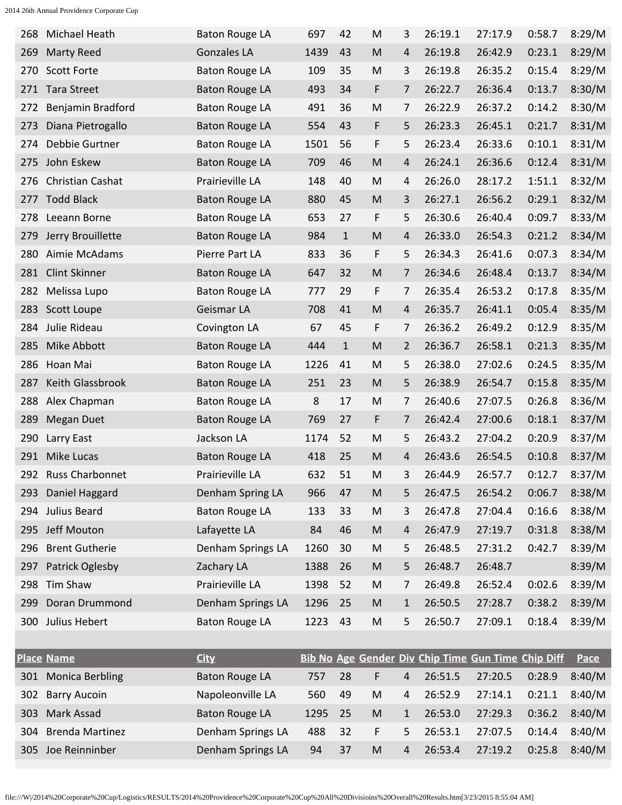| 268 | Michael Heath          | <b>Baton Rouge LA</b> | 697  | 42           | M         | 3              | 26:19.1 | 27:17.9                                            | 0:58.7 | 8:29/M |
|-----|------------------------|-----------------------|------|--------------|-----------|----------------|---------|----------------------------------------------------|--------|--------|
| 269 | <b>Marty Reed</b>      | <b>Gonzales LA</b>    | 1439 | 43           | M         | 4              | 26:19.8 | 26:42.9                                            | 0:23.1 | 8:29/M |
| 270 | <b>Scott Forte</b>     | <b>Baton Rouge LA</b> | 109  | 35           | M         | 3              | 26:19.8 | 26:35.2                                            | 0:15.4 | 8:29/M |
| 271 | <b>Tara Street</b>     | <b>Baton Rouge LA</b> | 493  | 34           | F         | 7              | 26:22.7 | 26:36.4                                            | 0:13.7 | 8:30/M |
| 272 | Benjamin Bradford      | <b>Baton Rouge LA</b> | 491  | 36           | M         | 7              | 26:22.9 | 26:37.2                                            | 0:14.2 | 8:30/M |
| 273 | Diana Pietrogallo      | <b>Baton Rouge LA</b> | 554  | 43           | F         | 5              | 26:23.3 | 26:45.1                                            | 0:21.7 | 8:31/M |
| 274 | Debbie Gurtner         | <b>Baton Rouge LA</b> | 1501 | 56           | F         | 5              | 26:23.4 | 26:33.6                                            | 0:10.1 | 8:31/M |
| 275 | John Eskew             | <b>Baton Rouge LA</b> | 709  | 46           | M         | 4              | 26:24.1 | 26:36.6                                            | 0:12.4 | 8:31/M |
| 276 | Christian Cashat       | Prairieville LA       | 148  | 40           | M         | 4              | 26:26.0 | 28:17.2                                            | 1:51.1 | 8:32/M |
| 277 | <b>Todd Black</b>      | <b>Baton Rouge LA</b> | 880  | 45           | M         | 3              | 26:27.1 | 26:56.2                                            | 0:29.1 | 8:32/M |
| 278 | Leeann Borne           | <b>Baton Rouge LA</b> | 653  | 27           | F         | 5              | 26:30.6 | 26:40.4                                            | 0:09.7 | 8:33/M |
| 279 | Jerry Brouillette      | <b>Baton Rouge LA</b> | 984  | $\mathbf{1}$ | M         | 4              | 26:33.0 | 26:54.3                                            | 0:21.2 | 8:34/M |
| 280 | Aimie McAdams          | Pierre Part LA        | 833  | 36           | F         | 5              | 26:34.3 | 26:41.6                                            | 0:07.3 | 8:34/M |
| 281 | <b>Clint Skinner</b>   | <b>Baton Rouge LA</b> | 647  | 32           | M         | 7              | 26:34.6 | 26:48.4                                            | 0:13.7 | 8:34/M |
| 282 | Melissa Lupo           | <b>Baton Rouge LA</b> | 777  | 29           | F         | 7              | 26:35.4 | 26:53.2                                            | 0:17.8 | 8:35/M |
| 283 | Scott Loupe            | Geismar LA            | 708  | 41           | M         | 4              | 26:35.7 | 26:41.1                                            | 0:05.4 | 8:35/M |
| 284 | Julie Rideau           | Covington LA          | 67   | 45           | F         | 7              | 26:36.2 | 26:49.2                                            | 0:12.9 | 8:35/M |
| 285 | Mike Abbott            | <b>Baton Rouge LA</b> | 444  | $\mathbf{1}$ | M         | 2              | 26:36.7 | 26:58.1                                            | 0:21.3 | 8:35/M |
| 286 | Hoan Mai               | <b>Baton Rouge LA</b> | 1226 | 41           | M         | 5              | 26:38.0 | 27:02.6                                            | 0:24.5 | 8:35/M |
| 287 | Keith Glassbrook       | <b>Baton Rouge LA</b> | 251  | 23           | M         | 5              | 26:38.9 | 26:54.7                                            | 0:15.8 | 8:35/M |
| 288 | Alex Chapman           | <b>Baton Rouge LA</b> | 8    | 17           | M         | 7              | 26:40.6 | 27:07.5                                            | 0:26.8 | 8:36/M |
| 289 | <b>Megan Duet</b>      | <b>Baton Rouge LA</b> | 769  | 27           | F         | 7              | 26:42.4 | 27:00.6                                            | 0:18.1 | 8:37/M |
| 290 | Larry East             | Jackson LA            | 1174 | 52           | M         | 5              | 26:43.2 | 27:04.2                                            | 0:20.9 | 8:37/M |
| 291 | Mike Lucas             | <b>Baton Rouge LA</b> | 418  | 25           | M         | 4              | 26:43.6 | 26:54.5                                            | 0:10.8 | 8:37/M |
| 292 | <b>Russ Charbonnet</b> | Prairieville LA       | 632  | 51           | M         | 3              | 26:44.9 | 26:57.7                                            | 0:12.7 | 8:37/M |
| 293 | Daniel Haggard         | Denham Spring LA      | 966  | 47           | ${\sf M}$ | 5              | 26:47.5 | 26:54.2                                            | 0:06.7 | 8:38/M |
| 294 | Julius Beard           | <b>Baton Rouge LA</b> | 133  | 33           | ${\sf M}$ | 3              | 26:47.8 | 27:04.4                                            | 0:16.6 | 8:38/M |
| 295 | Jeff Mouton            | Lafayette LA          | 84   | 46           | ${\sf M}$ | $\overline{4}$ | 26:47.9 | 27:19.7                                            | 0:31.8 | 8:38/M |
| 296 | <b>Brent Gutherie</b>  | Denham Springs LA     | 1260 | 30           | ${\sf M}$ | 5              | 26:48.5 | 27:31.2                                            | 0:42.7 | 8:39/M |
| 297 | Patrick Oglesby        | Zachary LA            | 1388 | 26           | ${\sf M}$ | 5              | 26:48.7 | 26:48.7                                            |        | 8:39/M |
| 298 | Tim Shaw               | Prairieville LA       | 1398 | 52           | ${\sf M}$ | 7              | 26:49.8 | 26:52.4                                            | 0:02.6 | 8:39/M |
| 299 | Doran Drummond         | Denham Springs LA     | 1296 | 25           | ${\sf M}$ | $\mathbf{1}$   | 26:50.5 | 27:28.7                                            | 0:38.2 | 8:39/M |
|     | 300 Julius Hebert      | <b>Baton Rouge LA</b> | 1223 | 43           | ${\sf M}$ | 5              | 26:50.7 | 27:09.1                                            | 0:18.4 | 8:39/M |
|     |                        |                       |      |              |           |                |         |                                                    |        |        |
|     | <b>Place Name</b>      | <b>City</b>           |      |              |           |                |         | Bib No Age Gender Div Chip Time Gun Time Chip Diff |        | Pace   |
|     |                        |                       |      |              |           |                |         |                                                    |        |        |

|     | <u>Place Name</u>      | <u>City</u>       |      |       |    |              |         | <u>Bib No Age Gender Div Chip Time Gun Time Chip Diff Pace</u> |        |        |
|-----|------------------------|-------------------|------|-------|----|--------------|---------|----------------------------------------------------------------|--------|--------|
| 301 | <b>Monica Berbling</b> | Baton Rouge LA    | 757  | -28   | F. | 4            | 26:51.5 | 27:20.5                                                        | 0:28.9 | 8:40/M |
|     | 302 Barry Aucoin       | Napoleonville LA  | 560  | 49    | M  | 4            | 26:52.9 | 27:14.1                                                        | 0:21.1 | 8:40/M |
|     | 303 Mark Assad         | Baton Rouge LA    | 1295 | -25   | M  | $\mathbf{1}$ | 26:53.0 | 27:29.3                                                        | 0:36.2 | 8:40/M |
|     | 304 Brenda Martinez    | Denham Springs LA | 488  | $-32$ | F  | 5.           | 26:53.1 | 27:07.5                                                        | 0:14.4 | 8:40/M |
|     | 305 Joe Reinninber     | Denham Springs LA | 94   | -37   | M  | 4            | 26:53.4 | 27:19.2                                                        | 0:25.8 | 8:40/M |
|     |                        |                   |      |       |    |              |         |                                                                |        |        |

file:///W|/2014%20Corporate%20Cup/Logistics/RESULTS/2014%20Providence%20Corporate%20Cup%20All%20Divisioins%20Overall%20Results.htm[3/23/2015 8:55:04 AM]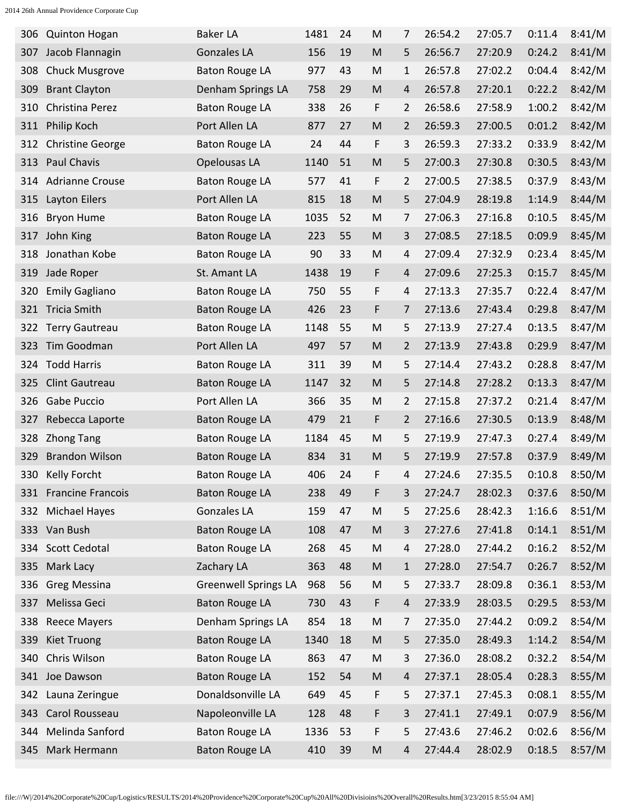|     | 306 Quinton Hogan       | <b>Baker LA</b>             | 1481 | 24 | M                                                                                                          | 7 | 26:54.2 | 27:05.7 | 0:11.4 | 8:41/M |
|-----|-------------------------|-----------------------------|------|----|------------------------------------------------------------------------------------------------------------|---|---------|---------|--------|--------|
| 307 | Jacob Flannagin         | <b>Gonzales LA</b>          | 156  | 19 | M                                                                                                          | 5 | 26:56.7 | 27:20.9 | 0:24.2 | 8:41/M |
| 308 | <b>Chuck Musgrove</b>   | <b>Baton Rouge LA</b>       | 977  | 43 | M                                                                                                          | 1 | 26:57.8 | 27:02.2 | 0:04.4 | 8:42/M |
| 309 | <b>Brant Clayton</b>    | Denham Springs LA           | 758  | 29 | M                                                                                                          | 4 | 26:57.8 | 27:20.1 | 0:22.2 | 8:42/M |
| 310 | Christina Perez         | <b>Baton Rouge LA</b>       | 338  | 26 | F                                                                                                          | 2 | 26:58.6 | 27:58.9 | 1:00.2 | 8:42/M |
| 311 | Philip Koch             | Port Allen LA               | 877  | 27 | M                                                                                                          | 2 | 26:59.3 | 27:00.5 | 0:01.2 | 8:42/M |
| 312 | <b>Christine George</b> | <b>Baton Rouge LA</b>       | 24   | 44 | F                                                                                                          | 3 | 26:59.3 | 27:33.2 | 0:33.9 | 8:42/M |
| 313 | Paul Chavis             | Opelousas LA                | 1140 | 51 | M                                                                                                          | 5 | 27:00.3 | 27:30.8 | 0:30.5 | 8:43/M |
| 314 | <b>Adrianne Crouse</b>  | <b>Baton Rouge LA</b>       | 577  | 41 | F                                                                                                          | 2 | 27:00.5 | 27:38.5 | 0:37.9 | 8:43/M |
| 315 | Layton Eilers           | Port Allen LA               | 815  | 18 | M                                                                                                          | 5 | 27:04.9 | 28:19.8 | 1:14.9 | 8:44/M |
| 316 | <b>Bryon Hume</b>       | <b>Baton Rouge LA</b>       | 1035 | 52 | M                                                                                                          | 7 | 27:06.3 | 27:16.8 | 0:10.5 | 8:45/M |
| 317 | John King               | <b>Baton Rouge LA</b>       | 223  | 55 | M                                                                                                          | 3 | 27:08.5 | 27:18.5 | 0:09.9 | 8:45/M |
| 318 | Jonathan Kobe           | <b>Baton Rouge LA</b>       | 90   | 33 | M                                                                                                          | 4 | 27:09.4 | 27:32.9 | 0:23.4 | 8:45/M |
| 319 | Jade Roper              | St. Amant LA                | 1438 | 19 | F                                                                                                          | 4 | 27:09.6 | 27:25.3 | 0:15.7 | 8:45/M |
| 320 | <b>Emily Gagliano</b>   | <b>Baton Rouge LA</b>       | 750  | 55 | F                                                                                                          | 4 | 27:13.3 | 27:35.7 | 0:22.4 | 8:47/M |
| 321 | Tricia Smith            | <b>Baton Rouge LA</b>       | 426  | 23 | F                                                                                                          | 7 | 27:13.6 | 27:43.4 | 0:29.8 | 8:47/M |
| 322 | <b>Terry Gautreau</b>   | <b>Baton Rouge LA</b>       | 1148 | 55 | M                                                                                                          | 5 | 27:13.9 | 27:27.4 | 0:13.5 | 8:47/M |
| 323 | Tim Goodman             | Port Allen LA               | 497  | 57 | M                                                                                                          | 2 | 27:13.9 | 27:43.8 | 0:29.9 | 8:47/M |
| 324 | <b>Todd Harris</b>      | <b>Baton Rouge LA</b>       | 311  | 39 | M                                                                                                          | 5 | 27:14.4 | 27:43.2 | 0:28.8 | 8:47/M |
| 325 | Clint Gautreau          | <b>Baton Rouge LA</b>       | 1147 | 32 | M                                                                                                          | 5 | 27:14.8 | 27:28.2 | 0:13.3 | 8:47/M |
| 326 | Gabe Puccio             | Port Allen LA               | 366  | 35 | M                                                                                                          | 2 | 27:15.8 | 27:37.2 | 0:21.4 | 8:47/M |
| 327 | Rebecca Laporte         | <b>Baton Rouge LA</b>       | 479  | 21 | F                                                                                                          | 2 | 27:16.6 | 27:30.5 | 0:13.9 | 8:48/M |
| 328 | <b>Zhong Tang</b>       | <b>Baton Rouge LA</b>       | 1184 | 45 | M                                                                                                          | 5 | 27:19.9 | 27:47.3 | 0:27.4 | 8:49/M |
| 329 | <b>Brandon Wilson</b>   | <b>Baton Rouge LA</b>       | 834  | 31 | M                                                                                                          | 5 | 27:19.9 | 27:57.8 | 0:37.9 | 8:49/M |
| 330 | <b>Kelly Forcht</b>     | <b>Baton Rouge LA</b>       | 406  | 24 | F                                                                                                          | 4 | 27:24.6 | 27:35.5 | 0:10.8 | 8:50/M |
|     | 331 Francine Francois   | <b>Baton Rouge LA</b>       | 238  | 49 | F                                                                                                          | 3 | 27:24.7 | 28:02.3 | 0:37.6 | 8:50/M |
|     | 332 Michael Hayes       | Gonzales LA                 | 159  | 47 | M                                                                                                          | 5 | 27:25.6 | 28:42.3 | 1:16.6 | 8:51/M |
|     | 333 Van Bush            | <b>Baton Rouge LA</b>       | 108  | 47 | $\mathsf{M}% _{T}=\mathsf{M}_{T}\!\left( a,b\right) ,\ \mathsf{M}_{T}=\mathsf{M}_{T}\!\left( a,b\right) ,$ | 3 | 27:27.6 | 27:41.8 | 0:14.1 | 8:51/M |
|     | 334 Scott Cedotal       | <b>Baton Rouge LA</b>       | 268  | 45 | M                                                                                                          | 4 | 27:28.0 | 27:44.2 | 0:16.2 | 8:52/M |
|     | 335 Mark Lacy           | Zachary LA                  | 363  | 48 | $\mathsf{M}% _{T}=\mathsf{M}_{T}\!\left( a,b\right) ,\ \mathsf{M}_{T}=\mathsf{M}_{T}\!\left( a,b\right) ,$ | 1 | 27:28.0 | 27:54.7 | 0:26.7 | 8:52/M |
|     | 336 Greg Messina        | <b>Greenwell Springs LA</b> | 968  | 56 | M                                                                                                          | 5 | 27:33.7 | 28:09.8 | 0:36.1 | 8:53/M |
| 337 | Melissa Geci            | <b>Baton Rouge LA</b>       | 730  | 43 | F                                                                                                          | 4 | 27:33.9 | 28:03.5 | 0:29.5 | 8:53/M |
|     | 338 Reece Mayers        | Denham Springs LA           | 854  | 18 | M                                                                                                          | 7 | 27:35.0 | 27:44.2 | 0:09.2 | 8:54/M |
| 339 | Kiet Truong             | <b>Baton Rouge LA</b>       | 1340 | 18 | $\mathsf{M}% _{T}=\mathsf{M}_{T}\!\left( a,b\right) ,\ \mathsf{M}_{T}=\mathsf{M}_{T}\!\left( a,b\right) ,$ | 5 | 27:35.0 | 28:49.3 | 1:14.2 | 8:54/M |
|     | 340 Chris Wilson        | <b>Baton Rouge LA</b>       | 863  | 47 | M                                                                                                          | 3 | 27:36.0 | 28:08.2 | 0:32.2 | 8:54/M |
|     | 341 Joe Dawson          | <b>Baton Rouge LA</b>       | 152  | 54 | ${\sf M}$                                                                                                  | 4 | 27:37.1 | 28:05.4 | 0:28.3 | 8:55/M |
|     | 342 Launa Zeringue      | Donaldsonville LA           | 649  | 45 | F                                                                                                          | 5 | 27:37.1 | 27:45.3 | 0:08.1 | 8:55/M |
| 343 | Carol Rousseau          | Napoleonville LA            | 128  | 48 | F                                                                                                          | 3 | 27:41.1 | 27:49.1 | 0:07.9 | 8:56/M |
|     | 344 Melinda Sanford     | <b>Baton Rouge LA</b>       | 1336 | 53 | F                                                                                                          | 5 | 27:43.6 | 27:46.2 | 0:02.6 | 8:56/M |
|     | 345 Mark Hermann        | <b>Baton Rouge LA</b>       | 410  | 39 | M                                                                                                          | 4 | 27:44.4 | 28:02.9 | 0:18.5 | 8:57/M |
|     |                         |                             |      |    |                                                                                                            |   |         |         |        |        |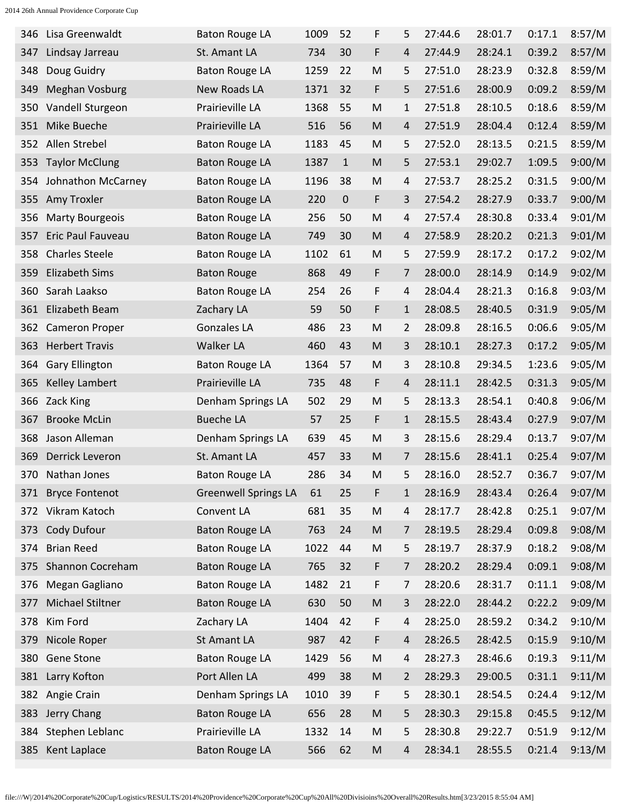| 346 | Lisa Greenwaldt         | <b>Baton Rouge LA</b>       | 1009 | 52           | F         | 5              | 27:44.6 | 28:01.7 | 0:17.1 | 8:57/M |
|-----|-------------------------|-----------------------------|------|--------------|-----------|----------------|---------|---------|--------|--------|
| 347 | Lindsay Jarreau         | St. Amant LA                | 734  | 30           | F         | 4              | 27:44.9 | 28:24.1 | 0:39.2 | 8:57/M |
| 348 | Doug Guidry             | <b>Baton Rouge LA</b>       | 1259 | 22           | M         | 5              | 27:51.0 | 28:23.9 | 0:32.8 | 8:59/M |
| 349 | <b>Meghan Vosburg</b>   | <b>New Roads LA</b>         | 1371 | 32           | F         | 5              | 27:51.6 | 28:00.9 | 0:09.2 | 8:59/M |
| 350 | Vandell Sturgeon        | Prairieville LA             | 1368 | 55           | M         | 1              | 27:51.8 | 28:10.5 | 0:18.6 | 8:59/M |
| 351 | Mike Bueche             | Prairieville LA             | 516  | 56           | M         | 4              | 27:51.9 | 28:04.4 | 0:12.4 | 8:59/M |
| 352 | Allen Strebel           | <b>Baton Rouge LA</b>       | 1183 | 45           | M         | 5              | 27:52.0 | 28:13.5 | 0:21.5 | 8:59/M |
| 353 | <b>Taylor McClung</b>   | <b>Baton Rouge LA</b>       | 1387 | $\mathbf{1}$ | M         | 5              | 27:53.1 | 29:02.7 | 1:09.5 | 9:00/M |
| 354 | Johnathon McCarney      | <b>Baton Rouge LA</b>       | 1196 | 38           | M         | 4              | 27:53.7 | 28:25.2 | 0:31.5 | 9:00/M |
| 355 | Amy Troxler             | <b>Baton Rouge LA</b>       | 220  | $\mathbf 0$  | F         | 3              | 27:54.2 | 28:27.9 | 0:33.7 | 9:00/M |
| 356 | <b>Marty Bourgeois</b>  | <b>Baton Rouge LA</b>       | 256  | 50           | M         | 4              | 27:57.4 | 28:30.8 | 0:33.4 | 9:01/M |
| 357 | Eric Paul Fauveau       | <b>Baton Rouge LA</b>       | 749  | 30           | M         | 4              | 27:58.9 | 28:20.2 | 0:21.3 | 9:01/M |
| 358 | <b>Charles Steele</b>   | <b>Baton Rouge LA</b>       | 1102 | 61           | M         | 5              | 27:59.9 | 28:17.2 | 0:17.2 | 9:02/M |
| 359 | <b>Elizabeth Sims</b>   | <b>Baton Rouge</b>          | 868  | 49           | F         | 7              | 28:00.0 | 28:14.9 | 0:14.9 | 9:02/M |
| 360 | Sarah Laakso            | <b>Baton Rouge LA</b>       | 254  | 26           | F         | 4              | 28:04.4 | 28:21.3 | 0:16.8 | 9:03/M |
| 361 | Elizabeth Beam          | Zachary LA                  | 59   | 50           | F         | 1              | 28:08.5 | 28:40.5 | 0:31.9 | 9:05/M |
| 362 | <b>Cameron Proper</b>   | Gonzales LA                 | 486  | 23           | M         | 2              | 28:09.8 | 28:16.5 | 0:06.6 | 9:05/M |
| 363 | <b>Herbert Travis</b>   | <b>Walker LA</b>            | 460  | 43           | M         | 3              | 28:10.1 | 28:27.3 | 0:17.2 | 9:05/M |
| 364 | <b>Gary Ellington</b>   | <b>Baton Rouge LA</b>       | 1364 | 57           | M         | 3              | 28:10.8 | 29:34.5 | 1:23.6 | 9:05/M |
| 365 | Kelley Lambert          | Prairieville LA             | 735  | 48           | F         | 4              | 28:11.1 | 28:42.5 | 0:31.3 | 9:05/M |
| 366 | Zack King               | Denham Springs LA           | 502  | 29           | M         | 5              | 28:13.3 | 28:54.1 | 0:40.8 | 9:06/M |
| 367 | <b>Brooke McLin</b>     | <b>Bueche LA</b>            | 57   | 25           | F         | $\mathbf{1}$   | 28:15.5 | 28:43.4 | 0:27.9 | 9:07/M |
| 368 | Jason Alleman           | Denham Springs LA           | 639  | 45           | M         | 3              | 28:15.6 | 28:29.4 | 0:13.7 | 9:07/M |
| 369 | <b>Derrick Leveron</b>  | St. Amant LA                | 457  | 33           | M         | 7              | 28:15.6 | 28:41.1 | 0:25.4 | 9:07/M |
| 370 | Nathan Jones            | <b>Baton Rouge LA</b>       | 286  | 34           | M         | 5              | 28:16.0 | 28:52.7 | 0:36.7 | 9:07/M |
| 371 | <b>Bryce Fontenot</b>   | <b>Greenwell Springs LA</b> | 61   | 25           | F         | $\mathbf{1}$   | 28:16.9 | 28:43.4 | 0:26.4 | 9:07/M |
|     | 372 Vikram Katoch       | Convent LA                  | 681  | 35           | ${\sf M}$ | 4              | 28:17.7 | 28:42.8 | 0:25.1 | 9:07/M |
| 373 | Cody Dufour             | <b>Baton Rouge LA</b>       | 763  | 24           | ${\sf M}$ | 7              | 28:19.5 | 28:29.4 | 0:09.8 | 9:08/M |
| 374 | <b>Brian Reed</b>       | <b>Baton Rouge LA</b>       | 1022 | 44           | ${\sf M}$ | 5              | 28:19.7 | 28:37.9 | 0:18.2 | 9:08/M |
| 375 | <b>Shannon Cocreham</b> | <b>Baton Rouge LA</b>       | 765  | 32           | F         | 7              | 28:20.2 | 28:29.4 | 0:09.1 | 9:08/M |
| 376 | Megan Gagliano          | <b>Baton Rouge LA</b>       | 1482 | 21           | F         | 7              | 28:20.6 | 28:31.7 | 0:11.1 | 9:08/M |
| 377 | Michael Stiltner        | <b>Baton Rouge LA</b>       | 630  | 50           | ${\sf M}$ | 3              | 28:22.0 | 28:44.2 | 0:22.2 | 9:09/M |
| 378 | Kim Ford                | Zachary LA                  | 1404 | 42           | F         | 4              | 28:25.0 | 28:59.2 | 0:34.2 | 9:10/M |
| 379 | Nicole Roper            | St Amant LA                 | 987  | 42           | F         | $\overline{4}$ | 28:26.5 | 28:42.5 | 0:15.9 | 9:10/M |
|     | 380 Gene Stone          | <b>Baton Rouge LA</b>       | 1429 | 56           | ${\sf M}$ | 4              | 28:27.3 | 28:46.6 | 0:19.3 | 9:11/M |
|     |                         | Port Allen LA               | 499  | 38           |           |                |         | 29:00.5 | 0:31.1 |        |
| 381 | Larry Kofton            |                             |      |              | ${\sf M}$ | $\overline{2}$ | 28:29.3 |         |        | 9:11/M |
|     | 382 Angie Crain         | Denham Springs LA           | 1010 | 39           | F         | 5              | 28:30.1 | 28:54.5 | 0:24.4 | 9:12/M |
| 383 | Jerry Chang             | <b>Baton Rouge LA</b>       | 656  | 28           | ${\sf M}$ | 5              | 28:30.3 | 29:15.8 | 0:45.5 | 9:12/M |
| 384 | Stephen Leblanc         | Prairieville LA             | 1332 | 14           | ${\sf M}$ | 5              | 28:30.8 | 29:22.7 | 0:51.9 | 9:12/M |
| 385 | Kent Laplace            | <b>Baton Rouge LA</b>       | 566  | 62           | M         | 4              | 28:34.1 | 28:55.5 | 0:21.4 | 9:13/M |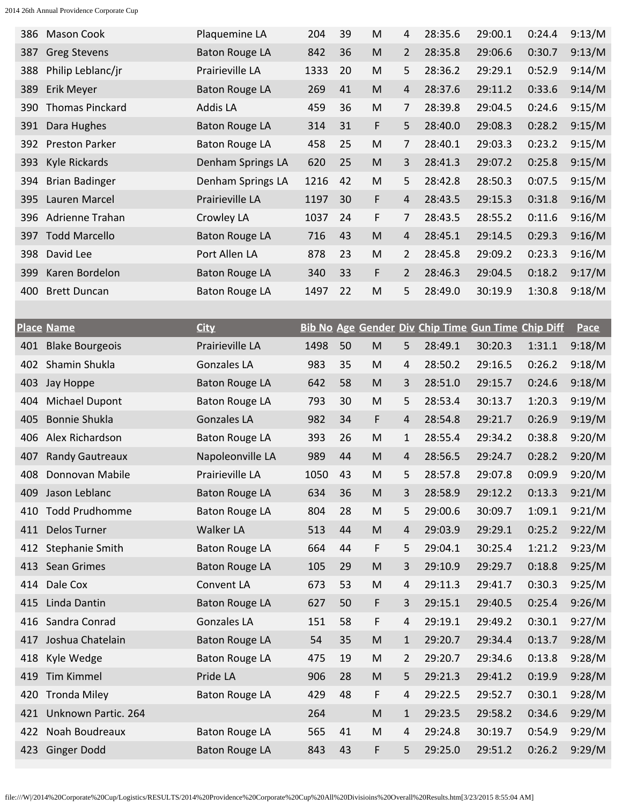| 387 | <b>Mason Cook</b>      | Plaquemine LA         | 204  | 39 | M                                                                                                          | 4              | 28:35.6                                            | 29:00.1 | 0:24.4 | 9:13/M      |
|-----|------------------------|-----------------------|------|----|------------------------------------------------------------------------------------------------------------|----------------|----------------------------------------------------|---------|--------|-------------|
|     | <b>Greg Stevens</b>    | <b>Baton Rouge LA</b> | 842  | 36 | M                                                                                                          | 2              | 28:35.8                                            | 29:06.6 | 0:30.7 | 9:13/M      |
| 388 | Philip Leblanc/jr      | Prairieville LA       | 1333 | 20 | M                                                                                                          | 5              | 28:36.2                                            | 29:29.1 | 0:52.9 | 9:14/M      |
| 389 | Erik Meyer             | <b>Baton Rouge LA</b> | 269  | 41 | M                                                                                                          | 4              | 28:37.6                                            | 29:11.2 | 0:33.6 | 9:14/M      |
| 390 | <b>Thomas Pinckard</b> | Addis LA              | 459  | 36 | M                                                                                                          | 7              | 28:39.8                                            | 29:04.5 | 0:24.6 | 9:15/M      |
| 391 | Dara Hughes            | <b>Baton Rouge LA</b> | 314  | 31 | F                                                                                                          | 5              | 28:40.0                                            | 29:08.3 | 0:28.2 | 9:15/M      |
| 392 | <b>Preston Parker</b>  | <b>Baton Rouge LA</b> | 458  | 25 | M                                                                                                          | 7              | 28:40.1                                            | 29:03.3 | 0:23.2 | 9:15/M      |
| 393 | Kyle Rickards          | Denham Springs LA     | 620  | 25 | M                                                                                                          | 3              | 28:41.3                                            | 29:07.2 | 0:25.8 | 9:15/M      |
| 394 | <b>Brian Badinger</b>  | Denham Springs LA     | 1216 | 42 | M                                                                                                          | 5              | 28:42.8                                            | 28:50.3 | 0:07.5 | 9:15/M      |
| 395 | Lauren Marcel          | Prairieville LA       | 1197 | 30 | F                                                                                                          | 4              | 28:43.5                                            | 29:15.3 | 0:31.8 | 9:16/M      |
| 396 | Adrienne Trahan        | Crowley LA            | 1037 | 24 | F                                                                                                          | 7              | 28:43.5                                            | 28:55.2 | 0:11.6 | 9:16/M      |
| 397 | <b>Todd Marcello</b>   | <b>Baton Rouge LA</b> | 716  | 43 | M                                                                                                          | 4              | 28:45.1                                            | 29:14.5 | 0:29.3 | 9:16/M      |
| 398 | David Lee              | Port Allen LA         | 878  | 23 | M                                                                                                          | 2              | 28:45.8                                            | 29:09.2 | 0:23.3 | 9:16/M      |
| 399 | Karen Bordelon         | <b>Baton Rouge LA</b> | 340  | 33 | F                                                                                                          | $\overline{2}$ | 28:46.3                                            | 29:04.5 | 0:18.2 | 9:17/M      |
| 400 | <b>Brett Duncan</b>    | <b>Baton Rouge LA</b> | 1497 | 22 | M                                                                                                          | 5              | 28:49.0                                            | 30:19.9 | 1:30.8 | 9:18/M      |
|     |                        |                       |      |    |                                                                                                            |                |                                                    |         |        |             |
|     | <b>Place Name</b>      | <b>City</b>           |      |    |                                                                                                            |                | Bib No Age Gender Div Chip Time Gun Time Chip Diff |         |        | <b>Pace</b> |
| 401 | <b>Blake Bourgeois</b> | Prairieville LA       | 1498 | 50 | M                                                                                                          | 5              | 28:49.1                                            | 30:20.3 | 1:31.1 | 9:18/M      |
| 402 | Shamin Shukla          | <b>Gonzales LA</b>    | 983  | 35 | M                                                                                                          | 4              | 28:50.2                                            | 29:16.5 | 0:26.2 | 9:18/M      |
| 403 | <b>Jay Hoppe</b>       | <b>Baton Rouge LA</b> | 642  | 58 | M                                                                                                          | 3              | 28:51.0                                            | 29:15.7 | 0:24.6 | 9:18/M      |
| 404 | Michael Dupont         | <b>Baton Rouge LA</b> | 793  | 30 | M                                                                                                          | 5              | 28:53.4                                            | 30:13.7 | 1:20.3 | 9:19/M      |
|     |                        |                       |      |    |                                                                                                            |                |                                                    |         |        |             |
| 405 | <b>Bonnie Shukla</b>   | <b>Gonzales LA</b>    | 982  | 34 | F                                                                                                          | 4              | 28:54.8                                            | 29:21.7 | 0:26.9 | 9:19/M      |
| 406 | Alex Richardson        | <b>Baton Rouge LA</b> | 393  | 26 | M                                                                                                          | 1              | 28:55.4                                            | 29:34.2 | 0:38.8 | 9:20/M      |
| 407 | <b>Randy Gautreaux</b> | Napoleonville LA      | 989  | 44 | M                                                                                                          | 4              | 28:56.5                                            | 29:24.7 | 0:28.2 | 9:20/M      |
| 408 | Donnovan Mabile        | Prairieville LA       | 1050 | 43 | M                                                                                                          | 5              | 28:57.8                                            | 29:07.8 | 0:09.9 | 9:20/M      |
| 409 | Jason Leblanc          | <b>Baton Rouge LA</b> | 634  | 36 | M                                                                                                          | 3              | 28:58.9                                            | 29:12.2 | 0:13.3 | 9:21/M      |
| 410 | <b>Todd Prudhomme</b>  | <b>Baton Rouge LA</b> | 804  | 28 | ${\sf M}$                                                                                                  | 5              | 29:00.6                                            | 30:09.7 | 1:09.1 | 9:21/M      |
| 411 | <b>Delos Turner</b>    | Walker LA             | 513  | 44 | $\mathsf{M}% _{T}=\mathsf{M}_{T}\!\left( a,b\right) ,\ \mathsf{M}_{T}=\mathsf{M}_{T}\!\left( a,b\right) ,$ | 4              | 29:03.9                                            | 29:29.1 | 0:25.2 | 9:22/M      |
| 412 | Stephanie Smith        | <b>Baton Rouge LA</b> | 664  | 44 | F                                                                                                          | 5              | 29:04.1                                            | 30:25.4 | 1:21.2 | 9:23/M      |
| 413 | Sean Grimes            | <b>Baton Rouge LA</b> | 105  | 29 | $\mathsf{M}% _{T}=\mathsf{M}_{T}\!\left( a,b\right) ,\ \mathsf{M}_{T}=\mathsf{M}_{T}\!\left( a,b\right) ,$ | 3              | 29:10.9                                            | 29:29.7 | 0:18.8 | 9:25/M      |
| 414 | Dale Cox               | Convent LA            | 673  | 53 | M                                                                                                          | 4              | 29:11.3                                            | 29:41.7 | 0:30.3 | 9:25/M      |
| 415 | Linda Dantin           | <b>Baton Rouge LA</b> | 627  | 50 | F                                                                                                          | 3              | 29:15.1                                            | 29:40.5 | 0:25.4 | 9:26/M      |
| 416 | Sandra Conrad          | <b>Gonzales LA</b>    | 151  | 58 | F                                                                                                          | 4              | 29:19.1                                            | 29:49.2 | 0:30.1 | 9:27/M      |
| 417 | Joshua Chatelain       | <b>Baton Rouge LA</b> | 54   | 35 | $\mathsf{M}% _{T}=\mathsf{M}_{T}\!\left( a,b\right) ,\ \mathsf{M}_{T}=\mathsf{M}_{T}\!\left( a,b\right) ,$ | $\mathbf 1$    | 29:20.7                                            | 29:34.4 | 0:13.7 | 9:28/M      |
| 418 | Kyle Wedge             | <b>Baton Rouge LA</b> | 475  | 19 | M                                                                                                          | 2              | 29:20.7                                            | 29:34.6 | 0:13.8 | 9:28/M      |
| 419 | <b>Tim Kimmel</b>      | Pride LA              | 906  | 28 | $\mathsf{M}% _{T}=\mathsf{M}_{T}\!\left( a,b\right) ,\ \mathsf{M}_{T}=\mathsf{M}_{T}\!\left( a,b\right) ,$ | 5              | 29:21.3                                            | 29:41.2 | 0:19.9 | 9:28/M      |
| 420 | <b>Tronda Miley</b>    | <b>Baton Rouge LA</b> | 429  | 48 | F                                                                                                          | 4              | 29:22.5                                            | 29:52.7 | 0:30.1 | 9:28/M      |
| 421 | Unknown Partic. 264    |                       | 264  |    | M                                                                                                          | 1              | 29:23.5                                            | 29:58.2 | 0:34.6 | 9:29/M      |
| 422 | Noah Boudreaux         | <b>Baton Rouge LA</b> | 565  | 41 | M                                                                                                          | 4              | 29:24.8                                            | 30:19.7 | 0:54.9 | 9:29/M      |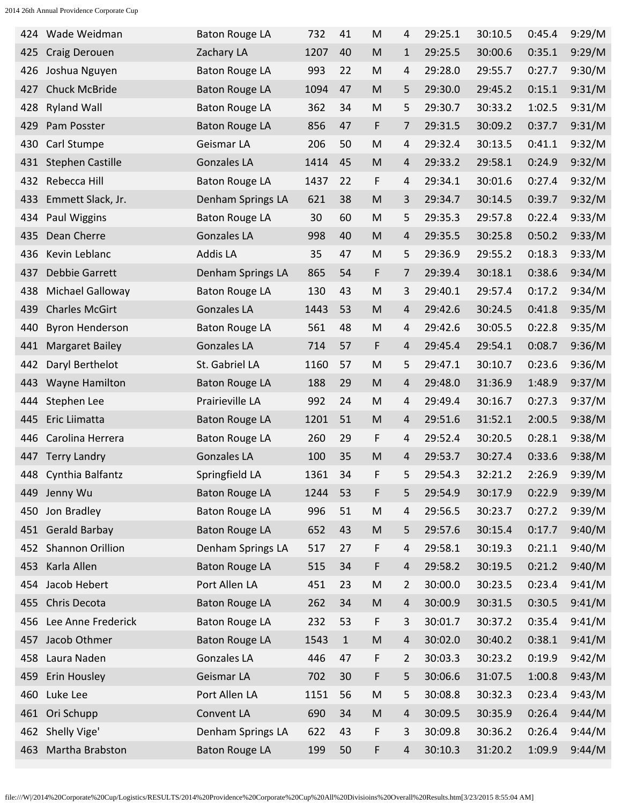| 424 | Wade Weidman            | <b>Baton Rouge LA</b> | 732  | 41    | M         | 4              | 29:25.1 | 30:10.5 | 0:45.4 | 9:29/M |
|-----|-------------------------|-----------------------|------|-------|-----------|----------------|---------|---------|--------|--------|
| 425 | Craig Derouen           | Zachary LA            | 1207 | 40    | M         | $\mathbf{1}$   | 29:25.5 | 30:00.6 | 0:35.1 | 9:29/M |
| 426 | Joshua Nguyen           | <b>Baton Rouge LA</b> | 993  | 22    | M         | 4              | 29:28.0 | 29:55.7 | 0:27.7 | 9:30/M |
| 427 | <b>Chuck McBride</b>    | <b>Baton Rouge LA</b> | 1094 | 47    | M         | 5              | 29:30.0 | 29:45.2 | 0:15.1 | 9:31/M |
| 428 | <b>Ryland Wall</b>      | <b>Baton Rouge LA</b> | 362  | 34    | M         | 5              | 29:30.7 | 30:33.2 | 1:02.5 | 9:31/M |
| 429 | Pam Posster             | <b>Baton Rouge LA</b> | 856  | 47    | F         | 7              | 29:31.5 | 30:09.2 | 0:37.7 | 9:31/M |
| 430 | Carl Stumpe             | Geismar LA            | 206  | 50    | M         | 4              | 29:32.4 | 30:13.5 | 0:41.1 | 9:32/M |
| 431 | <b>Stephen Castille</b> | <b>Gonzales LA</b>    | 1414 | 45    | M         | 4              | 29:33.2 | 29:58.1 | 0:24.9 | 9:32/M |
| 432 | Rebecca Hill            | <b>Baton Rouge LA</b> | 1437 | 22    | F         | 4              | 29:34.1 | 30:01.6 | 0:27.4 | 9:32/M |
| 433 | Emmett Slack, Jr.       | Denham Springs LA     | 621  | 38    | M         | 3              | 29:34.7 | 30:14.5 | 0:39.7 | 9:32/M |
| 434 | Paul Wiggins            | <b>Baton Rouge LA</b> | 30   | 60    | M         | 5              | 29:35.3 | 29:57.8 | 0:22.4 | 9:33/M |
| 435 | Dean Cherre             | <b>Gonzales LA</b>    | 998  | 40    | M         | 4              | 29:35.5 | 30:25.8 | 0:50.2 | 9:33/M |
| 436 | Kevin Leblanc           | <b>Addis LA</b>       | 35   | 47    | M         | 5              | 29:36.9 | 29:55.2 | 0:18.3 | 9:33/M |
| 437 | <b>Debbie Garrett</b>   | Denham Springs LA     | 865  | 54    | F         | 7              | 29:39.4 | 30:18.1 | 0:38.6 | 9:34/M |
| 438 | Michael Galloway        | <b>Baton Rouge LA</b> | 130  | 43    | M         | 3              | 29:40.1 | 29:57.4 | 0:17.2 | 9:34/M |
| 439 | <b>Charles McGirt</b>   | <b>Gonzales LA</b>    | 1443 | 53    | M         | 4              | 29:42.6 | 30:24.5 | 0:41.8 | 9:35/M |
| 440 | <b>Byron Henderson</b>  | <b>Baton Rouge LA</b> | 561  | 48    | M         | 4              | 29:42.6 | 30:05.5 | 0:22.8 | 9:35/M |
| 441 | <b>Margaret Bailey</b>  | <b>Gonzales LA</b>    | 714  | 57    | F         | 4              | 29:45.4 | 29:54.1 | 0:08.7 | 9:36/M |
| 442 | Daryl Berthelot         | St. Gabriel LA        | 1160 | 57    | M         | 5              | 29:47.1 | 30:10.7 | 0:23.6 | 9:36/M |
| 443 | <b>Wayne Hamilton</b>   | <b>Baton Rouge LA</b> | 188  | 29    | M         | 4              | 29:48.0 | 31:36.9 | 1:48.9 | 9:37/M |
| 444 | Stephen Lee             | Prairieville LA       | 992  | 24    | M         | 4              | 29:49.4 | 30:16.7 | 0:27.3 | 9:37/M |
| 445 | Eric Liimatta           | <b>Baton Rouge LA</b> | 1201 | 51    | M         | 4              | 29:51.6 | 31:52.1 | 2:00.5 | 9:38/M |
| 446 | Carolina Herrera        | <b>Baton Rouge LA</b> | 260  | 29    | F         | 4              | 29:52.4 | 30:20.5 | 0:28.1 | 9:38/M |
| 447 | <b>Terry Landry</b>     | <b>Gonzales LA</b>    | 100  | 35    | M         | 4              | 29:53.7 | 30:27.4 | 0:33.6 | 9:38/M |
| 448 | Cynthia Balfantz        | Springfield LA        | 1361 | 34    | F         | 5              | 29:54.3 | 32:21.2 | 2:26.9 | 9:39/M |
| 449 | Jenny Wu                | <b>Baton Rouge LA</b> | 1244 | 53    | F         | 5              | 29:54.9 | 30:17.9 | 0:22.9 | 9:39/M |
| 450 | Jon Bradley             | <b>Baton Rouge LA</b> | 996  | 51    | ${\sf M}$ | 4              | 29:56.5 | 30:23.7 | 0:27.2 | 9:39/M |
|     | 451 Gerald Barbay       | <b>Baton Rouge LA</b> | 652  | 43    | ${\sf M}$ | 5              | 29:57.6 | 30:15.4 | 0:17.7 | 9:40/M |
|     | 452 Shannon Orillion    | Denham Springs LA     | 517  | 27    | F         | 4              | 29:58.1 | 30:19.3 | 0:21.1 | 9:40/M |
| 453 | Karla Allen             | <b>Baton Rouge LA</b> | 515  | 34    | F         | $\overline{4}$ | 29:58.2 | 30:19.5 | 0:21.2 | 9:40/M |
|     | 454 Jacob Hebert        | Port Allen LA         | 451  | 23    | ${\sf M}$ | 2              | 30:00.0 | 30:23.5 | 0:23.4 | 9:41/M |
| 455 | Chris Decota            | <b>Baton Rouge LA</b> | 262  | 34    | ${\sf M}$ | 4              | 30:00.9 | 30:31.5 | 0:30.5 | 9:41/M |
|     | 456 Lee Anne Frederick  | <b>Baton Rouge LA</b> | 232  | 53    | F         | 3              | 30:01.7 | 30:37.2 | 0:35.4 | 9:41/M |
| 457 | Jacob Othmer            | <b>Baton Rouge LA</b> | 1543 | $1\,$ | ${\sf M}$ | $\overline{4}$ | 30:02.0 | 30:40.2 | 0:38.1 | 9:41/M |
| 458 | Laura Naden             | <b>Gonzales LA</b>    | 446  | 47    | F         | 2              | 30:03.3 | 30:23.2 | 0:19.9 | 9:42/M |
| 459 | Erin Housley            | Geismar LA            | 702  | 30    | F         | 5              | 30:06.6 | 31:07.5 | 1:00.8 | 9:43/M |
|     | 460 Luke Lee            | Port Allen LA         | 1151 | 56    | M         | 5              | 30:08.8 | 30:32.3 | 0:23.4 | 9:43/M |
| 461 | Ori Schupp              | Convent LA            | 690  | 34    | ${\sf M}$ | $\overline{4}$ | 30:09.5 | 30:35.9 | 0:26.4 | 9:44/M |
| 462 | Shelly Vige'            | Denham Springs LA     | 622  | 43    | F         | 3              | 30:09.8 | 30:36.2 | 0:26.4 | 9:44/M |
| 463 | Martha Brabston         | <b>Baton Rouge LA</b> | 199  | 50    | F         | 4              | 30:10.3 | 31:20.2 | 1:09.9 | 9:44/M |
|     |                         |                       |      |       |           |                |         |         |        |        |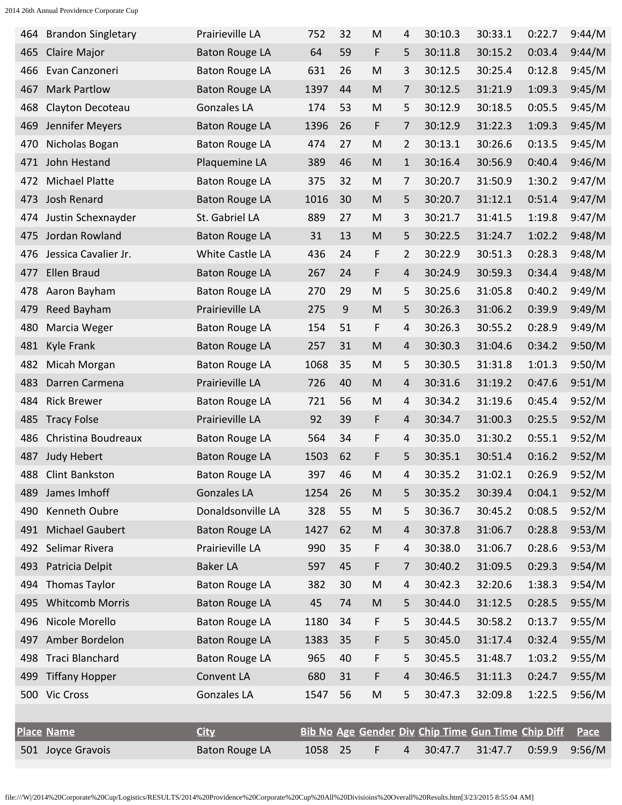| 464 | <b>Brandon Singletary</b> | Prairieville LA        | 752  | 32 | M         | 4              | 30:10.3                                            | 30:33.1 | 0:22.7 | 9:44/M      |
|-----|---------------------------|------------------------|------|----|-----------|----------------|----------------------------------------------------|---------|--------|-------------|
| 465 | Claire Major              | <b>Baton Rouge LA</b>  | 64   | 59 | F         | 5              | 30:11.8                                            | 30:15.2 | 0:03.4 | 9:44/M      |
| 466 | Evan Canzoneri            | <b>Baton Rouge LA</b>  | 631  | 26 | M         | 3              | 30:12.5                                            | 30:25.4 | 0:12.8 | 9:45/M      |
| 467 | <b>Mark Partlow</b>       | <b>Baton Rouge LA</b>  | 1397 | 44 | M         | 7              | 30:12.5                                            | 31:21.9 | 1:09.3 | 9:45/M      |
| 468 | Clayton Decoteau          | <b>Gonzales LA</b>     | 174  | 53 | M         | 5              | 30:12.9                                            | 30:18.5 | 0:05.5 | 9:45/M      |
| 469 | Jennifer Meyers           | <b>Baton Rouge LA</b>  | 1396 | 26 | F         | 7              | 30:12.9                                            | 31:22.3 | 1:09.3 | 9:45/M      |
| 470 | Nicholas Bogan            | <b>Baton Rouge LA</b>  | 474  | 27 | M         | 2              | 30:13.1                                            | 30:26.6 | 0:13.5 | 9:45/M      |
| 471 | John Hestand              | Plaquemine LA          | 389  | 46 | M         | $\mathbf{1}$   | 30:16.4                                            | 30:56.9 | 0:40.4 | 9:46/M      |
| 472 | <b>Michael Platte</b>     | <b>Baton Rouge LA</b>  | 375  | 32 | M         | 7              | 30:20.7                                            | 31:50.9 | 1:30.2 | 9:47/M      |
| 473 | Josh Renard               | <b>Baton Rouge LA</b>  | 1016 | 30 | M         | 5              | 30:20.7                                            | 31:12.1 | 0:51.4 | 9:47/M      |
| 474 | Justin Schexnayder        | St. Gabriel LA         | 889  | 27 | M         | 3              | 30:21.7                                            | 31:41.5 | 1:19.8 | 9:47/M      |
| 475 | Jordan Rowland            | <b>Baton Rouge LA</b>  | 31   | 13 | M         | 5              | 30:22.5                                            | 31:24.7 | 1:02.2 | 9:48/M      |
| 476 | Jessica Cavalier Jr.      | <b>White Castle LA</b> | 436  | 24 | F         | 2              | 30:22.9                                            | 30:51.3 | 0:28.3 | 9:48/M      |
| 477 | Ellen Braud               | <b>Baton Rouge LA</b>  | 267  | 24 | F         | 4              | 30:24.9                                            | 30:59.3 | 0:34.4 | 9:48/M      |
| 478 | Aaron Bayham              | <b>Baton Rouge LA</b>  | 270  | 29 | M         | 5              | 30:25.6                                            | 31:05.8 | 0:40.2 | 9:49/M      |
| 479 | Reed Bayham               | Prairieville LA        | 275  | 9  | M         | 5              | 30:26.3                                            | 31:06.2 | 0:39.9 | 9:49/M      |
| 480 | Marcia Weger              | <b>Baton Rouge LA</b>  | 154  | 51 | F         | 4              | 30:26.3                                            | 30:55.2 | 0:28.9 | 9:49/M      |
| 481 | Kyle Frank                | <b>Baton Rouge LA</b>  | 257  | 31 | M         | 4              | 30:30.3                                            | 31:04.6 | 0:34.2 | 9:50/M      |
| 482 | Micah Morgan              | <b>Baton Rouge LA</b>  | 1068 | 35 | M         | 5              | 30:30.5                                            | 31:31.8 | 1:01.3 | 9:50/M      |
| 483 | Darren Carmena            | Prairieville LA        | 726  | 40 | M         | 4              | 30:31.6                                            | 31:19.2 | 0:47.6 | 9:51/M      |
| 484 | <b>Rick Brewer</b>        | <b>Baton Rouge LA</b>  | 721  | 56 | M         | 4              | 30:34.2                                            | 31:19.6 | 0:45.4 | 9:52/M      |
| 485 | <b>Tracy Folse</b>        | Prairieville LA        | 92   | 39 | F         | 4              | 30:34.7                                            | 31:00.3 | 0:25.5 | 9:52/M      |
| 486 | Christina Boudreaux       | <b>Baton Rouge LA</b>  | 564  | 34 | F         | 4              | 30:35.0                                            | 31:30.2 | 0:55.1 | 9:52/M      |
| 487 | Judy Hebert               | <b>Baton Rouge LA</b>  | 1503 | 62 | F         | 5              | 30:35.1                                            | 30:51.4 | 0:16.2 | 9:52/M      |
| 488 | Clint Bankston            | <b>Baton Rouge LA</b>  | 397  | 46 | M         | 4              | 30:35.2                                            | 31:02.1 | 0:26.9 | 9:52/M      |
| 489 | James Imhoff              | <b>Gonzales LA</b>     | 1254 | 26 | ${\sf M}$ | 5              | 30:35.2                                            | 30:39.4 | 0:04.1 | 9:52/M      |
| 490 | Kenneth Oubre             | Donaldsonville LA      | 328  | 55 | ${\sf M}$ | 5              | 30:36.7                                            | 30:45.2 | 0:08.5 | 9:52/M      |
| 491 | <b>Michael Gaubert</b>    | <b>Baton Rouge LA</b>  | 1427 | 62 | ${\sf M}$ | 4              | 30:37.8                                            | 31:06.7 | 0:28.8 | 9:53/M      |
| 492 | Selimar Rivera            | Prairieville LA        | 990  | 35 | F         | 4              | 30:38.0                                            | 31:06.7 | 0:28.6 | 9:53/M      |
| 493 | Patricia Delpit           | <b>Baker LA</b>        | 597  | 45 | F         | 7              | 30:40.2                                            | 31:09.5 | 0:29.3 | 9:54/M      |
| 494 | <b>Thomas Taylor</b>      | <b>Baton Rouge LA</b>  | 382  | 30 | ${\sf M}$ | 4              | 30:42.3                                            | 32:20.6 | 1:38.3 | 9:54/M      |
| 495 | <b>Whitcomb Morris</b>    | <b>Baton Rouge LA</b>  | 45   | 74 | ${\sf M}$ | 5              | 30:44.0                                            | 31:12.5 | 0:28.5 | 9:55/M      |
|     | 496 Nicole Morello        | <b>Baton Rouge LA</b>  | 1180 | 34 | F         | 5              | 30:44.5                                            | 30:58.2 | 0:13.7 | 9:55/M      |
|     | 497 Amber Bordelon        | <b>Baton Rouge LA</b>  | 1383 | 35 | F         | 5              | 30:45.0                                            | 31:17.4 | 0:32.4 | 9:55/M      |
|     | 498 Traci Blanchard       | <b>Baton Rouge LA</b>  | 965  | 40 | F         | 5              | 30:45.5                                            | 31:48.7 | 1:03.2 | 9:55/M      |
| 499 | <b>Tiffany Hopper</b>     | Convent LA             | 680  | 31 | F         | 4              | 30:46.5                                            | 31:11.3 | 0:24.7 | 9:55/M      |
|     | 500 Vic Cross             | <b>Gonzales LA</b>     | 1547 | 56 | ${\sf M}$ | 5              | 30:47.3                                            | 32:09.8 | 1:22.5 | 9:56/M      |
|     |                           |                        |      |    |           |                |                                                    |         |        |             |
|     | <b>Place Name</b>         | <b>City</b>            |      |    |           |                | Bib No Age Gender Div Chip Time Gun Time Chip Diff |         |        | <b>Pace</b> |
|     | 501 Joyce Gravois         | <b>Baton Rouge LA</b>  | 1058 | 25 | F         | $\overline{4}$ | 30:47.7                                            | 31:47.7 | 0:59.9 | 9:56/M      |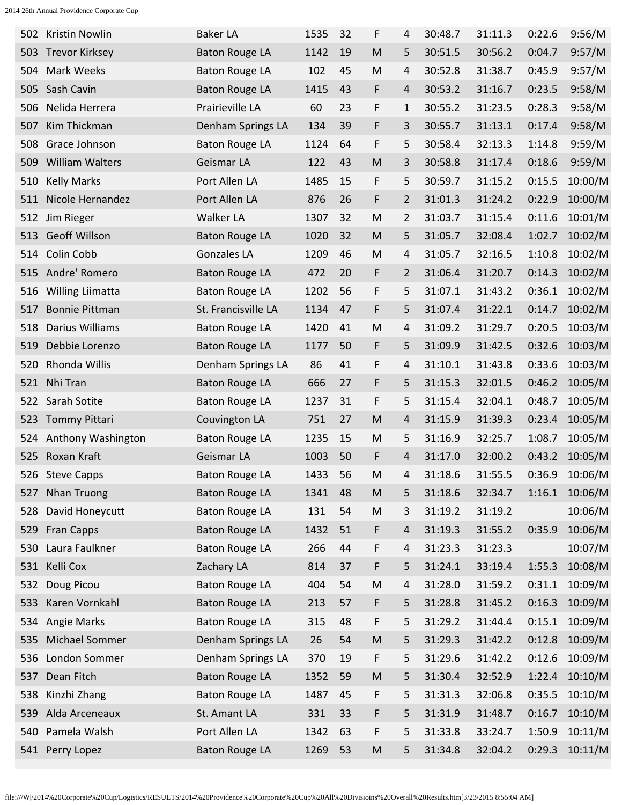| 502 | Kristin Nowlin         | <b>Baker LA</b>       | 1535 | 32 | F         | 4              | 30:48.7 | 31:11.3 | 0:22.6 | 9:56/M  |
|-----|------------------------|-----------------------|------|----|-----------|----------------|---------|---------|--------|---------|
| 503 | <b>Trevor Kirksey</b>  | <b>Baton Rouge LA</b> | 1142 | 19 | M         | 5              | 30:51.5 | 30:56.2 | 0:04.7 | 9:57/M  |
| 504 | Mark Weeks             | <b>Baton Rouge LA</b> | 102  | 45 | M         | 4              | 30:52.8 | 31:38.7 | 0:45.9 | 9:57/M  |
| 505 | Sash Cavin             | <b>Baton Rouge LA</b> | 1415 | 43 | F         | 4              | 30:53.2 | 31:16.7 | 0:23.5 | 9:58/M  |
| 506 | Nelida Herrera         | Prairieville LA       | 60   | 23 | F         | 1              | 30:55.2 | 31:23.5 | 0:28.3 | 9:58/M  |
| 507 | Kim Thickman           | Denham Springs LA     | 134  | 39 | F         | 3              | 30:55.7 | 31:13.1 | 0:17.4 | 9:58/M  |
| 508 | Grace Johnson          | <b>Baton Rouge LA</b> | 1124 | 64 | F         | 5              | 30:58.4 | 32:13.3 | 1:14.8 | 9:59/M  |
| 509 | <b>William Walters</b> | Geismar LA            | 122  | 43 | M         | 3              | 30:58.8 | 31:17.4 | 0:18.6 | 9:59/M  |
| 510 | <b>Kelly Marks</b>     | Port Allen LA         | 1485 | 15 | F         | 5              | 30:59.7 | 31:15.2 | 0:15.5 | 10:00/M |
| 511 | Nicole Hernandez       | Port Allen LA         | 876  | 26 | F         | 2              | 31:01.3 | 31:24.2 | 0:22.9 | 10:00/M |
| 512 | Jim Rieger             | Walker LA             | 1307 | 32 | M         | 2              | 31:03.7 | 31:15.4 | 0:11.6 | 10:01/M |
| 513 | <b>Geoff Willson</b>   | <b>Baton Rouge LA</b> | 1020 | 32 | M         | 5              | 31:05.7 | 32:08.4 | 1:02.7 | 10:02/M |
| 514 | Colin Cobb             | Gonzales LA           | 1209 | 46 | M         | 4              | 31:05.7 | 32:16.5 | 1:10.8 | 10:02/M |
| 515 | Andre' Romero          | <b>Baton Rouge LA</b> | 472  | 20 | F         | $\overline{2}$ | 31:06.4 | 31:20.7 | 0:14.3 | 10:02/M |
| 516 | Willing Liimatta       | <b>Baton Rouge LA</b> | 1202 | 56 | F         | 5              | 31:07.1 | 31:43.2 | 0:36.1 | 10:02/M |
| 517 | <b>Bonnie Pittman</b>  | St. Francisville LA   | 1134 | 47 | F         | 5              | 31:07.4 | 31:22.1 | 0:14.7 | 10:02/M |
| 518 | Darius Williams        | <b>Baton Rouge LA</b> | 1420 | 41 | M         | 4              | 31:09.2 | 31:29.7 | 0:20.5 | 10:03/M |
| 519 | Debbie Lorenzo         | <b>Baton Rouge LA</b> | 1177 | 50 | F         | 5              | 31:09.9 | 31:42.5 | 0:32.6 | 10:03/M |
| 520 | Rhonda Willis          | Denham Springs LA     | 86   | 41 | F         | 4              | 31:10.1 | 31:43.8 | 0:33.6 | 10:03/M |
|     | 521 Nhi Tran           | <b>Baton Rouge LA</b> | 666  | 27 | F         | 5              | 31:15.3 | 32:01.5 | 0:46.2 | 10:05/M |
| 522 | Sarah Sotite           | <b>Baton Rouge LA</b> | 1237 | 31 | F         | 5              | 31:15.4 | 32:04.1 | 0:48.7 | 10:05/M |
| 523 | Tommy Pittari          | Couvington LA         | 751  | 27 | M         | 4              | 31:15.9 | 31:39.3 | 0:23.4 | 10:05/M |
| 524 | Anthony Washington     | <b>Baton Rouge LA</b> | 1235 | 15 | M         | 5              | 31:16.9 | 32:25.7 | 1:08.7 | 10:05/M |
|     | 525 Roxan Kraft        | Geismar LA            | 1003 | 50 | F         | 4              | 31:17.0 | 32:00.2 | 0:43.2 | 10:05/M |
|     | 526 Steve Capps        | <b>Baton Rouge LA</b> | 1433 | 56 | M         | 4              | 31:18.6 | 31:55.5 | 0:36.9 | 10:06/M |
|     | 527 Nhan Truong        | <b>Baton Rouge LA</b> | 1341 | 48 | ${\sf M}$ | 5              | 31:18.6 | 32:34.7 | 1:16.1 | 10:06/M |
| 528 | David Honeycutt        | <b>Baton Rouge LA</b> | 131  | 54 | M         | 3              | 31:19.2 | 31:19.2 |        | 10:06/M |
| 529 | <b>Fran Capps</b>      | <b>Baton Rouge LA</b> | 1432 | 51 | F         | 4              | 31:19.3 | 31:55.2 | 0:35.9 | 10:06/M |
| 530 | Laura Faulkner         | <b>Baton Rouge LA</b> | 266  | 44 | F         | 4              | 31:23.3 | 31:23.3 |        | 10:07/M |
| 531 | Kelli Cox              | Zachary LA            | 814  | 37 | F         | 5              | 31:24.1 | 33:19.4 | 1:55.3 | 10:08/M |
| 532 | Doug Picou             | <b>Baton Rouge LA</b> | 404  | 54 | M         | 4              | 31:28.0 | 31:59.2 | 0:31.1 | 10:09/M |
| 533 | Karen Vornkahl         | <b>Baton Rouge LA</b> | 213  | 57 | F         | 5.             | 31:28.8 | 31:45.2 | 0:16.3 | 10:09/M |
|     | 534 Angie Marks        | <b>Baton Rouge LA</b> | 315  | 48 | F         | 5              | 31:29.2 | 31:44.4 | 0:15.1 | 10:09/M |
| 535 | Michael Sommer         | Denham Springs LA     | 26   | 54 | ${\sf M}$ | 5              | 31:29.3 | 31:42.2 | 0:12.8 | 10:09/M |
|     | 536 London Sommer      | Denham Springs LA     | 370  | 19 | F         | 5              | 31:29.6 | 31:42.2 | 0:12.6 | 10:09/M |
| 537 | Dean Fitch             | <b>Baton Rouge LA</b> | 1352 | 59 | M         | 5              | 31:30.4 | 32:52.9 | 1:22.4 | 10:10/M |
| 538 | Kinzhi Zhang           | <b>Baton Rouge LA</b> | 1487 | 45 | F         | 5              | 31:31.3 | 32:06.8 | 0:35.5 | 10:10/M |
| 539 | Alda Arceneaux         | St. Amant LA          | 331  | 33 | F         | 5              | 31:31.9 | 31:48.7 | 0:16.7 | 10:10/M |
| 540 | Pamela Walsh           | Port Allen LA         | 1342 | 63 | F         | 5              | 31:33.8 | 33:24.7 | 1:50.9 | 10:11/M |
|     | 541 Perry Lopez        | <b>Baton Rouge LA</b> | 1269 | 53 | M         | 5              | 31:34.8 | 32:04.2 | 0:29.3 | 10:11/M |
|     |                        |                       |      |    |           |                |         |         |        |         |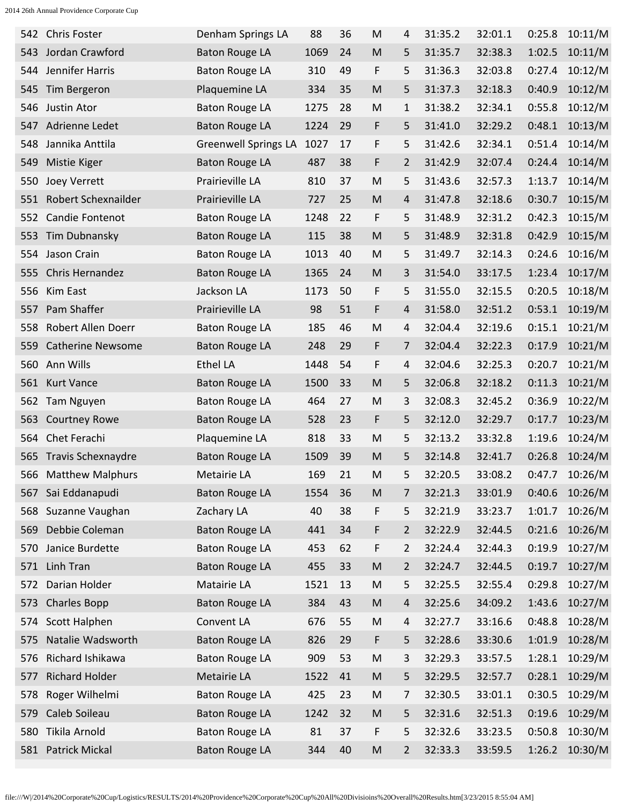| 542 | <b>Chris Foster</b>       | Denham Springs LA           | 88   | 36 | M                                                                                                          | 4 | 31:35.2 | 32:01.1 | 0:25.8 | 10:11/M |
|-----|---------------------------|-----------------------------|------|----|------------------------------------------------------------------------------------------------------------|---|---------|---------|--------|---------|
| 543 | Jordan Crawford           | <b>Baton Rouge LA</b>       | 1069 | 24 | M                                                                                                          | 5 | 31:35.7 | 32:38.3 | 1:02.5 | 10:11/M |
| 544 | Jennifer Harris           | <b>Baton Rouge LA</b>       | 310  | 49 | F                                                                                                          | 5 | 31:36.3 | 32:03.8 | 0:27.4 | 10:12/M |
| 545 | Tim Bergeron              | Plaquemine LA               | 334  | 35 | M                                                                                                          | 5 | 31:37.3 | 32:18.3 | 0:40.9 | 10:12/M |
| 546 | Justin Ator               | <b>Baton Rouge LA</b>       | 1275 | 28 | M                                                                                                          | 1 | 31:38.2 | 32:34.1 | 0:55.8 | 10:12/M |
| 547 | Adrienne Ledet            | <b>Baton Rouge LA</b>       | 1224 | 29 | F                                                                                                          | 5 | 31:41.0 | 32:29.2 | 0:48.1 | 10:13/M |
| 548 | Jannika Anttila           | <b>Greenwell Springs LA</b> | 1027 | 17 | F                                                                                                          | 5 | 31:42.6 | 32:34.1 | 0:51.4 | 10:14/M |
| 549 | Mistie Kiger              | <b>Baton Rouge LA</b>       | 487  | 38 | F                                                                                                          | 2 | 31:42.9 | 32:07.4 | 0:24.4 | 10:14/M |
| 550 | Joey Verrett              | Prairieville LA             | 810  | 37 | M                                                                                                          | 5 | 31:43.6 | 32:57.3 | 1:13.7 | 10:14/M |
| 551 | Robert Schexnailder       | Prairieville LA             | 727  | 25 | M                                                                                                          | 4 | 31:47.8 | 32:18.6 | 0:30.7 | 10:15/M |
| 552 | Candie Fontenot           | <b>Baton Rouge LA</b>       | 1248 | 22 | F                                                                                                          | 5 | 31:48.9 | 32:31.2 | 0:42.3 | 10:15/M |
| 553 | Tim Dubnansky             | <b>Baton Rouge LA</b>       | 115  | 38 | M                                                                                                          | 5 | 31:48.9 | 32:31.8 | 0:42.9 | 10:15/M |
| 554 | Jason Crain               | <b>Baton Rouge LA</b>       | 1013 | 40 | M                                                                                                          | 5 | 31:49.7 | 32:14.3 | 0:24.6 | 10:16/M |
| 555 | Chris Hernandez           | <b>Baton Rouge LA</b>       | 1365 | 24 | M                                                                                                          | 3 | 31:54.0 | 33:17.5 | 1:23.4 | 10:17/M |
| 556 | Kim East                  | Jackson LA                  | 1173 | 50 | F                                                                                                          | 5 | 31:55.0 | 32:15.5 | 0:20.5 | 10:18/M |
| 557 | Pam Shaffer               | Prairieville LA             | 98   | 51 | F                                                                                                          | 4 | 31:58.0 | 32:51.2 | 0:53.1 | 10:19/M |
| 558 | Robert Allen Doerr        | <b>Baton Rouge LA</b>       | 185  | 46 | M                                                                                                          | 4 | 32:04.4 | 32:19.6 | 0:15.1 | 10:21/M |
| 559 | <b>Catherine Newsome</b>  | <b>Baton Rouge LA</b>       | 248  | 29 | F                                                                                                          | 7 | 32:04.4 | 32:22.3 | 0:17.9 | 10:21/M |
| 560 | Ann Wills                 | <b>Ethel LA</b>             | 1448 | 54 | F                                                                                                          | 4 | 32:04.6 | 32:25.3 | 0:20.7 | 10:21/M |
| 561 | <b>Kurt Vance</b>         | <b>Baton Rouge LA</b>       | 1500 | 33 | M                                                                                                          | 5 | 32:06.8 | 32:18.2 | 0:11.3 | 10:21/M |
| 562 | Tam Nguyen                | <b>Baton Rouge LA</b>       | 464  | 27 | M                                                                                                          | 3 | 32:08.3 | 32:45.2 | 0:36.9 | 10:22/M |
| 563 | <b>Courtney Rowe</b>      | <b>Baton Rouge LA</b>       | 528  | 23 | F                                                                                                          | 5 | 32:12.0 | 32:29.7 | 0:17.7 | 10:23/M |
| 564 | Chet Ferachi              | Plaquemine LA               | 818  | 33 | M                                                                                                          | 5 | 32:13.2 | 33:32.8 | 1:19.6 | 10:24/M |
| 565 | <b>Travis Schexnaydre</b> | <b>Baton Rouge LA</b>       | 1509 | 39 | M                                                                                                          | 5 | 32:14.8 | 32:41.7 | 0:26.8 | 10:24/M |
| 566 | <b>Matthew Malphurs</b>   | Metairie LA                 | 169  | 21 | M                                                                                                          | 5 | 32:20.5 | 33:08.2 | 0:47.7 | 10:26/M |
| 567 | Sai Eddanapudi            | <b>Baton Rouge LA</b>       | 1554 | 36 | M                                                                                                          | 7 | 32:21.3 | 33:01.9 | 0:40.6 | 10:26/M |
| 568 | Suzanne Vaughan           | Zachary LA                  | 40   | 38 | F                                                                                                          | 5 | 32:21.9 | 33:23.7 | 1:01.7 | 10:26/M |
| 569 | Debbie Coleman            | <b>Baton Rouge LA</b>       | 441  | 34 | F                                                                                                          | 2 | 32:22.9 | 32:44.5 | 0:21.6 | 10:26/M |
| 570 | Janice Burdette           | <b>Baton Rouge LA</b>       | 453  | 62 | F                                                                                                          | 2 | 32:24.4 | 32:44.3 | 0:19.9 | 10:27/M |
| 571 | Linh Tran                 | <b>Baton Rouge LA</b>       | 455  | 33 | M                                                                                                          | 2 | 32:24.7 | 32:44.5 | 0:19.7 | 10:27/M |
| 572 | Darian Holder             | Matairie LA                 | 1521 | 13 | ${\sf M}$                                                                                                  | 5 | 32:25.5 | 32:55.4 | 0:29.8 | 10:27/M |
| 573 | <b>Charles Bopp</b>       | <b>Baton Rouge LA</b>       | 384  | 43 | $\mathsf{M}% _{T}=\mathsf{M}_{T}\!\left( a,b\right) ,\ \mathsf{M}_{T}=\mathsf{M}_{T}\!\left( a,b\right) ,$ | 4 | 32:25.6 | 34:09.2 | 1:43.6 | 10:27/M |
| 574 | <b>Scott Halphen</b>      | Convent LA                  | 676  | 55 | M                                                                                                          | 4 | 32:27.7 | 33:16.6 | 0:48.8 | 10:28/M |
| 575 | Natalie Wadsworth         | <b>Baton Rouge LA</b>       | 826  | 29 | F                                                                                                          | 5 | 32:28.6 | 33:30.6 | 1:01.9 | 10:28/M |
| 576 | Richard Ishikawa          | <b>Baton Rouge LA</b>       | 909  | 53 | M                                                                                                          | 3 | 32:29.3 | 33:57.5 | 1:28.1 | 10:29/M |
| 577 | <b>Richard Holder</b>     | Metairie LA                 | 1522 | 41 | M                                                                                                          | 5 | 32:29.5 | 32:57.7 | 0:28.1 | 10:29/M |
| 578 | Roger Wilhelmi            | <b>Baton Rouge LA</b>       | 425  | 23 | M                                                                                                          | 7 | 32:30.5 | 33:01.1 | 0:30.5 | 10:29/M |
| 579 | Caleb Soileau             | <b>Baton Rouge LA</b>       | 1242 | 32 | M                                                                                                          | 5 | 32:31.6 | 32:51.3 | 0:19.6 | 10:29/M |
| 580 | Tikila Arnold             | <b>Baton Rouge LA</b>       | 81   | 37 | F                                                                                                          | 5 | 32:32.6 | 33:23.5 | 0:50.8 | 10:30/M |
| 581 | <b>Patrick Mickal</b>     | <b>Baton Rouge LA</b>       | 344  | 40 | M                                                                                                          | 2 | 32:33.3 | 33:59.5 | 1:26.2 | 10:30/M |
|     |                           |                             |      |    |                                                                                                            |   |         |         |        |         |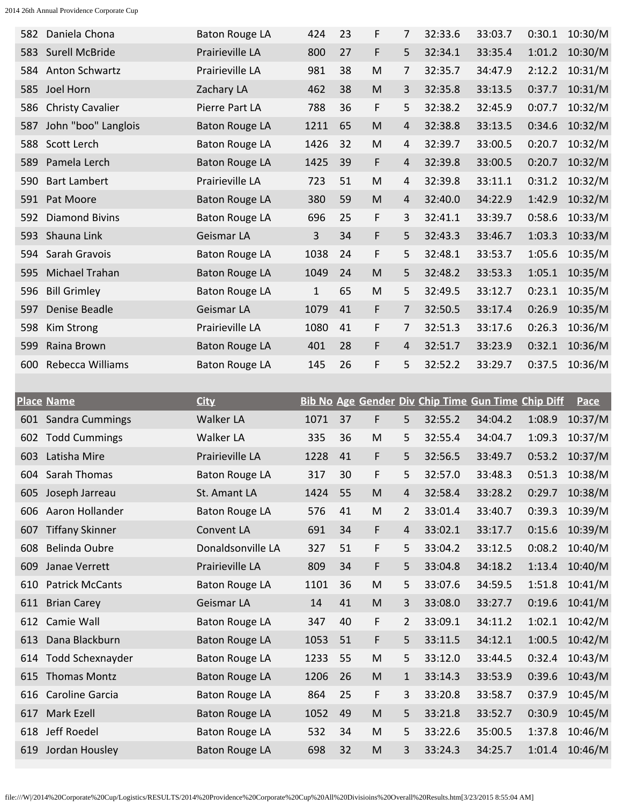| 582 | Daniela Chona           | <b>Baton Rouge LA</b> | 424          | 23 | F | 7 | 32:33.6 | 33:03.7 | 0:30.1 | 10:30/M |
|-----|-------------------------|-----------------------|--------------|----|---|---|---------|---------|--------|---------|
| 583 | Surell McBride          | Prairieville LA       | 800          | 27 | F | 5 | 32:34.1 | 33:35.4 | 1:01.2 | 10:30/M |
| 584 | <b>Anton Schwartz</b>   | Prairieville LA       | 981          | 38 | M | 7 | 32:35.7 | 34:47.9 | 2:12.2 | 10:31/M |
| 585 | Joel Horn               | Zachary LA            | 462          | 38 | M | 3 | 32:35.8 | 33:13.5 | 0:37.7 | 10:31/M |
| 586 | <b>Christy Cavalier</b> | Pierre Part LA        | 788          | 36 | F | 5 | 32:38.2 | 32:45.9 | 0:07.7 | 10:32/M |
| 587 | John "boo" Langlois     | <b>Baton Rouge LA</b> | 1211         | 65 | M | 4 | 32:38.8 | 33:13.5 | 0:34.6 | 10:32/M |
| 588 | Scott Lerch             | <b>Baton Rouge LA</b> | 1426         | 32 | M | 4 | 32:39.7 | 33:00.5 | 0:20.7 | 10:32/M |
| 589 | Pamela Lerch            | <b>Baton Rouge LA</b> | 1425         | 39 | F | 4 | 32:39.8 | 33:00.5 | 0:20.7 | 10:32/M |
| 590 | <b>Bart Lambert</b>     | Prairieville LA       | 723          | 51 | M | 4 | 32:39.8 | 33:11.1 | 0:31.2 | 10:32/M |
| 591 | Pat Moore               | <b>Baton Rouge LA</b> | 380          | 59 | M | 4 | 32:40.0 | 34:22.9 | 1:42.9 | 10:32/M |
| 592 | <b>Diamond Bivins</b>   | <b>Baton Rouge LA</b> | 696          | 25 | F | 3 | 32:41.1 | 33:39.7 | 0:58.6 | 10:33/M |
| 593 | Shauna Link             | Geismar LA            | 3            | 34 | F | 5 | 32:43.3 | 33:46.7 | 1:03.3 | 10:33/M |
| 594 | Sarah Gravois           | <b>Baton Rouge LA</b> | 1038         | 24 | F | 5 | 32:48.1 | 33:53.7 | 1:05.6 | 10:35/M |
| 595 | Michael Trahan          | <b>Baton Rouge LA</b> | 1049         | 24 | M | 5 | 32:48.2 | 33:53.3 | 1:05.1 | 10:35/M |
| 596 | <b>Bill Grimley</b>     | <b>Baton Rouge LA</b> | $\mathbf{1}$ | 65 | M | 5 | 32:49.5 | 33:12.7 | 0:23.1 | 10:35/M |
| 597 | Denise Beadle           | Geismar LA            | 1079         | 41 | F | 7 | 32:50.5 | 33:17.4 | 0:26.9 | 10:35/M |
| 598 | Kim Strong              | Prairieville LA       | 1080         | 41 | F | 7 | 32:51.3 | 33:17.6 | 0:26.3 | 10:36/M |
| 599 | Raina Brown             | <b>Baton Rouge LA</b> | 401          | 28 | F | 4 | 32:51.7 | 33:23.9 | 0:32.1 | 10:36/M |
| 600 | Rebecca Williams        | <b>Baton Rouge LA</b> | 145          | 26 | F | 5 | 32:52.2 | 33:29.7 | 0:37.5 | 10:36/M |
|     |                         |                       |              |    |   |   |         |         |        |         |

|     | <b>Place Name</b>      | <b>City</b>           |      |    |   |              |         | <b>Bib No Age Gender Div Chip Time Gun Time Chip Diff</b> |        | Pace    |
|-----|------------------------|-----------------------|------|----|---|--------------|---------|-----------------------------------------------------------|--------|---------|
|     | 601 Sandra Cummings    | <b>Walker LA</b>      | 1071 | 37 | F | 5            | 32:55.2 | 34:04.2                                                   | 1:08.9 | 10:37/M |
| 602 | <b>Todd Cummings</b>   | <b>Walker LA</b>      | 335  | 36 | M | 5            | 32:55.4 | 34:04.7                                                   | 1:09.3 | 10:37/M |
| 603 | Latisha Mire           | Prairieville LA       | 1228 | 41 | F | 5            | 32:56.5 | 33:49.7                                                   | 0:53.2 | 10:37/M |
| 604 | Sarah Thomas           | <b>Baton Rouge LA</b> | 317  | 30 | F | 5            | 32:57.0 | 33:48.3                                                   | 0:51.3 | 10:38/M |
| 605 | Joseph Jarreau         | St. Amant LA          | 1424 | 55 | M | 4            | 32:58.4 | 33:28.2                                                   | 0:29.7 | 10:38/M |
| 606 | Aaron Hollander        | <b>Baton Rouge LA</b> | 576  | 41 | M | 2            | 33:01.4 | 33:40.7                                                   | 0:39.3 | 10:39/M |
| 607 | <b>Tiffany Skinner</b> | Convent LA            | 691  | 34 | F | 4            | 33:02.1 | 33:17.7                                                   | 0:15.6 | 10:39/M |
| 608 | <b>Belinda Oubre</b>   | Donaldsonville LA     | 327  | 51 | F | 5            | 33:04.2 | 33:12.5                                                   | 0:08.2 | 10:40/M |
| 609 | Janae Verrett          | Prairieville LA       | 809  | 34 | F | 5            | 33:04.8 | 34:18.2                                                   | 1:13.4 | 10:40/M |
| 610 | <b>Patrick McCants</b> | <b>Baton Rouge LA</b> | 1101 | 36 | M | 5            | 33:07.6 | 34:59.5                                                   | 1:51.8 | 10:41/M |
| 611 | <b>Brian Carey</b>     | Geismar LA            | 14   | 41 | M | 3            | 33:08.0 | 33:27.7                                                   | 0:19.6 | 10:41/M |
| 612 | Camie Wall             | <b>Baton Rouge LA</b> | 347  | 40 | F | 2            | 33:09.1 | 34:11.2                                                   | 1:02.1 | 10:42/M |
| 613 | Dana Blackburn         | <b>Baton Rouge LA</b> | 1053 | 51 | F | 5            | 33:11.5 | 34:12.1                                                   | 1:00.5 | 10:42/M |
| 614 | Todd Schexnayder       | <b>Baton Rouge LA</b> | 1233 | 55 | M | 5            | 33:12.0 | 33:44.5                                                   | 0:32.4 | 10:43/M |
| 615 | <b>Thomas Montz</b>    | <b>Baton Rouge LA</b> | 1206 | 26 | M | $\mathbf{1}$ | 33:14.3 | 33:53.9                                                   | 0:39.6 | 10:43/M |
| 616 | Caroline Garcia        | <b>Baton Rouge LA</b> | 864  | 25 | F | 3            | 33:20.8 | 33:58.7                                                   | 0:37.9 | 10:45/M |
| 617 | Mark Ezell             | <b>Baton Rouge LA</b> | 1052 | 49 | M | 5            | 33:21.8 | 33:52.7                                                   | 0:30.9 | 10:45/M |
| 618 | Jeff Roedel            | <b>Baton Rouge LA</b> | 532  | 34 | M | 5            | 33:22.6 | 35:00.5                                                   | 1:37.8 | 10:46/M |
| 619 | Jordan Housley         | <b>Baton Rouge LA</b> | 698  | 32 | M | 3            | 33:24.3 | 34:25.7                                                   | 1:01.4 | 10:46/M |

file:///W|/2014%20Corporate%20Cup/Logistics/RESULTS/2014%20Providence%20Corporate%20Cup%20All%20Divisioins%20Overall%20Results.htm[3/23/2015 8:55:04 AM]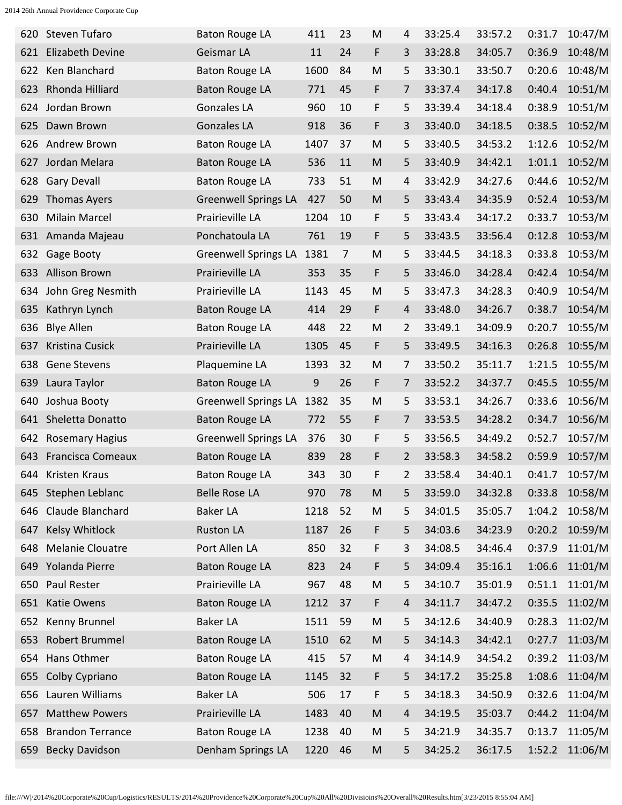| 620 | Steven Tufaro            | <b>Baton Rouge LA</b>       | 411  | 23             | M                                                                                                          | 4 | 33:25.4 | 33:57.2 | 0:31.7 | 10:47/M |
|-----|--------------------------|-----------------------------|------|----------------|------------------------------------------------------------------------------------------------------------|---|---------|---------|--------|---------|
| 621 | Elizabeth Devine         | Geismar LA                  | 11   | 24             | F                                                                                                          | 3 | 33:28.8 | 34:05.7 | 0:36.9 | 10:48/M |
| 622 | Ken Blanchard            | <b>Baton Rouge LA</b>       | 1600 | 84             | M                                                                                                          | 5 | 33:30.1 | 33:50.7 | 0:20.6 | 10:48/M |
| 623 | Rhonda Hilliard          | <b>Baton Rouge LA</b>       | 771  | 45             | F                                                                                                          | 7 | 33:37.4 | 34:17.8 | 0:40.4 | 10:51/M |
| 624 | Jordan Brown             | <b>Gonzales LA</b>          | 960  | 10             | F                                                                                                          | 5 | 33:39.4 | 34:18.4 | 0:38.9 | 10:51/M |
| 625 | Dawn Brown               | <b>Gonzales LA</b>          | 918  | 36             | F                                                                                                          | 3 | 33:40.0 | 34:18.5 | 0:38.5 | 10:52/M |
| 626 | Andrew Brown             | <b>Baton Rouge LA</b>       | 1407 | 37             | M                                                                                                          | 5 | 33:40.5 | 34:53.2 | 1:12.6 | 10:52/M |
| 627 | Jordan Melara            | <b>Baton Rouge LA</b>       | 536  | 11             | M                                                                                                          | 5 | 33:40.9 | 34:42.1 | 1:01.1 | 10:52/M |
| 628 | <b>Gary Devall</b>       | <b>Baton Rouge LA</b>       | 733  | 51             | M                                                                                                          | 4 | 33:42.9 | 34:27.6 | 0:44.6 | 10:52/M |
| 629 | <b>Thomas Ayers</b>      | <b>Greenwell Springs LA</b> | 427  | 50             | M                                                                                                          | 5 | 33:43.4 | 34:35.9 | 0:52.4 | 10:53/M |
| 630 | <b>Milain Marcel</b>     | Prairieville LA             | 1204 | 10             | F                                                                                                          | 5 | 33:43.4 | 34:17.2 | 0:33.7 | 10:53/M |
| 631 | Amanda Majeau            | Ponchatoula LA              | 761  | 19             | F                                                                                                          | 5 | 33:43.5 | 33:56.4 | 0:12.8 | 10:53/M |
| 632 | Gage Booty               | <b>Greenwell Springs LA</b> | 1381 | $\overline{7}$ | M                                                                                                          | 5 | 33:44.5 | 34:18.3 | 0:33.8 | 10:53/M |
| 633 | <b>Allison Brown</b>     | Prairieville LA             | 353  | 35             | F                                                                                                          | 5 | 33:46.0 | 34:28.4 | 0:42.4 | 10:54/M |
| 634 | John Greg Nesmith        | Prairieville LA             | 1143 | 45             | M                                                                                                          | 5 | 33:47.3 | 34:28.3 | 0:40.9 | 10:54/M |
| 635 | Kathryn Lynch            | <b>Baton Rouge LA</b>       | 414  | 29             | F                                                                                                          | 4 | 33:48.0 | 34:26.7 | 0:38.7 | 10:54/M |
| 636 | <b>Blye Allen</b>        | <b>Baton Rouge LA</b>       | 448  | 22             | M                                                                                                          | 2 | 33:49.1 | 34:09.9 | 0:20.7 | 10:55/M |
| 637 | Kristina Cusick          | Prairieville LA             | 1305 | 45             | F                                                                                                          | 5 | 33:49.5 | 34:16.3 | 0:26.8 | 10:55/M |
| 638 | <b>Gene Stevens</b>      | Plaquemine LA               | 1393 | 32             | M                                                                                                          | 7 | 33:50.2 | 35:11.7 | 1:21.5 | 10:55/M |
| 639 | Laura Taylor             | <b>Baton Rouge LA</b>       | 9    | 26             | F                                                                                                          | 7 | 33:52.2 | 34:37.7 | 0:45.5 | 10:55/M |
| 640 | Joshua Booty             | <b>Greenwell Springs LA</b> | 1382 | 35             | M                                                                                                          | 5 | 33:53.1 | 34:26.7 | 0:33.6 | 10:56/M |
| 641 | Sheletta Donatto         | <b>Baton Rouge LA</b>       | 772  | 55             | F                                                                                                          | 7 | 33:53.5 | 34:28.2 | 0:34.7 | 10:56/M |
| 642 | <b>Rosemary Hagius</b>   | <b>Greenwell Springs LA</b> | 376  | 30             | F                                                                                                          | 5 | 33:56.5 | 34:49.2 | 0:52.7 | 10:57/M |
| 643 | <b>Francisca Comeaux</b> | <b>Baton Rouge LA</b>       | 839  | 28             | F                                                                                                          | 2 | 33:58.3 | 34:58.2 | 0:59.9 | 10:57/M |
| 644 | Kristen Kraus            | <b>Baton Rouge LA</b>       | 343  | 30             | F                                                                                                          | 2 | 33:58.4 | 34:40.1 | 0:41.7 | 10:57/M |
|     | 645 Stephen Leblanc      | <b>Belle Rose LA</b>        | 970  | 78             | $\mathsf{M}% _{T}=\mathsf{M}_{T}\!\left( a,b\right) ,\ \mathsf{M}_{T}=\mathsf{M}_{T}\!\left( a,b\right) ,$ | 5 | 33:59.0 | 34:32.8 | 0:33.8 | 10:58/M |
| 646 | Claude Blanchard         | <b>Baker LA</b>             | 1218 | 52             | M                                                                                                          | 5 | 34:01.5 | 35:05.7 | 1:04.2 | 10:58/M |
| 647 | Kelsy Whitlock           | <b>Ruston LA</b>            | 1187 | 26             | F                                                                                                          | 5 | 34:03.6 | 34:23.9 | 0:20.2 | 10:59/M |
| 648 | <b>Melanie Clouatre</b>  | Port Allen LA               | 850  | 32             | F                                                                                                          | 3 | 34:08.5 | 34:46.4 | 0:37.9 | 11:01/M |
| 649 | Yolanda Pierre           | <b>Baton Rouge LA</b>       | 823  | 24             | F                                                                                                          | 5 | 34:09.4 | 35:16.1 | 1:06.6 | 11:01/M |
| 650 | Paul Rester              | Prairieville LA             | 967  | 48             | ${\sf M}$                                                                                                  | 5 | 34:10.7 | 35:01.9 | 0:51.1 | 11:01/M |
| 651 | Katie Owens              | <b>Baton Rouge LA</b>       | 1212 | 37             | F                                                                                                          | 4 | 34:11.7 | 34:47.2 | 0:35.5 | 11:02/M |
| 652 | Kenny Brunnel            | <b>Baker LA</b>             | 1511 | 59             | M                                                                                                          | 5 | 34:12.6 | 34:40.9 | 0:28.3 | 11:02/M |
| 653 | Robert Brummel           | <b>Baton Rouge LA</b>       | 1510 | 62             | M                                                                                                          | 5 | 34:14.3 | 34:42.1 | 0:27.7 | 11:03/M |
| 654 | Hans Othmer              | <b>Baton Rouge LA</b>       | 415  | 57             | M                                                                                                          | 4 | 34:14.9 | 34:54.2 | 0:39.2 | 11:03/M |
| 655 | Colby Cypriano           | <b>Baton Rouge LA</b>       | 1145 | 32             | F                                                                                                          | 5 | 34:17.2 | 35:25.8 | 1:08.6 | 11:04/M |
| 656 | Lauren Williams          | <b>Baker LA</b>             | 506  | 17             | F                                                                                                          | 5 | 34:18.3 | 34:50.9 | 0:32.6 | 11:04/M |
| 657 | <b>Matthew Powers</b>    | Prairieville LA             | 1483 | 40             | M                                                                                                          | 4 | 34:19.5 | 35:03.7 | 0:44.2 | 11:04/M |
| 658 | <b>Brandon Terrance</b>  | <b>Baton Rouge LA</b>       | 1238 | 40             | M                                                                                                          | 5 | 34:21.9 | 34:35.7 | 0:13.7 | 11:05/M |
| 659 | <b>Becky Davidson</b>    | Denham Springs LA           | 1220 | 46             | M                                                                                                          | 5 | 34:25.2 | 36:17.5 | 1:52.2 | 11:06/M |
|     |                          |                             |      |                |                                                                                                            |   |         |         |        |         |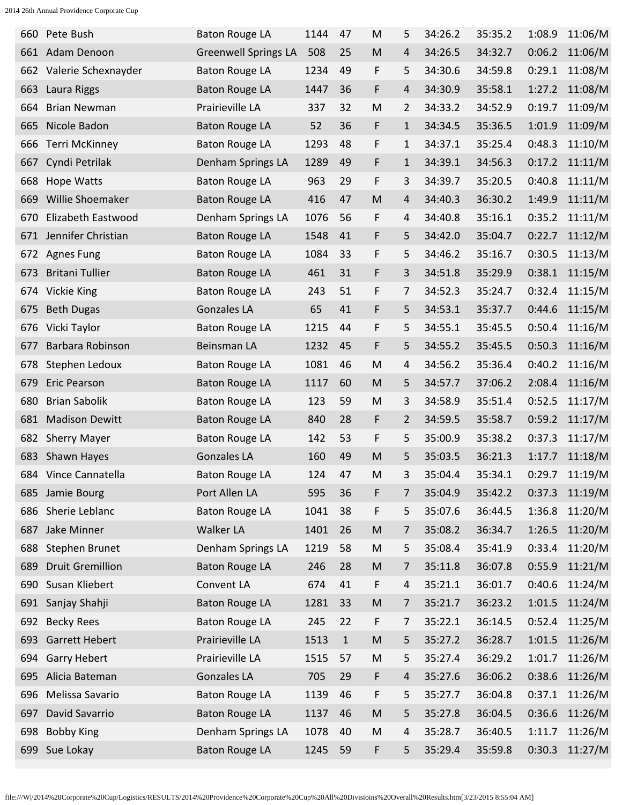| 660 | Pete Bush               | <b>Baton Rouge LA</b>       | 1144 | 47          | M                                                                                                          | 5 | 34:26.2 | 35:35.2 | 1:08.9 | 11:06/M |
|-----|-------------------------|-----------------------------|------|-------------|------------------------------------------------------------------------------------------------------------|---|---------|---------|--------|---------|
| 661 | Adam Denoon             | <b>Greenwell Springs LA</b> | 508  | 25          | M                                                                                                          | 4 | 34:26.5 | 34:32.7 | 0:06.2 | 11:06/M |
| 662 | Valerie Schexnayder     | <b>Baton Rouge LA</b>       | 1234 | 49          | F                                                                                                          | 5 | 34:30.6 | 34:59.8 | 0:29.1 | 11:08/M |
| 663 | Laura Riggs             | <b>Baton Rouge LA</b>       | 1447 | 36          | F                                                                                                          | 4 | 34:30.9 | 35:58.1 | 1:27.2 | 11:08/M |
| 664 | <b>Brian Newman</b>     | Prairieville LA             | 337  | 32          | M                                                                                                          | 2 | 34:33.2 | 34:52.9 | 0:19.7 | 11:09/M |
| 665 | Nicole Badon            | <b>Baton Rouge LA</b>       | 52   | 36          | F                                                                                                          | 1 | 34:34.5 | 35:36.5 | 1:01.9 | 11:09/M |
| 666 | <b>Terri McKinney</b>   | <b>Baton Rouge LA</b>       | 1293 | 48          | F                                                                                                          | 1 | 34:37.1 | 35:25.4 | 0:48.3 | 11:10/M |
| 667 | Cyndi Petrilak          | Denham Springs LA           | 1289 | 49          | F                                                                                                          | 1 | 34:39.1 | 34:56.3 | 0:17.2 | 11:11/M |
| 668 | <b>Hope Watts</b>       | <b>Baton Rouge LA</b>       | 963  | 29          | F                                                                                                          | 3 | 34:39.7 | 35:20.5 | 0:40.8 | 11:11/M |
| 669 | Willie Shoemaker        | <b>Baton Rouge LA</b>       | 416  | 47          | M                                                                                                          | 4 | 34:40.3 | 36:30.2 | 1:49.9 | 11:11/M |
| 670 | Elizabeth Eastwood      | Denham Springs LA           | 1076 | 56          | F                                                                                                          | 4 | 34:40.8 | 35:16.1 | 0:35.2 | 11:11/M |
| 671 | Jennifer Christian      | <b>Baton Rouge LA</b>       | 1548 | 41          | F                                                                                                          | 5 | 34:42.0 | 35:04.7 | 0:22.7 | 11:12/M |
| 672 | <b>Agnes Fung</b>       | <b>Baton Rouge LA</b>       | 1084 | 33          | F                                                                                                          | 5 | 34:46.2 | 35:16.7 | 0:30.5 | 11:13/M |
| 673 | <b>Britani Tullier</b>  | <b>Baton Rouge LA</b>       | 461  | 31          | F                                                                                                          | 3 | 34:51.8 | 35:29.9 | 0:38.1 | 11:15/M |
| 674 | Vickie King             | <b>Baton Rouge LA</b>       | 243  | 51          | F                                                                                                          | 7 | 34:52.3 | 35:24.7 | 0:32.4 | 11:15/M |
| 675 | <b>Beth Dugas</b>       | <b>Gonzales LA</b>          | 65   | 41          | F                                                                                                          | 5 | 34:53.1 | 35:37.7 | 0:44.6 | 11:15/M |
| 676 | Vicki Taylor            | <b>Baton Rouge LA</b>       | 1215 | 44          | F                                                                                                          | 5 | 34:55.1 | 35:45.5 | 0:50.4 | 11:16/M |
| 677 | Barbara Robinson        | Beinsman LA                 | 1232 | 45          | F                                                                                                          | 5 | 34:55.2 | 35:45.5 | 0:50.3 | 11:16/M |
| 678 | Stephen Ledoux          | <b>Baton Rouge LA</b>       | 1081 | 46          | M                                                                                                          | 4 | 34:56.2 | 35:36.4 | 0:40.2 | 11:16/M |
| 679 | <b>Eric Pearson</b>     | <b>Baton Rouge LA</b>       | 1117 | 60          | M                                                                                                          | 5 | 34:57.7 | 37:06.2 | 2:08.4 | 11:16/M |
| 680 | <b>Brian Sabolik</b>    | <b>Baton Rouge LA</b>       | 123  | 59          | M                                                                                                          | 3 | 34:58.9 | 35:51.4 | 0:52.5 | 11:17/M |
| 681 | <b>Madison Dewitt</b>   | <b>Baton Rouge LA</b>       | 840  | 28          | F                                                                                                          | 2 | 34:59.5 | 35:58.7 | 0:59.2 | 11:17/M |
| 682 | <b>Sherry Mayer</b>     | <b>Baton Rouge LA</b>       | 142  | 53          | F                                                                                                          | 5 | 35:00.9 | 35:38.2 | 0:37.3 | 11:17/M |
| 683 | Shawn Hayes             | <b>Gonzales LA</b>          | 160  | 49          | M                                                                                                          | 5 | 35:03.5 | 36:21.3 | 1:17.7 | 11:18/M |
|     | 684 Vince Cannatella    | <b>Baton Rouge LA</b>       | 124  | 47          | M                                                                                                          | 3 | 35:04.4 | 35:34.1 | 0:29.7 | 11:19/M |
|     | 685 Jamie Bourg         | Port Allen LA               | 595  | 36          | F                                                                                                          | 7 | 35:04.9 | 35:42.2 | 0:37.3 | 11:19/M |
| 686 | Sherie Leblanc          | <b>Baton Rouge LA</b>       | 1041 | 38          | F                                                                                                          | 5 | 35:07.6 | 36:44.5 | 1:36.8 | 11:20/M |
| 687 | Jake Minner             | Walker LA                   | 1401 | 26          | $\mathsf{M}% _{T}=\mathsf{M}_{T}\!\left( a,b\right) ,\ \mathsf{M}_{T}=\mathsf{M}_{T}\!\left( a,b\right) ,$ | 7 | 35:08.2 | 36:34.7 | 1:26.5 | 11:20/M |
| 688 | Stephen Brunet          | Denham Springs LA           | 1219 | 58          | M                                                                                                          | 5 | 35:08.4 | 35:41.9 | 0:33.4 | 11:20/M |
| 689 | <b>Druit Gremillion</b> | <b>Baton Rouge LA</b>       | 246  | 28          | $\mathsf{M}% _{T}=\mathsf{M}_{T}\!\left( a,b\right) ,\ \mathsf{M}_{T}=\mathsf{M}_{T}\!\left( a,b\right) ,$ | 7 | 35:11.8 | 36:07.8 | 0:55.9 | 11:21/M |
|     | 690 Susan Kliebert      | Convent LA                  | 674  | 41          | F                                                                                                          | 4 | 35:21.1 | 36:01.7 | 0:40.6 | 11:24/M |
| 691 | Sanjay Shahji           | <b>Baton Rouge LA</b>       | 1281 | 33          | $\mathsf{M}% _{T}=\mathsf{M}_{T}\!\left( a,b\right) ,\ \mathsf{M}_{T}=\mathsf{M}_{T}\!\left( a,b\right) ,$ | 7 | 35:21.7 | 36:23.2 | 1:01.5 | 11:24/M |
| 692 | <b>Becky Rees</b>       | <b>Baton Rouge LA</b>       | 245  | 22          | F                                                                                                          | 7 | 35:22.1 | 36:14.5 | 0:52.4 | 11:25/M |
| 693 | <b>Garrett Hebert</b>   | Prairieville LA             | 1513 | $\mathbf 1$ | $\mathsf{M}% _{T}=\mathsf{M}_{T}\!\left( a,b\right) ,\ \mathsf{M}_{T}=\mathsf{M}_{T}\!\left( a,b\right) ,$ | 5 | 35:27.2 | 36:28.7 | 1:01.5 | 11:26/M |
| 694 | <b>Garry Hebert</b>     | Prairieville LA             | 1515 | 57          | M                                                                                                          | 5 | 35:27.4 | 36:29.2 | 1:01.7 | 11:26/M |
| 695 | Alicia Bateman          | Gonzales LA                 | 705  | 29          | F                                                                                                          | 4 | 35:27.6 | 36:06.2 | 0:38.6 | 11:26/M |
| 696 | Melissa Savario         | <b>Baton Rouge LA</b>       | 1139 | 46          | F                                                                                                          | 5 | 35:27.7 | 36:04.8 | 0:37.1 | 11:26/M |
| 697 | David Savarrio          | <b>Baton Rouge LA</b>       | 1137 | 46          | $\mathsf{M}% _{T}=\mathsf{M}_{T}\!\left( a,b\right) ,\ \mathsf{M}_{T}=\mathsf{M}_{T}\!\left( a,b\right) ,$ | 5 | 35:27.8 | 36:04.5 | 0:36.6 | 11:26/M |
| 698 | <b>Bobby King</b>       | Denham Springs LA           | 1078 | 40          | M                                                                                                          | 4 | 35:28.7 | 36:40.5 | 1:11.7 | 11:26/M |
| 699 | Sue Lokay               | <b>Baton Rouge LA</b>       | 1245 | 59          | F                                                                                                          | 5 | 35:29.4 | 35:59.8 | 0:30.3 | 11:27/M |
|     |                         |                             |      |             |                                                                                                            |   |         |         |        |         |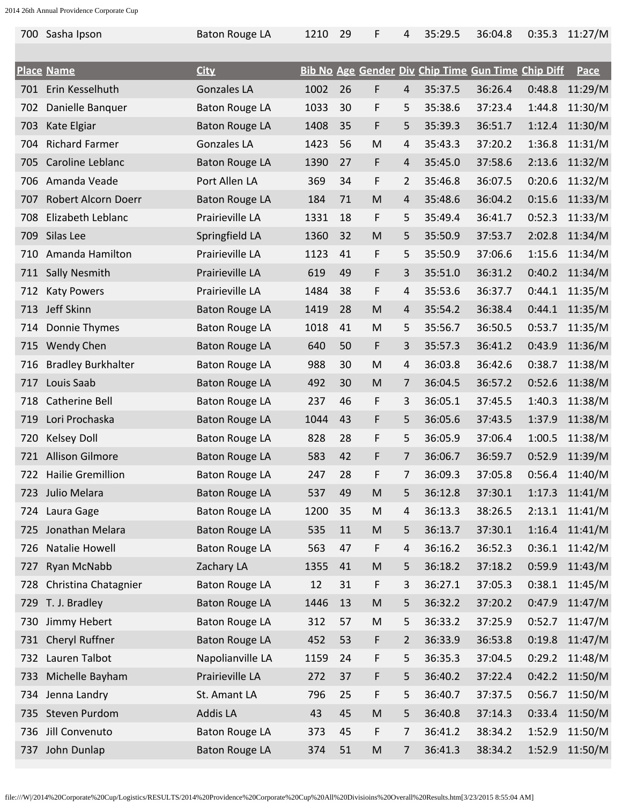| 700 | Sasha Ipson               | <b>Baton Rouge LA</b> | 1210 | 29 | F         | 4              | 35:29.5 | 36:04.8                                            | 0:35.3 | 11:27/M     |
|-----|---------------------------|-----------------------|------|----|-----------|----------------|---------|----------------------------------------------------|--------|-------------|
|     | <b>Place Name</b>         | <b>City</b>           |      |    |           |                |         | Bib No Age Gender Div Chip Time Gun Time Chip Diff |        | <u>Pace</u> |
| 701 | Erin Kesselhuth           | <b>Gonzales LA</b>    | 1002 | 26 | F         | $\overline{4}$ | 35:37.5 | 36:26.4                                            | 0:48.8 | 11:29/M     |
| 702 | Danielle Banquer          | <b>Baton Rouge LA</b> | 1033 | 30 | F         | 5              | 35:38.6 | 37:23.4                                            | 1:44.8 | 11:30/M     |
| 703 | Kate Elgiar               | <b>Baton Rouge LA</b> | 1408 | 35 | F         | 5              | 35:39.3 | 36:51.7                                            | 1:12.4 | 11:30/M     |
| 704 | <b>Richard Farmer</b>     | <b>Gonzales LA</b>    | 1423 | 56 | M         | 4              | 35:43.3 | 37:20.2                                            | 1:36.8 | 11:31/M     |
| 705 | Caroline Leblanc          | <b>Baton Rouge LA</b> | 1390 | 27 | F         | 4              | 35:45.0 | 37:58.6                                            | 2:13.6 | 11:32/M     |
| 706 | Amanda Veade              | Port Allen LA         | 369  | 34 | F         | $\overline{2}$ | 35:46.8 | 36:07.5                                            | 0:20.6 | 11:32/M     |
| 707 | Robert Alcorn Doerr       | <b>Baton Rouge LA</b> | 184  | 71 | M         | 4              | 35:48.6 | 36:04.2                                            | 0:15.6 | 11:33/M     |
| 708 | Elizabeth Leblanc         | Prairieville LA       | 1331 | 18 | F         | 5              | 35:49.4 | 36:41.7                                            | 0:52.3 | 11:33/M     |
| 709 | Silas Lee                 | Springfield LA        | 1360 | 32 | M         | 5              | 35:50.9 | 37:53.7                                            | 2:02.8 | 11:34/M     |
| 710 | Amanda Hamilton           | Prairieville LA       | 1123 | 41 | F         | 5              | 35:50.9 | 37:06.6                                            | 1:15.6 | 11:34/M     |
| 711 | Sally Nesmith             | Prairieville LA       | 619  | 49 | F         | 3              | 35:51.0 | 36:31.2                                            | 0:40.2 | 11:34/M     |
| 712 | <b>Katy Powers</b>        | Prairieville LA       | 1484 | 38 | F         | 4              | 35:53.6 | 36:37.7                                            | 0:44.1 | 11:35/M     |
| 713 | Jeff Skinn                | <b>Baton Rouge LA</b> | 1419 | 28 | M         | 4              | 35:54.2 | 36:38.4                                            | 0:44.1 | 11:35/M     |
| 714 | Donnie Thymes             | <b>Baton Rouge LA</b> | 1018 | 41 | M         | 5              | 35:56.7 | 36:50.5                                            | 0:53.7 | 11:35/M     |
| 715 | Wendy Chen                | <b>Baton Rouge LA</b> | 640  | 50 | F         | 3              | 35:57.3 | 36:41.2                                            | 0:43.9 | 11:36/M     |
| 716 | <b>Bradley Burkhalter</b> | <b>Baton Rouge LA</b> | 988  | 30 | M         | 4              | 36:03.8 | 36:42.6                                            | 0:38.7 | 11:38/M     |
| 717 | Louis Saab                | <b>Baton Rouge LA</b> | 492  | 30 | M         | 7              | 36:04.5 | 36:57.2                                            | 0:52.6 | 11:38/M     |
| 718 | Catherine Bell            | <b>Baton Rouge LA</b> | 237  | 46 | F         | 3              | 36:05.1 | 37:45.5                                            | 1:40.3 | 11:38/M     |
| 719 | Lori Prochaska            | <b>Baton Rouge LA</b> | 1044 | 43 | F         | 5              | 36:05.6 | 37:43.5                                            | 1:37.9 | 11:38/M     |
| 720 | <b>Kelsey Doll</b>        | <b>Baton Rouge LA</b> | 828  | 28 | F         | 5              | 36:05.9 | 37:06.4                                            | 1:00.5 | 11:38/M     |
| 721 | <b>Allison Gilmore</b>    | <b>Baton Rouge LA</b> | 583  | 42 | F         | 7              | 36:06.7 | 36:59.7                                            | 0:52.9 | 11:39/M     |
|     | 722 Hailie Gremillion     | <b>Baton Rouge LA</b> | 247  | 28 | F         | 7              | 36:09.3 | 37:05.8                                            | 0:56.4 | 11:40/M     |
| 723 | Julio Melara              | <b>Baton Rouge LA</b> | 537  | 49 | M         | 5              | 36:12.8 | 37:30.1                                            | 1:17.3 | 11:41/M     |
| 724 | Laura Gage                | <b>Baton Rouge LA</b> | 1200 | 35 | ${\sf M}$ | 4              | 36:13.3 | 38:26.5                                            | 2:13.1 | 11:41/M     |
| 725 | Jonathan Melara           | <b>Baton Rouge LA</b> | 535  | 11 | M         | 5              | 36:13.7 | 37:30.1                                            | 1:16.4 | 11:41/M     |
| 726 | Natalie Howell            | <b>Baton Rouge LA</b> | 563  | 47 | F         | 4              | 36:16.2 | 36:52.3                                            | 0:36.1 | 11:42/M     |
| 727 | Ryan McNabb               | Zachary LA            | 1355 | 41 | M         | 5              | 36:18.2 | 37:18.2                                            | 0:59.9 | 11:43/M     |
| 728 | Christina Chatagnier      | <b>Baton Rouge LA</b> | 12   | 31 | F         | 3              | 36:27.1 | 37:05.3                                            | 0:38.1 | 11:45/M     |
| 729 | T. J. Bradley             | <b>Baton Rouge LA</b> | 1446 | 13 | M         | 5              | 36:32.2 | 37:20.2                                            | 0:47.9 | 11:47/M     |
| 730 | Jimmy Hebert              | <b>Baton Rouge LA</b> | 312  | 57 | M         | 5              | 36:33.2 | 37:25.9                                            | 0:52.7 | 11:47/M     |
| 731 | Cheryl Ruffner            | <b>Baton Rouge LA</b> | 452  | 53 | F         | $\overline{2}$ | 36:33.9 | 36:53.8                                            | 0:19.8 | 11:47/M     |
| 732 | Lauren Talbot             | Napolianville LA      | 1159 | 24 | F         | 5              | 36:35.3 | 37:04.5                                            | 0:29.2 | 11:48/M     |
| 733 | Michelle Bayham           | Prairieville LA       | 272  | 37 | F         | 5              | 36:40.2 | 37:22.4                                            | 0:42.2 | 11:50/M     |
| 734 | Jenna Landry              | St. Amant LA          | 796  | 25 | F         | 5              | 36:40.7 | 37:37.5                                            | 0:56.7 | 11:50/M     |
| 735 | Steven Purdom             | Addis LA              | 43   | 45 | M         | 5              | 36:40.8 | 37:14.3                                            | 0:33.4 | 11:50/M     |
| 736 | Jill Convenuto            | <b>Baton Rouge LA</b> | 373  | 45 | F         | 7              | 36:41.2 | 38:34.2                                            | 1:52.9 | 11:50/M     |
| 737 | John Dunlap               | <b>Baton Rouge LA</b> | 374  | 51 | M         | 7              | 36:41.3 | 38:34.2                                            | 1:52.9 | 11:50/M     |
|     |                           |                       |      |    |           |                |         |                                                    |        |             |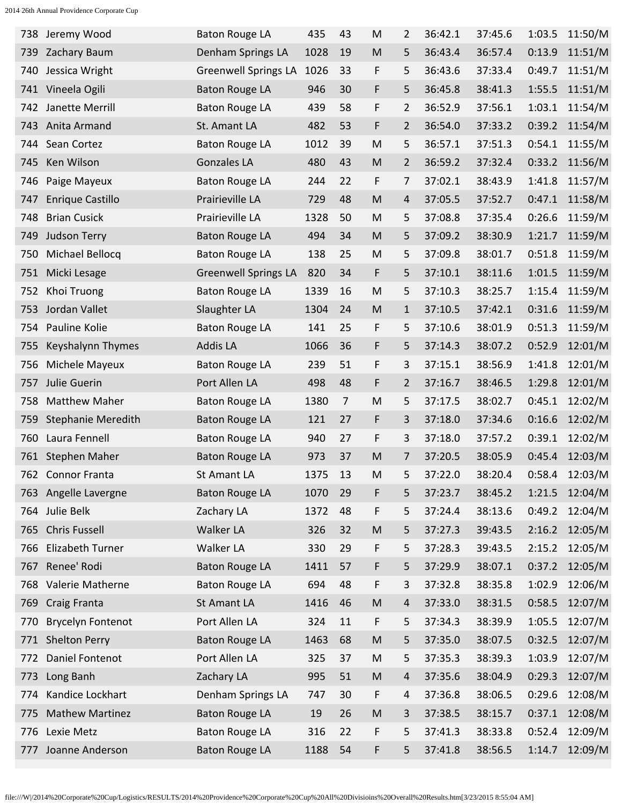| 738 | Jeremy Wood               | <b>Baton Rouge LA</b>       | 435  | 43             | M                                                                                                          | $\overline{2}$ | 36:42.1 | 37:45.6 | 1:03.5 | 11:50/M |
|-----|---------------------------|-----------------------------|------|----------------|------------------------------------------------------------------------------------------------------------|----------------|---------|---------|--------|---------|
| 739 | Zachary Baum              | Denham Springs LA           | 1028 | 19             | M                                                                                                          | 5              | 36:43.4 | 36:57.4 | 0:13.9 | 11:51/M |
| 740 | Jessica Wright            | <b>Greenwell Springs LA</b> | 1026 | 33             | F                                                                                                          | 5              | 36:43.6 | 37:33.4 | 0:49.7 | 11:51/M |
| 741 | Vineela Ogili             | <b>Baton Rouge LA</b>       | 946  | 30             | F                                                                                                          | 5              | 36:45.8 | 38:41.3 | 1:55.5 | 11:51/M |
| 742 | Janette Merrill           | <b>Baton Rouge LA</b>       | 439  | 58             | F                                                                                                          | 2              | 36:52.9 | 37:56.1 | 1:03.1 | 11:54/M |
| 743 | Anita Armand              | St. Amant LA                | 482  | 53             | F                                                                                                          | $\overline{2}$ | 36:54.0 | 37:33.2 | 0:39.2 | 11:54/M |
| 744 | Sean Cortez               | <b>Baton Rouge LA</b>       | 1012 | 39             | M                                                                                                          | 5              | 36:57.1 | 37:51.3 | 0:54.1 | 11:55/M |
| 745 | Ken Wilson                | <b>Gonzales LA</b>          | 480  | 43             | M                                                                                                          | $\overline{2}$ | 36:59.2 | 37:32.4 | 0:33.2 | 11:56/M |
| 746 | Paige Mayeux              | <b>Baton Rouge LA</b>       | 244  | 22             | F                                                                                                          | 7              | 37:02.1 | 38:43.9 | 1:41.8 | 11:57/M |
| 747 | Enrique Castillo          | Prairieville LA             | 729  | 48             | M                                                                                                          | 4              | 37:05.5 | 37:52.7 | 0:47.1 | 11:58/M |
| 748 | <b>Brian Cusick</b>       | Prairieville LA             | 1328 | 50             | M                                                                                                          | 5              | 37:08.8 | 37:35.4 | 0:26.6 | 11:59/M |
| 749 | <b>Judson Terry</b>       | <b>Baton Rouge LA</b>       | 494  | 34             | M                                                                                                          | 5              | 37:09.2 | 38:30.9 | 1:21.7 | 11:59/M |
| 750 | Michael Bellocq           | <b>Baton Rouge LA</b>       | 138  | 25             | M                                                                                                          | 5              | 37:09.8 | 38:01.7 | 0:51.8 | 11:59/M |
| 751 | Micki Lesage              | <b>Greenwell Springs LA</b> | 820  | 34             | F                                                                                                          | 5              | 37:10.1 | 38:11.6 | 1:01.5 | 11:59/M |
| 752 | Khoi Truong               | <b>Baton Rouge LA</b>       | 1339 | 16             | M                                                                                                          | 5              | 37:10.3 | 38:25.7 | 1:15.4 | 11:59/M |
| 753 | Jordan Vallet             | Slaughter LA                | 1304 | 24             | M                                                                                                          | $\mathbf{1}$   | 37:10.5 | 37:42.1 | 0:31.6 | 11:59/M |
| 754 | Pauline Kolie             | <b>Baton Rouge LA</b>       | 141  | 25             | F                                                                                                          | 5              | 37:10.6 | 38:01.9 | 0:51.3 | 11:59/M |
| 755 | Keyshalynn Thymes         | <b>Addis LA</b>             | 1066 | 36             | F                                                                                                          | 5              | 37:14.3 | 38:07.2 | 0:52.9 | 12:01/M |
| 756 | Michele Mayeux            | <b>Baton Rouge LA</b>       | 239  | 51             | F                                                                                                          | 3              | 37:15.1 | 38:56.9 | 1:41.8 | 12:01/M |
| 757 | Julie Guerin              | Port Allen LA               | 498  | 48             | F                                                                                                          | 2              | 37:16.7 | 38:46.5 | 1:29.8 | 12:01/M |
| 758 | <b>Matthew Maher</b>      | <b>Baton Rouge LA</b>       | 1380 | $\overline{7}$ | M                                                                                                          | 5              | 37:17.5 | 38:02.7 | 0:45.1 | 12:02/M |
| 759 | <b>Stephanie Meredith</b> | <b>Baton Rouge LA</b>       | 121  | 27             | F                                                                                                          | 3              | 37:18.0 | 37:34.6 | 0:16.6 | 12:02/M |
| 760 | Laura Fennell             | <b>Baton Rouge LA</b>       | 940  | 27             | F                                                                                                          | 3              | 37:18.0 | 37:57.2 | 0:39.1 | 12:02/M |
| 761 | <b>Stephen Maher</b>      | <b>Baton Rouge LA</b>       | 973  | 37             | M                                                                                                          | 7              | 37:20.5 | 38:05.9 | 0:45.4 | 12:03/M |
| 762 | <b>Connor Franta</b>      | <b>St Amant LA</b>          | 1375 | 13             | M                                                                                                          | 5              | 37:22.0 | 38:20.4 | 0:58.4 | 12:03/M |
| 763 | Angelle Lavergne          | <b>Baton Rouge LA</b>       | 1070 | 29             | F                                                                                                          | 5              | 37:23.7 | 38:45.2 | 1:21.5 | 12:04/M |
| 764 | Julie Belk                | Zachary LA                  | 1372 | 48             | F                                                                                                          | 5              | 37:24.4 | 38:13.6 | 0:49.2 | 12:04/M |
| 765 | <b>Chris Fussell</b>      | <b>Walker LA</b>            | 326  | 32             | M                                                                                                          | 5              | 37:27.3 | 39:43.5 | 2:16.2 | 12:05/M |
| 766 | Elizabeth Turner          | Walker LA                   | 330  | 29             | F                                                                                                          | 5              | 37:28.3 | 39:43.5 | 2:15.2 | 12:05/M |
| 767 | Renee' Rodi               | <b>Baton Rouge LA</b>       | 1411 | 57             | F                                                                                                          | 5              | 37:29.9 | 38:07.1 | 0:37.2 | 12:05/M |
| 768 | Valerie Matherne          | <b>Baton Rouge LA</b>       | 694  | 48             | F                                                                                                          | 3              | 37:32.8 | 38:35.8 | 1:02.9 | 12:06/M |
| 769 | Craig Franta              | St Amant LA                 | 1416 | 46             | M                                                                                                          | 4              | 37:33.0 | 38:31.5 | 0:58.5 | 12:07/M |
| 770 | <b>Brycelyn Fontenot</b>  | Port Allen LA               | 324  | 11             | F                                                                                                          | 5              | 37:34.3 | 38:39.9 | 1:05.5 | 12:07/M |
| 771 | <b>Shelton Perry</b>      | <b>Baton Rouge LA</b>       | 1463 | 68             | M                                                                                                          | 5              | 37:35.0 | 38:07.5 | 0:32.5 | 12:07/M |
| 772 | Daniel Fontenot           | Port Allen LA               | 325  | 37             | M                                                                                                          | 5              | 37:35.3 | 38:39.3 | 1:03.9 | 12:07/M |
| 773 | Long Banh                 | Zachary LA                  | 995  | 51             | $\mathsf{M}% _{T}=\mathsf{M}_{T}\!\left( a,b\right) ,\ \mathsf{M}_{T}=\mathsf{M}_{T}\!\left( a,b\right) ,$ | 4              | 37:35.6 | 38:04.9 | 0:29.3 | 12:07/M |
| 774 | Kandice Lockhart          | Denham Springs LA           | 747  | 30             | F                                                                                                          | 4              | 37:36.8 | 38:06.5 | 0:29.6 | 12:08/M |
| 775 | <b>Mathew Martinez</b>    | <b>Baton Rouge LA</b>       | 19   | 26             | $\mathsf{M}% _{T}=\mathsf{M}_{T}\!\left( a,b\right) ,\ \mathsf{M}_{T}=\mathsf{M}_{T}\!\left( a,b\right) ,$ | 3              | 37:38.5 | 38:15.7 | 0:37.1 | 12:08/M |
| 776 | Lexie Metz                | <b>Baton Rouge LA</b>       | 316  | 22             | F                                                                                                          | 5              | 37:41.3 | 38:33.8 | 0:52.4 | 12:09/M |
| 777 | Joanne Anderson           | <b>Baton Rouge LA</b>       | 1188 | 54             | F                                                                                                          | 5              | 37:41.8 | 38:56.5 | 1:14.7 | 12:09/M |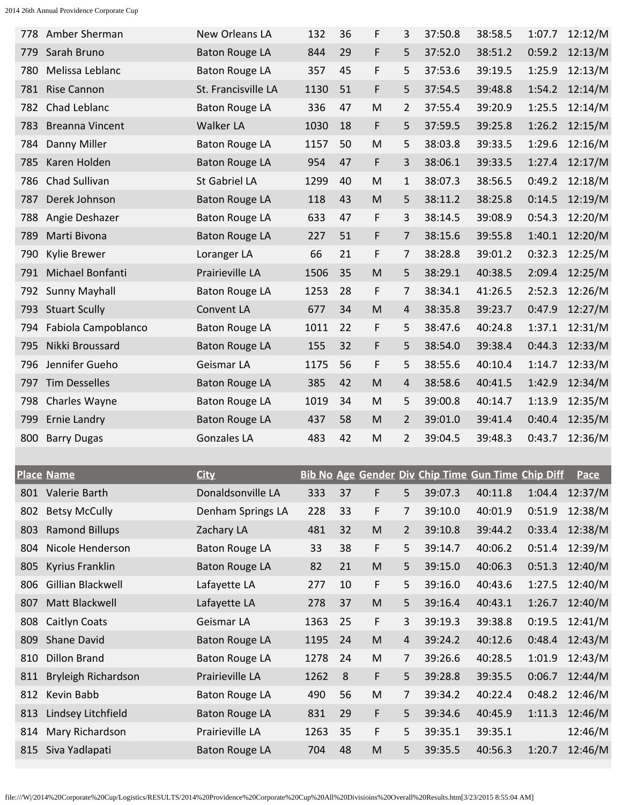| 778 | Amber Sherman          | <b>New Orleans LA</b> | 132  | 36      | F                                                                                                          | 3              | 37:50.8                                            | 38:58.5 | 1:07.7 | 12:12/M     |
|-----|------------------------|-----------------------|------|---------|------------------------------------------------------------------------------------------------------------|----------------|----------------------------------------------------|---------|--------|-------------|
| 779 | Sarah Bruno            | <b>Baton Rouge LA</b> | 844  | 29      | F                                                                                                          | 5              | 37:52.0                                            | 38:51.2 | 0:59.2 | 12:13/M     |
| 780 | Melissa Leblanc        | <b>Baton Rouge LA</b> | 357  | 45      | F                                                                                                          | 5              | 37:53.6                                            | 39:19.5 | 1:25.9 | 12:13/M     |
| 781 | <b>Rise Cannon</b>     | St. Francisville LA   | 1130 | 51      | F                                                                                                          | 5              | 37:54.5                                            | 39:48.8 | 1:54.2 | 12:14/M     |
| 782 | Chad Leblanc           | <b>Baton Rouge LA</b> | 336  | 47      | M                                                                                                          | 2              | 37:55.4                                            | 39:20.9 | 1:25.5 | 12:14/M     |
| 783 | <b>Breanna Vincent</b> | <b>Walker LA</b>      | 1030 | 18      | F                                                                                                          | 5              | 37:59.5                                            | 39:25.8 | 1:26.2 | 12:15/M     |
| 784 | Danny Miller           | <b>Baton Rouge LA</b> | 1157 | 50      | M                                                                                                          | 5              | 38:03.8                                            | 39:33.5 | 1:29.6 | 12:16/M     |
| 785 | Karen Holden           | <b>Baton Rouge LA</b> | 954  | 47      | F                                                                                                          | 3              | 38:06.1                                            | 39:33.5 | 1:27.4 | 12:17/M     |
| 786 | Chad Sullivan          | St Gabriel LA         | 1299 | 40      | M                                                                                                          | 1              | 38:07.3                                            | 38:56.5 | 0:49.2 | 12:18/M     |
| 787 | Derek Johnson          | <b>Baton Rouge LA</b> | 118  | 43      | M                                                                                                          | 5              | 38:11.2                                            | 38:25.8 | 0:14.5 | 12:19/M     |
| 788 | Angie Deshazer         | <b>Baton Rouge LA</b> | 633  | 47      | F                                                                                                          | 3              | 38:14.5                                            | 39:08.9 | 0:54.3 | 12:20/M     |
| 789 | Marti Bivona           | <b>Baton Rouge LA</b> | 227  | 51      | F                                                                                                          | 7              | 38:15.6                                            | 39:55.8 | 1:40.1 | 12:20/M     |
| 790 | <b>Kylie Brewer</b>    | Loranger LA           | 66   | 21      | F                                                                                                          | 7              | 38:28.8                                            | 39:01.2 | 0:32.3 | 12:25/M     |
| 791 | Michael Bonfanti       | Prairieville LA       | 1506 | 35      | M                                                                                                          | 5              | 38:29.1                                            | 40:38.5 | 2:09.4 | 12:25/M     |
| 792 | Sunny Mayhall          | <b>Baton Rouge LA</b> | 1253 | 28      | F                                                                                                          | 7              | 38:34.1                                            | 41:26.5 | 2:52.3 | 12:26/M     |
| 793 | <b>Stuart Scully</b>   | Convent LA            | 677  | 34      | M                                                                                                          | 4              | 38:35.8                                            | 39:23.7 | 0:47.9 | 12:27/M     |
| 794 | Fabiola Campoblanco    | <b>Baton Rouge LA</b> | 1011 | 22      | F                                                                                                          | 5              | 38:47.6                                            | 40:24.8 | 1:37.1 | 12:31/M     |
| 795 | Nikki Broussard        | <b>Baton Rouge LA</b> | 155  | 32      | F                                                                                                          | 5              | 38:54.0                                            | 39:38.4 | 0:44.3 | 12:33/M     |
| 796 | Jennifer Gueho         | Geismar LA            | 1175 | 56      | F                                                                                                          | 5              | 38:55.6                                            | 40:10.4 | 1:14.7 | 12:33/M     |
| 797 | <b>Tim Desselles</b>   | <b>Baton Rouge LA</b> | 385  | 42      | M                                                                                                          | 4              | 38:58.6                                            | 40:41.5 | 1:42.9 | 12:34/M     |
| 798 | Charles Wayne          | <b>Baton Rouge LA</b> | 1019 | 34      | M                                                                                                          | 5              | 39:00.8                                            | 40:14.7 | 1:13.9 | 12:35/M     |
|     |                        |                       |      |         |                                                                                                            |                |                                                    |         |        |             |
| 799 | Ernie Landry           | <b>Baton Rouge LA</b> | 437  | 58      | M                                                                                                          | 2              | 39:01.0                                            | 39:41.4 | 0:40.4 | 12:35/M     |
| 800 | <b>Barry Dugas</b>     | <b>Gonzales LA</b>    | 483  | 42      | M                                                                                                          | $\overline{2}$ | 39:04.5                                            | 39:48.3 | 0:43.7 | 12:36/M     |
|     |                        |                       |      |         |                                                                                                            |                |                                                    |         |        |             |
|     | <b>Place Name</b>      | <b>City</b>           |      |         |                                                                                                            |                | Bib No Age Gender Div Chip Time Gun Time Chip Diff |         |        | <b>Pace</b> |
|     | 801 Valerie Barth      | Donaldsonville LA     | 333  | 37      | F                                                                                                          | 5              | 39:07.3                                            | 40:11.8 | 1:04.4 | 12:37/M     |
| 802 | <b>Betsy McCully</b>   | Denham Springs LA     | 228  | 33      | F                                                                                                          | 7              | 39:10.0                                            | 40:01.9 | 0:51.9 | 12:38/M     |
| 803 | <b>Ramond Billups</b>  | Zachary LA            | 481  | 32      | M                                                                                                          | 2              | 39:10.8                                            | 39:44.2 | 0:33.4 | 12:38/M     |
| 804 | Nicole Henderson       | <b>Baton Rouge LA</b> | 33   | 38      | F                                                                                                          | 5              | 39:14.7                                            | 40:06.2 | 0:51.4 | 12:39/M     |
| 805 | Kyrius Franklin        | <b>Baton Rouge LA</b> | 82   | 21      | $\mathsf{M}% _{T}=\mathsf{M}_{T}\!\left( a,b\right) ,\ \mathsf{M}_{T}=\mathsf{M}_{T}\!\left( a,b\right) ,$ | 5              | 39:15.0                                            | 40:06.3 | 0:51.3 | 12:40/M     |
| 806 | Gillian Blackwell      | Lafayette LA          | 277  | 10      | F                                                                                                          | 5              | 39:16.0                                            | 40:43.6 | 1:27.5 | 12:40/M     |
| 807 | Matt Blackwell         | Lafayette LA          | 278  | 37      | $\mathsf{M}% _{T}=\mathsf{M}_{T}\!\left( a,b\right) ,\ \mathsf{M}_{T}=\mathsf{M}_{T}\!\left( a,b\right) ,$ | 5              | 39:16.4                                            | 40:43.1 | 1:26.7 | 12:40/M     |
| 808 | Caitlyn Coats          | Geismar LA            | 1363 | 25      | F                                                                                                          | 3              | 39:19.3                                            | 39:38.8 | 0:19.5 | 12:41/M     |
| 809 | Shane David            | <b>Baton Rouge LA</b> | 1195 | 24      | $\mathsf{M}% _{T}=\mathsf{M}_{T}\!\left( a,b\right) ,\ \mathsf{M}_{T}=\mathsf{M}_{T}\!\left( a,b\right) ,$ | 4              | 39:24.2                                            | 40:12.6 | 0:48.4 | 12:43/M     |
| 810 | <b>Dillon Brand</b>    | <b>Baton Rouge LA</b> | 1278 | 24      | M                                                                                                          | 7              | 39:26.6                                            | 40:28.5 | 1:01.9 | 12:43/M     |
| 811 | Bryleigh Richardson    | Prairieville LA       | 1262 | $\,8\,$ | F                                                                                                          | 5              | 39:28.8                                            | 39:35.5 | 0:06.7 | 12:44/M     |
| 812 | Kevin Babb             | <b>Baton Rouge LA</b> | 490  | 56      | M                                                                                                          | 7              | 39:34.2                                            | 40:22.4 | 0:48.2 | 12:46/M     |
| 813 | Lindsey Litchfield     | <b>Baton Rouge LA</b> | 831  | 29      | F                                                                                                          | 5              | 39:34.6                                            | 40:45.9 | 1:11.3 | 12:46/M     |
| 814 | Mary Richardson        | Prairieville LA       | 1263 | 35      | F                                                                                                          | 5              | 39:35.1                                            | 39:35.1 |        | 12:46/M     |
| 815 | Siva Yadlapati         | <b>Baton Rouge LA</b> | 704  | 48      | M                                                                                                          | 5              | 39:35.5                                            | 40:56.3 | 1:20.7 | 12:46/M     |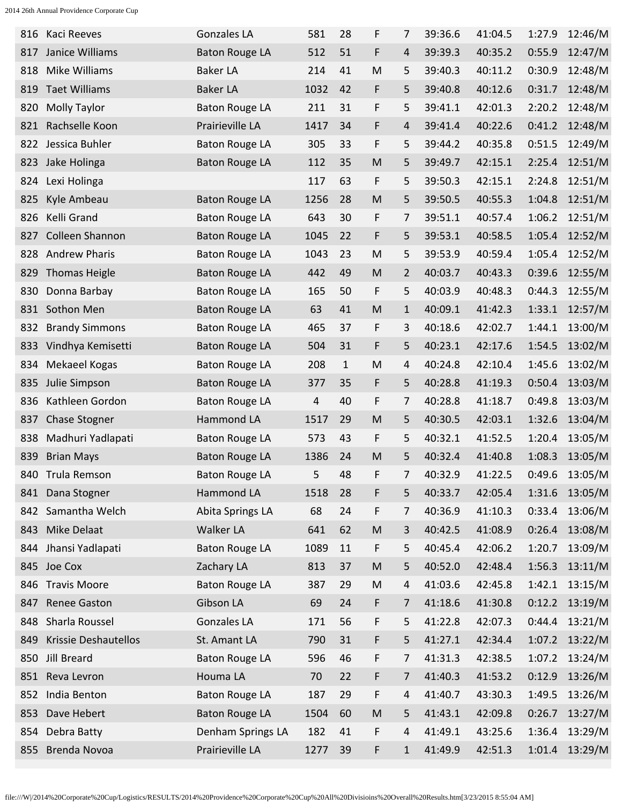| 816 | Kaci Reeves            | <b>Gonzales LA</b>    | 581  | 28           | F | 7 | 39:36.6 | 41:04.5 | 1:27.9 | 12:46/M |
|-----|------------------------|-----------------------|------|--------------|---|---|---------|---------|--------|---------|
| 817 | Janice Williams        | <b>Baton Rouge LA</b> | 512  | 51           | F | 4 | 39:39.3 | 40:35.2 | 0:55.9 | 12:47/M |
| 818 | Mike Williams          | <b>Baker LA</b>       | 214  | 41           | M | 5 | 39:40.3 | 40:11.2 | 0:30.9 | 12:48/M |
| 819 | <b>Taet Williams</b>   | <b>Baker LA</b>       | 1032 | 42           | F | 5 | 39:40.8 | 40:12.6 | 0:31.7 | 12:48/M |
| 820 | <b>Molly Taylor</b>    | <b>Baton Rouge LA</b> | 211  | 31           | F | 5 | 39:41.1 | 42:01.3 | 2:20.2 | 12:48/M |
| 821 | Rachselle Koon         | Prairieville LA       | 1417 | 34           | F | 4 | 39:41.4 | 40:22.6 | 0:41.2 | 12:48/M |
| 822 | Jessica Buhler         | <b>Baton Rouge LA</b> | 305  | 33           | F | 5 | 39:44.2 | 40:35.8 | 0:51.5 | 12:49/M |
| 823 | Jake Holinga           | <b>Baton Rouge LA</b> | 112  | 35           | M | 5 | 39:49.7 | 42:15.1 | 2:25.4 | 12:51/M |
| 824 | Lexi Holinga           |                       | 117  | 63           | F | 5 | 39:50.3 | 42:15.1 | 2:24.8 | 12:51/M |
| 825 | Kyle Ambeau            | <b>Baton Rouge LA</b> | 1256 | 28           | M | 5 | 39:50.5 | 40:55.3 | 1:04.8 | 12:51/M |
| 826 | Kelli Grand            | <b>Baton Rouge LA</b> | 643  | 30           | F | 7 | 39:51.1 | 40:57.4 | 1:06.2 | 12:51/M |
| 827 | <b>Colleen Shannon</b> | <b>Baton Rouge LA</b> | 1045 | 22           | F | 5 | 39:53.1 | 40:58.5 | 1:05.4 | 12:52/M |
| 828 | <b>Andrew Pharis</b>   | <b>Baton Rouge LA</b> | 1043 | 23           | M | 5 | 39:53.9 | 40:59.4 | 1:05.4 | 12:52/M |
| 829 | <b>Thomas Heigle</b>   | <b>Baton Rouge LA</b> | 442  | 49           | M | 2 | 40:03.7 | 40:43.3 | 0:39.6 | 12:55/M |
| 830 | Donna Barbay           | <b>Baton Rouge LA</b> | 165  | 50           | F | 5 | 40:03.9 | 40:48.3 | 0:44.3 | 12:55/M |
| 831 | Sothon Men             | <b>Baton Rouge LA</b> | 63   | 41           | M | 1 | 40:09.1 | 41:42.3 | 1:33.1 | 12:57/M |
| 832 | <b>Brandy Simmons</b>  | <b>Baton Rouge LA</b> | 465  | 37           | F | 3 | 40:18.6 | 42:02.7 | 1:44.1 | 13:00/M |
| 833 | Vindhya Kemisetti      | <b>Baton Rouge LA</b> | 504  | 31           | F | 5 | 40:23.1 | 42:17.6 | 1:54.5 | 13:02/M |
| 834 | Mekaeel Kogas          | <b>Baton Rouge LA</b> | 208  | $\mathbf{1}$ | M | 4 | 40:24.8 | 42:10.4 | 1:45.6 | 13:02/M |
| 835 | Julie Simpson          | <b>Baton Rouge LA</b> | 377  | 35           | F | 5 | 40:28.8 | 41:19.3 | 0:50.4 | 13:03/M |
| 836 | Kathleen Gordon        | <b>Baton Rouge LA</b> | 4    | 40           | F | 7 | 40:28.8 | 41:18.7 | 0:49.8 | 13:03/M |
| 837 | <b>Chase Stogner</b>   | Hammond LA            | 1517 | 29           | M | 5 | 40:30.5 | 42:03.1 | 1:32.6 | 13:04/M |
| 838 | Madhuri Yadlapati      | <b>Baton Rouge LA</b> | 573  | 43           | F | 5 | 40:32.1 | 41:52.5 | 1:20.4 | 13:05/M |
| 839 | <b>Brian Mays</b>      | <b>Baton Rouge LA</b> | 1386 | 24           | M | 5 | 40:32.4 | 41:40.8 | 1:08.3 | 13:05/M |
| 840 | Trula Remson           | <b>Baton Rouge LA</b> | 5    | 48           | F | 7 | 40:32.9 | 41:22.5 | 0:49.6 | 13:05/M |
|     | 841 Dana Stogner       | Hammond LA            | 1518 | 28           | F | 5 | 40:33.7 | 42:05.4 | 1:31.6 | 13:05/M |
| 842 | Samantha Welch         | Abita Springs LA      | 68   | 24           | F | 7 | 40:36.9 | 41:10.3 | 0:33.4 | 13:06/M |
| 843 | Mike Delaat            | <b>Walker LA</b>      | 641  | 62           | M | 3 | 40:42.5 | 41:08.9 | 0:26.4 | 13:08/M |
|     | 844 Jhansi Yadlapati   | <b>Baton Rouge LA</b> | 1089 | 11           | F | 5 | 40:45.4 | 42:06.2 | 1:20.7 | 13:09/M |
|     | 845 Joe Cox            | Zachary LA            | 813  | 37           | M | 5 | 40:52.0 | 42:48.4 | 1:56.3 | 13:11/M |
|     | 846 Travis Moore       | <b>Baton Rouge LA</b> | 387  | 29           | M | 4 | 41:03.6 | 42:45.8 | 1:42.1 | 13:15/M |
| 847 | <b>Renee Gaston</b>    | Gibson LA             | 69   | 24           | F | 7 | 41:18.6 | 41:30.8 | 0:12.2 | 13:19/M |
| 848 | Sharla Roussel         | <b>Gonzales LA</b>    | 171  | 56           | F | 5 | 41:22.8 | 42:07.3 | 0:44.4 | 13:21/M |
| 849 | Krissie Deshautellos   | St. Amant LA          | 790  | 31           | F | 5 | 41:27.1 | 42:34.4 | 1:07.2 | 13:22/M |
|     | 850 Jill Breard        | <b>Baton Rouge LA</b> | 596  | 46           | F | 7 | 41:31.3 | 42:38.5 | 1:07.2 | 13:24/M |
|     | 851 Reva Levron        | Houma LA              | 70   | 22           | F | 7 | 41:40.3 | 41:53.2 | 0:12.9 | 13:26/M |
| 852 | India Benton           | <b>Baton Rouge LA</b> | 187  | 29           | F | 4 | 41:40.7 | 43:30.3 | 1:49.5 | 13:26/M |
| 853 | Dave Hebert            | <b>Baton Rouge LA</b> | 1504 | 60           | M | 5 | 41:43.1 | 42:09.8 | 0:26.7 | 13:27/M |
| 854 | Debra Batty            | Denham Springs LA     | 182  | 41           | F | 4 | 41:49.1 | 43:25.6 | 1:36.4 | 13:29/M |
| 855 | <b>Brenda Novoa</b>    | Prairieville LA       | 1277 | 39           | F | 1 | 41:49.9 | 42:51.3 | 1:01.4 | 13:29/M |
|     |                        |                       |      |              |   |   |         |         |        |         |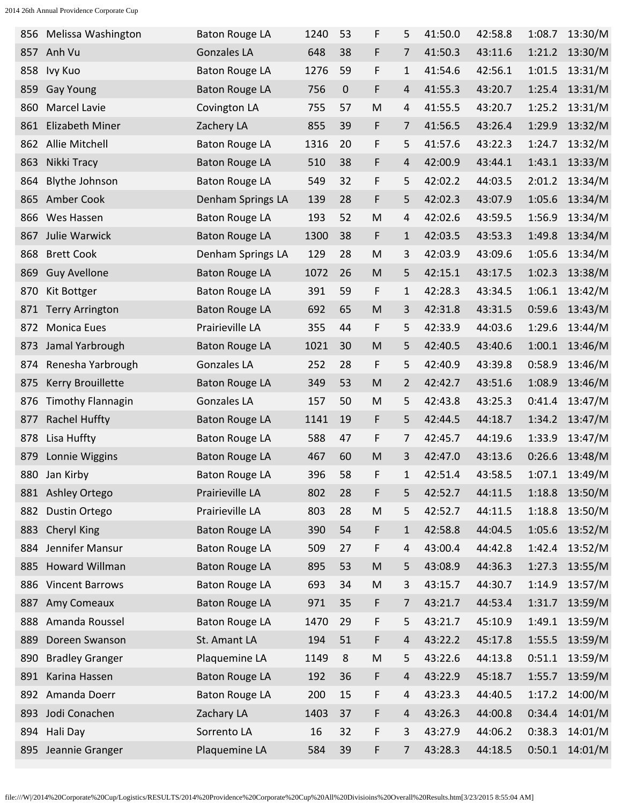|     | 856 Melissa Washington   | <b>Baton Rouge LA</b> | 1240 | 53 | F         | 5              | 41:50.0 | 42:58.8 | 1:08.7 | 13:30/M |
|-----|--------------------------|-----------------------|------|----|-----------|----------------|---------|---------|--------|---------|
| 857 | Anh Vu                   | <b>Gonzales LA</b>    | 648  | 38 | F         | 7              | 41:50.3 | 43:11.6 | 1:21.2 | 13:30/M |
| 858 | Ivy Kuo                  | <b>Baton Rouge LA</b> | 1276 | 59 | F         | 1              | 41:54.6 | 42:56.1 | 1:01.5 | 13:31/M |
| 859 | <b>Gay Young</b>         | <b>Baton Rouge LA</b> | 756  | 0  | F         | 4              | 41:55.3 | 43:20.7 | 1:25.4 | 13:31/M |
| 860 | <b>Marcel Lavie</b>      | Covington LA          | 755  | 57 | M         | 4              | 41:55.5 | 43:20.7 | 1:25.2 | 13:31/M |
| 861 | <b>Elizabeth Miner</b>   | Zachery LA            | 855  | 39 | F         | 7              | 41:56.5 | 43:26.4 | 1:29.9 | 13:32/M |
| 862 | Allie Mitchell           | <b>Baton Rouge LA</b> | 1316 | 20 | F         | 5              | 41:57.6 | 43:22.3 | 1:24.7 | 13:32/M |
| 863 | Nikki Tracy              | <b>Baton Rouge LA</b> | 510  | 38 | F         | 4              | 42:00.9 | 43:44.1 | 1:43.1 | 13:33/M |
| 864 | <b>Blythe Johnson</b>    | <b>Baton Rouge LA</b> | 549  | 32 | F         | 5              | 42:02.2 | 44:03.5 | 2:01.2 | 13:34/M |
| 865 | Amber Cook               | Denham Springs LA     | 139  | 28 | F         | 5              | 42:02.3 | 43:07.9 | 1:05.6 | 13:34/M |
| 866 | Wes Hassen               | <b>Baton Rouge LA</b> | 193  | 52 | M         | 4              | 42:02.6 | 43:59.5 | 1:56.9 | 13:34/M |
| 867 | Julie Warwick            | <b>Baton Rouge LA</b> | 1300 | 38 | F         | 1              | 42:03.5 | 43:53.3 | 1:49.8 | 13:34/M |
| 868 | <b>Brett Cook</b>        | Denham Springs LA     | 129  | 28 | M         | 3              | 42:03.9 | 43:09.6 | 1:05.6 | 13:34/M |
| 869 | <b>Guy Avellone</b>      | <b>Baton Rouge LA</b> | 1072 | 26 | M         | 5              | 42:15.1 | 43:17.5 | 1:02.3 | 13:38/M |
| 870 | Kit Bottger              | <b>Baton Rouge LA</b> | 391  | 59 | F         | 1              | 42:28.3 | 43:34.5 | 1:06.1 | 13:42/M |
| 871 | <b>Terry Arrington</b>   | <b>Baton Rouge LA</b> | 692  | 65 | M         | 3              | 42:31.8 | 43:31.5 | 0:59.6 | 13:43/M |
| 872 | <b>Monica Eues</b>       | Prairieville LA       | 355  | 44 | F         | 5              | 42:33.9 | 44:03.6 | 1:29.6 | 13:44/M |
| 873 | Jamal Yarbrough          | <b>Baton Rouge LA</b> | 1021 | 30 | M         | 5              | 42:40.5 | 43:40.6 | 1:00.1 | 13:46/M |
| 874 | Renesha Yarbrough        | <b>Gonzales LA</b>    | 252  | 28 | F         | 5              | 42:40.9 | 43:39.8 | 0:58.9 | 13:46/M |
| 875 | Kerry Brouillette        | <b>Baton Rouge LA</b> | 349  | 53 | M         | 2              | 42:42.7 | 43:51.6 | 1:08.9 | 13:46/M |
| 876 | <b>Timothy Flannagin</b> | <b>Gonzales LA</b>    | 157  | 50 | M         | 5              | 42:43.8 | 43:25.3 | 0:41.4 | 13:47/M |
| 877 | <b>Rachel Huffty</b>     | <b>Baton Rouge LA</b> | 1141 | 19 | F         | 5              | 42:44.5 | 44:18.7 | 1:34.2 | 13:47/M |
| 878 | Lisa Huffty              | <b>Baton Rouge LA</b> | 588  | 47 | F         | 7              | 42:45.7 | 44:19.6 | 1:33.9 | 13:47/M |
| 879 | Lonnie Wiggins           | <b>Baton Rouge LA</b> | 467  | 60 | M         | 3              | 42:47.0 | 43:13.6 | 0:26.6 | 13:48/M |
|     | 880 Jan Kirby            | <b>Baton Rouge LA</b> | 396  | 58 | F         | 1              | 42:51.4 | 43:58.5 | 1:07.1 | 13:49/M |
|     | 881 Ashley Ortego        | Prairieville LA       | 802  | 28 | F         | 5              | 42:52.7 | 44:11.5 | 1:18.8 | 13:50/M |
| 882 | Dustin Ortego            | Prairieville LA       | 803  | 28 | ${\sf M}$ | 5              | 42:52.7 | 44:11.5 | 1:18.8 | 13:50/M |
| 883 | Cheryl King              | <b>Baton Rouge LA</b> | 390  | 54 | F         | $\mathbf 1$    | 42:58.8 | 44:04.5 | 1:05.6 | 13:52/M |
| 884 | Jennifer Mansur          | <b>Baton Rouge LA</b> | 509  | 27 | F         | 4              | 43:00.4 | 44:42.8 | 1:42.4 | 13:52/M |
| 885 | <b>Howard Willman</b>    | <b>Baton Rouge LA</b> | 895  | 53 | ${\sf M}$ | 5              | 43:08.9 | 44:36.3 | 1:27.3 | 13:55/M |
|     | 886 Vincent Barrows      | <b>Baton Rouge LA</b> | 693  | 34 | ${\sf M}$ | 3              | 43:15.7 | 44:30.7 | 1:14.9 | 13:57/M |
| 887 | Amy Comeaux              | <b>Baton Rouge LA</b> | 971  | 35 | F         | $\overline{7}$ | 43:21.7 | 44:53.4 | 1:31.7 | 13:59/M |
| 888 | Amanda Roussel           | <b>Baton Rouge LA</b> | 1470 | 29 | F         | 5              | 43:21.7 | 45:10.9 | 1:49.1 | 13:59/M |
| 889 | Doreen Swanson           | St. Amant LA          | 194  | 51 | F         | 4              | 43:22.2 | 45:17.8 | 1:55.5 | 13:59/M |
| 890 | <b>Bradley Granger</b>   | Plaquemine LA         | 1149 | 8  | ${\sf M}$ | 5              | 43:22.6 | 44:13.8 | 0:51.1 | 13:59/M |
| 891 | Karina Hassen            | <b>Baton Rouge LA</b> | 192  | 36 | F         | 4              | 43:22.9 | 45:18.7 | 1:55.7 | 13:59/M |
|     | 892 Amanda Doerr         | <b>Baton Rouge LA</b> | 200  | 15 | F         | 4              | 43:23.3 | 44:40.5 | 1:17.2 | 14:00/M |
| 893 | Jodi Conachen            | Zachary LA            | 1403 | 37 | F         | 4              | 43:26.3 | 44:00.8 | 0:34.4 | 14:01/M |
| 894 | Hali Day                 | Sorrento LA           | 16   | 32 | F         | 3              | 43:27.9 | 44:06.2 | 0:38.3 | 14:01/M |
| 895 | Jeannie Granger          | Plaquemine LA         | 584  | 39 | F         | 7              | 43:28.3 | 44:18.5 | 0:50.1 | 14:01/M |
|     |                          |                       |      |    |           |                |         |         |        |         |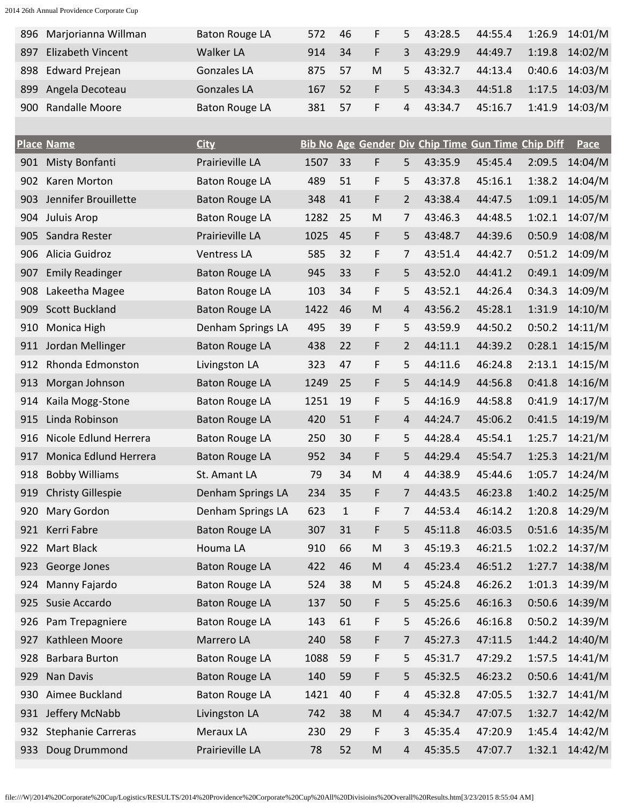| 896 | Marjorianna Willman       | <b>Baton Rouge LA</b> | 572  | 46           | F         | 5              | 43:28.5                                            | 44:55.4 | 1:26.9 | 14:01/M |
|-----|---------------------------|-----------------------|------|--------------|-----------|----------------|----------------------------------------------------|---------|--------|---------|
| 897 | Elizabeth Vincent         | <b>Walker LA</b>      | 914  | 34           | F         | 3              | 43:29.9                                            | 44:49.7 | 1:19.8 | 14:02/M |
| 898 | <b>Edward Prejean</b>     | Gonzales LA           | 875  | 57           | M         | 5              | 43:32.7                                            | 44:13.4 | 0:40.6 | 14:03/M |
| 899 | Angela Decoteau           | <b>Gonzales LA</b>    | 167  | 52           | F         | 5              | 43:34.3                                            | 44:51.8 | 1:17.5 | 14:03/M |
| 900 | Randalle Moore            | <b>Baton Rouge LA</b> | 381  | 57           | F         | 4              | 43:34.7                                            | 45:16.7 | 1:41.9 | 14:03/M |
|     |                           |                       |      |              |           |                |                                                    |         |        |         |
|     | <b>Place Name</b>         | <b>City</b>           |      |              |           |                | Bib No Age Gender Div Chip Time Gun Time Chip Diff |         |        | Pace    |
| 901 | Misty Bonfanti            | Prairieville LA       | 1507 | 33           | F         | 5              | 43:35.9                                            | 45:45.4 | 2:09.5 | 14:04/M |
| 902 | Karen Morton              | <b>Baton Rouge LA</b> | 489  | 51           | F         | 5              | 43:37.8                                            | 45:16.1 | 1:38.2 | 14:04/M |
| 903 | Jennifer Brouillette      | <b>Baton Rouge LA</b> | 348  | 41           | F         | 2              | 43:38.4                                            | 44:47.5 | 1:09.1 | 14:05/M |
| 904 | Juluis Arop               | <b>Baton Rouge LA</b> | 1282 | 25           | M         | 7              | 43:46.3                                            | 44:48.5 | 1:02.1 | 14:07/M |
| 905 | Sandra Rester             | Prairieville LA       | 1025 | 45           | F         | 5              | 43:48.7                                            | 44:39.6 | 0:50.9 | 14:08/M |
| 906 | Alicia Guidroz            | Ventress LA           | 585  | 32           | F         | 7              | 43:51.4                                            | 44:42.7 | 0:51.2 | 14:09/M |
| 907 | <b>Emily Readinger</b>    | <b>Baton Rouge LA</b> | 945  | 33           | F         | 5              | 43:52.0                                            | 44:41.2 | 0:49.1 | 14:09/M |
| 908 | Lakeetha Magee            | <b>Baton Rouge LA</b> | 103  | 34           | F         | 5              | 43:52.1                                            | 44:26.4 | 0:34.3 | 14:09/M |
| 909 | <b>Scott Buckland</b>     | <b>Baton Rouge LA</b> | 1422 | 46           | M         | 4              | 43:56.2                                            | 45:28.1 | 1:31.9 | 14:10/M |
| 910 | Monica High               | Denham Springs LA     | 495  | 39           | F         | 5              | 43:59.9                                            | 44:50.2 | 0:50.2 | 14:11/M |
| 911 | Jordan Mellinger          | <b>Baton Rouge LA</b> | 438  | 22           | F         | $\overline{2}$ | 44:11.1                                            | 44:39.2 | 0:28.1 | 14:15/M |
| 912 | Rhonda Edmonston          | Livingston LA         | 323  | 47           | F         | 5              | 44:11.6                                            | 46:24.8 | 2:13.1 | 14:15/M |
| 913 | Morgan Johnson            | <b>Baton Rouge LA</b> | 1249 | 25           | F         | 5              | 44:14.9                                            | 44:56.8 | 0:41.8 | 14:16/M |
| 914 | Kaila Mogg-Stone          | <b>Baton Rouge LA</b> | 1251 | 19           | F         | 5              | 44:16.9                                            | 44:58.8 | 0:41.9 | 14:17/M |
| 915 | Linda Robinson            | <b>Baton Rouge LA</b> | 420  | 51           | F         | 4              | 44:24.7                                            | 45:06.2 | 0:41.5 | 14:19/M |
| 916 | Nicole Edlund Herrera     | <b>Baton Rouge LA</b> | 250  | 30           | F         | 5              | 44:28.4                                            | 45:54.1 | 1:25.7 | 14:21/M |
| 917 | Monica Edlund Herrera     | <b>Baton Rouge LA</b> | 952  | 34           | F         | 5              | 44:29.4                                            | 45:54.7 | 1:25.3 | 14:21/M |
| 918 | <b>Bobby Williams</b>     | St. Amant LA          | 79   | 34           | M         | 4              | 44:38.9                                            | 45:44.6 | 1:05.7 | 14:24/M |
| 919 | <b>Christy Gillespie</b>  | Denham Springs LA     | 234  | 35           | F         | 7              | 44:43.5                                            | 46:23.8 | 1:40.2 | 14:25/M |
| 920 | Mary Gordon               | Denham Springs LA     | 623  | $\mathbf{1}$ | F         | 7              | 44:53.4                                            | 46:14.2 | 1:20.8 | 14:29/M |
| 921 | Kerri Fabre               | <b>Baton Rouge LA</b> | 307  | 31           | F         | 5              | 45:11.8                                            | 46:03.5 | 0:51.6 | 14:35/M |
| 922 | Mart Black                | Houma LA              | 910  | 66           | M         | 3              | 45:19.3                                            | 46:21.5 | 1:02.2 | 14:37/M |
| 923 | George Jones              | <b>Baton Rouge LA</b> | 422  | 46           | ${\sf M}$ | 4              | 45:23.4                                            | 46:51.2 | 1:27.7 | 14:38/M |
| 924 | Manny Fajardo             | <b>Baton Rouge LA</b> | 524  | 38           | M         | 5              | 45:24.8                                            | 46:26.2 | 1:01.3 | 14:39/M |
| 925 | Susie Accardo             | <b>Baton Rouge LA</b> | 137  | 50           | F         | 5              | 45:25.6                                            | 46:16.3 | 0:50.6 | 14:39/M |
| 926 | Pam Trepagniere           | <b>Baton Rouge LA</b> | 143  | 61           | F         | 5              | 45:26.6                                            | 46:16.8 | 0:50.2 | 14:39/M |
| 927 | Kathleen Moore            | Marrero LA            | 240  | 58           | F         | 7              | 45:27.3                                            | 47:11.5 | 1:44.2 | 14:40/M |
| 928 | <b>Barbara Burton</b>     | <b>Baton Rouge LA</b> | 1088 | 59           | F         | 5              | 45:31.7                                            | 47:29.2 | 1:57.5 | 14:41/M |
| 929 | Nan Davis                 | <b>Baton Rouge LA</b> | 140  | 59           | F         | 5              | 45:32.5                                            | 46:23.2 | 0:50.6 | 14:41/M |
| 930 | Aimee Buckland            | <b>Baton Rouge LA</b> | 1421 | 40           | F         | 4              | 45:32.8                                            | 47:05.5 | 1:32.7 | 14:41/M |
| 931 | Jeffery McNabb            | Livingston LA         | 742  | 38           | ${\sf M}$ | 4              | 45:34.7                                            | 47:07.5 | 1:32.7 | 14:42/M |
| 932 | <b>Stephanie Carreras</b> | Meraux LA             | 230  | 29           | F         | 3              | 45:35.4                                            | 47:20.9 | 1:45.4 | 14:42/M |
| 933 | Doug Drummond             | Prairieville LA       | 78   | 52           | M         | 4              | 45:35.5                                            | 47:07.7 | 1:32.1 | 14:42/M |
|     |                           |                       |      |              |           |                |                                                    |         |        |         |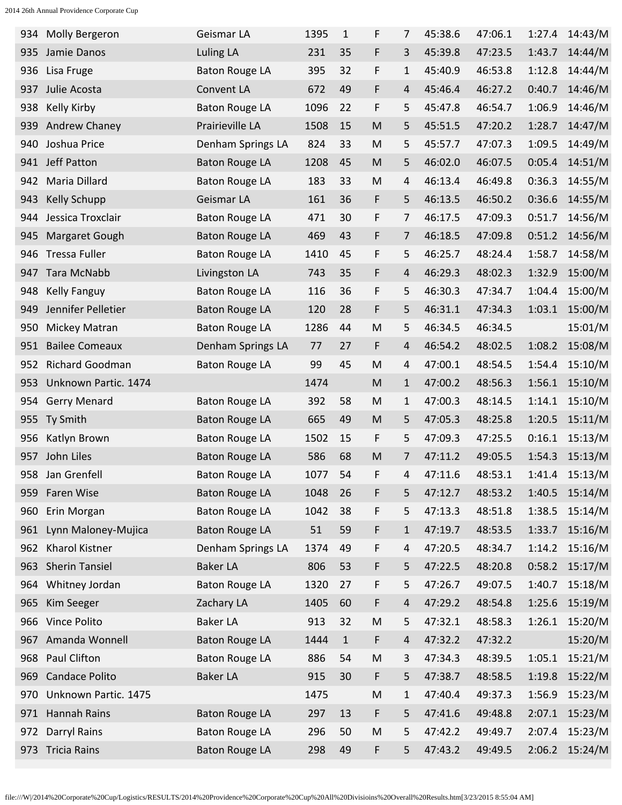| 934 | Molly Bergeron         | Geismar LA            | 1395 | $\mathbf{1}$ | F         | 7            | 45:38.6 | 47:06.1 | 1:27.4 | 14:43/M |
|-----|------------------------|-----------------------|------|--------------|-----------|--------------|---------|---------|--------|---------|
| 935 | Jamie Danos            | <b>Luling LA</b>      | 231  | 35           | F         | 3            | 45:39.8 | 47:23.5 | 1:43.7 | 14:44/M |
| 936 | Lisa Fruge             | <b>Baton Rouge LA</b> | 395  | 32           | F         | 1            | 45:40.9 | 46:53.8 | 1:12.8 | 14:44/M |
| 937 | Julie Acosta           | Convent LA            | 672  | 49           | F         | 4            | 45:46.4 | 46:27.2 | 0:40.7 | 14:46/M |
| 938 | Kelly Kirby            | <b>Baton Rouge LA</b> | 1096 | 22           | F         | 5            | 45:47.8 | 46:54.7 | 1:06.9 | 14:46/M |
| 939 | Andrew Chaney          | Prairieville LA       | 1508 | 15           | M         | 5            | 45:51.5 | 47:20.2 | 1:28.7 | 14:47/M |
| 940 | Joshua Price           | Denham Springs LA     | 824  | 33           | M         | 5            | 45:57.7 | 47:07.3 | 1:09.5 | 14:49/M |
| 941 | Jeff Patton            | <b>Baton Rouge LA</b> | 1208 | 45           | M         | 5            | 46:02.0 | 46:07.5 | 0:05.4 | 14:51/M |
| 942 | Maria Dillard          | <b>Baton Rouge LA</b> | 183  | 33           | M         | 4            | 46:13.4 | 46:49.8 | 0:36.3 | 14:55/M |
| 943 | <b>Kelly Schupp</b>    | Geismar LA            | 161  | 36           | F         | 5            | 46:13.5 | 46:50.2 | 0:36.6 | 14:55/M |
| 944 | Jessica Troxclair      | <b>Baton Rouge LA</b> | 471  | 30           | F         | 7            | 46:17.5 | 47:09.3 | 0:51.7 | 14:56/M |
| 945 | Margaret Gough         | <b>Baton Rouge LA</b> | 469  | 43           | F         | 7            | 46:18.5 | 47:09.8 | 0:51.2 | 14:56/M |
| 946 | <b>Tressa Fuller</b>   | <b>Baton Rouge LA</b> | 1410 | 45           | F         | 5            | 46:25.7 | 48:24.4 | 1:58.7 | 14:58/M |
| 947 | <b>Tara McNabb</b>     | Livingston LA         | 743  | 35           | F         | 4            | 46:29.3 | 48:02.3 | 1:32.9 | 15:00/M |
| 948 | <b>Kelly Fanguy</b>    | <b>Baton Rouge LA</b> | 116  | 36           | F         | 5            | 46:30.3 | 47:34.7 | 1:04.4 | 15:00/M |
| 949 | Jennifer Pelletier     | <b>Baton Rouge LA</b> | 120  | 28           | F         | 5            | 46:31.1 | 47:34.3 | 1:03.1 | 15:00/M |
| 950 | Mickey Matran          | <b>Baton Rouge LA</b> | 1286 | 44           | M         | 5            | 46:34.5 | 46:34.5 |        | 15:01/M |
| 951 | <b>Bailee Comeaux</b>  | Denham Springs LA     | 77   | 27           | F         | 4            | 46:54.2 | 48:02.5 | 1:08.2 | 15:08/M |
| 952 | <b>Richard Goodman</b> | <b>Baton Rouge LA</b> | 99   | 45           | M         | 4            | 47:00.1 | 48:54.5 | 1:54.4 | 15:10/M |
| 953 | Unknown Partic. 1474   |                       | 1474 |              | M         | $\mathbf{1}$ | 47:00.2 | 48:56.3 | 1:56.1 | 15:10/M |
| 954 | <b>Gerry Menard</b>    | <b>Baton Rouge LA</b> | 392  | 58           | M         | 1            | 47:00.3 | 48:14.5 | 1:14.1 | 15:10/M |
| 955 | Ty Smith               | <b>Baton Rouge LA</b> | 665  | 49           | M         | 5            | 47:05.3 | 48:25.8 | 1:20.5 | 15:11/M |
| 956 | Katlyn Brown           | <b>Baton Rouge LA</b> | 1502 | 15           | F         | 5            | 47:09.3 | 47:25.5 | 0:16.1 | 15:13/M |
| 957 | John Liles             | <b>Baton Rouge LA</b> | 586  | 68           | M         | 7            | 47:11.2 | 49:05.5 | 1:54.3 | 15:13/M |
| 958 | Jan Grenfell           | <b>Baton Rouge LA</b> | 1077 | 54           | F         | 4            | 47:11.6 | 48:53.1 | 1:41.4 | 15:13/M |
|     | 959 Faren Wise         | <b>Baton Rouge LA</b> | 1048 | 26           | F         | 5            | 47:12.7 | 48:53.2 | 1:40.5 | 15:14/M |
| 960 | Erin Morgan            | <b>Baton Rouge LA</b> | 1042 | 38           | F         | 5            | 47:13.3 | 48:51.8 | 1:38.5 | 15:14/M |
| 961 | Lynn Maloney-Mujica    | <b>Baton Rouge LA</b> | 51   | 59           | F         | $\mathbf{1}$ | 47:19.7 | 48:53.5 | 1:33.7 | 15:16/M |
| 962 | <b>Kharol Kistner</b>  | Denham Springs LA     | 1374 | 49           | F         | 4            | 47:20.5 | 48:34.7 | 1:14.2 | 15:16/M |
| 963 | <b>Sherin Tansiel</b>  | <b>Baker LA</b>       | 806  | 53           | F         | 5            | 47:22.5 | 48:20.8 | 0:58.2 | 15:17/M |
| 964 | Whitney Jordan         | <b>Baton Rouge LA</b> | 1320 | 27           | F         | 5            | 47:26.7 | 49:07.5 | 1:40.7 | 15:18/M |
| 965 | Kim Seeger             | Zachary LA            | 1405 | 60           | F         | 4            | 47:29.2 | 48:54.8 | 1:25.6 | 15:19/M |
|     | 966 Vince Polito       | <b>Baker LA</b>       | 913  | 32           | ${\sf M}$ | 5            | 47:32.1 | 48:58.3 | 1:26.1 | 15:20/M |
| 967 | Amanda Wonnell         | <b>Baton Rouge LA</b> | 1444 | $\mathbf{1}$ | F         | 4            | 47:32.2 | 47:32.2 |        | 15:20/M |
| 968 | Paul Clifton           | <b>Baton Rouge LA</b> | 886  | 54           | ${\sf M}$ | 3            | 47:34.3 | 48:39.5 | 1:05.1 | 15:21/M |
| 969 | <b>Candace Polito</b>  | <b>Baker LA</b>       | 915  | 30           | F         | 5            | 47:38.7 | 48:58.5 | 1:19.8 | 15:22/M |
| 970 | Unknown Partic. 1475   |                       | 1475 |              | ${\sf M}$ | 1            | 47:40.4 | 49:37.3 | 1:56.9 | 15:23/M |
| 971 | <b>Hannah Rains</b>    | <b>Baton Rouge LA</b> | 297  | 13           | F         | 5            | 47:41.6 | 49:48.8 | 2:07.1 | 15:23/M |
| 972 | <b>Darryl Rains</b>    | <b>Baton Rouge LA</b> | 296  | 50           | M         | 5.           | 47:42.2 | 49:49.7 | 2:07.4 | 15:23/M |
| 973 | <b>Tricia Rains</b>    | <b>Baton Rouge LA</b> | 298  | 49           | F         | 5            | 47:43.2 | 49:49.5 | 2:06.2 | 15:24/M |
|     |                        |                       |      |              |           |              |         |         |        |         |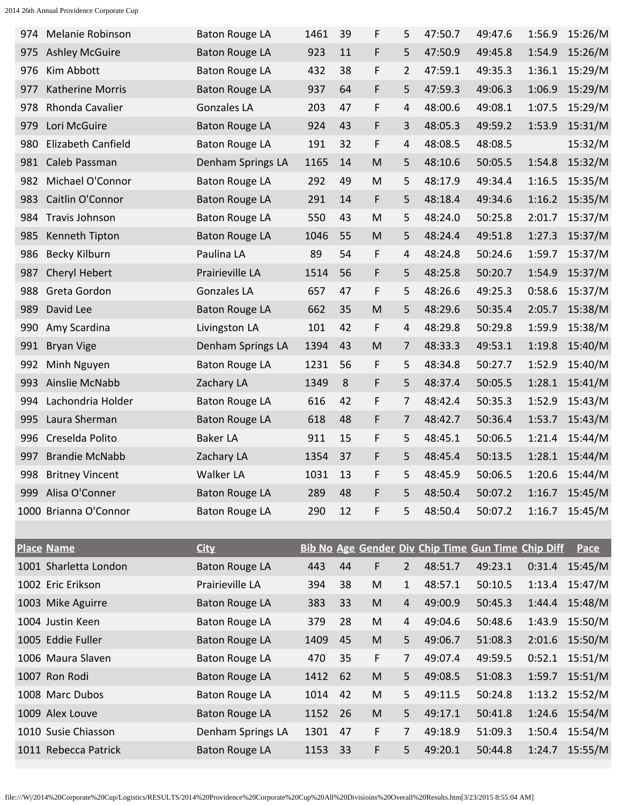| 974 | Melanie Robinson       | <b>Baton Rouge LA</b> | 1461 | 39 | F         | 5              | 47:50.7                                            | 49:47.6 | 1:56.9 | 15:26/M     |
|-----|------------------------|-----------------------|------|----|-----------|----------------|----------------------------------------------------|---------|--------|-------------|
| 975 | <b>Ashley McGuire</b>  | <b>Baton Rouge LA</b> | 923  | 11 | F         | 5              | 47:50.9                                            | 49:45.8 | 1:54.9 | 15:26/M     |
| 976 | Kim Abbott             | <b>Baton Rouge LA</b> | 432  | 38 | F         | 2              | 47:59.1                                            | 49:35.3 | 1:36.1 | 15:29/M     |
| 977 | Katherine Morris       | <b>Baton Rouge LA</b> | 937  | 64 | F         | 5              | 47:59.3                                            | 49:06.3 | 1:06.9 | 15:29/M     |
| 978 | Rhonda Cavalier        | <b>Gonzales LA</b>    | 203  | 47 | F         | 4              | 48:00.6                                            | 49:08.1 | 1:07.5 | 15:29/M     |
| 979 | Lori McGuire           | <b>Baton Rouge LA</b> | 924  | 43 | F         | 3              | 48:05.3                                            | 49:59.2 | 1:53.9 | 15:31/M     |
| 980 | Elizabeth Canfield     | <b>Baton Rouge LA</b> | 191  | 32 | F         | 4              | 48:08.5                                            | 48:08.5 |        | 15:32/M     |
| 981 | Caleb Passman          | Denham Springs LA     | 1165 | 14 | M         | 5              | 48:10.6                                            | 50:05.5 | 1:54.8 | 15:32/M     |
| 982 | Michael O'Connor       | <b>Baton Rouge LA</b> | 292  | 49 | M         | 5              | 48:17.9                                            | 49:34.4 | 1:16.5 | 15:35/M     |
| 983 | Caitlin O'Connor       | <b>Baton Rouge LA</b> | 291  | 14 | F         | 5              | 48:18.4                                            | 49:34.6 | 1:16.2 | 15:35/M     |
| 984 | Travis Johnson         | <b>Baton Rouge LA</b> | 550  | 43 | M         | 5              | 48:24.0                                            | 50:25.8 | 2:01.7 | 15:37/M     |
| 985 | Kenneth Tipton         | <b>Baton Rouge LA</b> | 1046 | 55 | M         | 5              | 48:24.4                                            | 49:51.8 | 1:27.3 | 15:37/M     |
| 986 | Becky Kilburn          | Paulina LA            | 89   | 54 | F         | 4              | 48:24.8                                            | 50:24.6 | 1:59.7 | 15:37/M     |
| 987 | Cheryl Hebert          | Prairieville LA       | 1514 | 56 | F         | 5              | 48:25.8                                            | 50:20.7 | 1:54.9 | 15:37/M     |
| 988 | Greta Gordon           | <b>Gonzales LA</b>    | 657  | 47 | F         | 5              | 48:26.6                                            | 49:25.3 | 0:58.6 | 15:37/M     |
| 989 | David Lee              | <b>Baton Rouge LA</b> | 662  | 35 | M         | 5              | 48:29.6                                            | 50:35.4 | 2:05.7 | 15:38/M     |
| 990 | Amy Scardina           | Livingston LA         | 101  | 42 | F         | 4              | 48:29.8                                            | 50:29.8 | 1:59.9 | 15:38/M     |
| 991 | <b>Bryan Vige</b>      | Denham Springs LA     | 1394 | 43 | M         | 7              | 48:33.3                                            | 49:53.1 | 1:19.8 | 15:40/M     |
| 992 | Minh Nguyen            | <b>Baton Rouge LA</b> | 1231 | 56 | F         | 5              | 48:34.8                                            | 50:27.7 | 1:52.9 | 15:40/M     |
| 993 | Ainslie McNabb         | Zachary LA            | 1349 | 8  | F         | 5              | 48:37.4                                            | 50:05.5 | 1:28.1 | 15:41/M     |
| 994 | Lachondria Holder      | <b>Baton Rouge LA</b> | 616  | 42 | F         | 7              | 48:42.4                                            | 50:35.3 | 1:52.9 | 15:43/M     |
| 995 | Laura Sherman          | <b>Baton Rouge LA</b> | 618  | 48 | F         | 7              | 48:42.7                                            | 50:36.4 | 1:53.7 | 15:43/M     |
| 996 | Creselda Polito        | <b>Baker LA</b>       | 911  | 15 | F         | 5              | 48:45.1                                            | 50:06.5 | 1:21.4 | 15:44/M     |
| 997 | <b>Brandie McNabb</b>  | Zachary LA            | 1354 | 37 | F         | 5              | 48:45.4                                            | 50:13.5 | 1:28.1 | 15:44/M     |
| 998 | <b>Britney Vincent</b> | Walker LA             | 1031 | 13 | F         | 5              | 48:45.9                                            | 50:06.5 | 1:20.6 | 15:44/M     |
|     | 999 Alisa O'Conner     | <b>Baton Rouge LA</b> | 289  | 48 | F         | 5              | 48:50.4                                            | 50:07.2 | 1:16.7 | 15:45/M     |
|     | 1000 Brianna O'Connor  | <b>Baton Rouge LA</b> | 290  | 12 | F         | 5              | 48:50.4                                            | 50:07.2 | 1:16.7 | 15:45/M     |
|     |                        |                       |      |    |           |                |                                                    |         |        |             |
|     | <b>Place Name</b>      | <b>City</b>           |      |    |           |                | Bib No Age Gender Div Chip Time Gun Time Chip Diff |         |        | <b>Pace</b> |
|     | 1001 Sharletta London  | <b>Baton Rouge LA</b> | 443  | 44 | F         | $\overline{2}$ | 48:51.7                                            | 49:23.1 | 0:31.4 | 15:45/M     |
|     | 1002 Eric Erikson      | Prairieville LA       | 394  | 38 | ${\sf M}$ | $\mathbf{1}$   | 48:57.1                                            | 50:10.5 | 1:13.4 | 15:47/M     |
|     | 1003 Mike Aguirre      | <b>Baton Rouge LA</b> | 383  | 33 | ${\sf M}$ | 4              | 49:00.9                                            | 50:45.3 | 1:44.4 | 15:48/M     |
|     | 1004 Justin Keen       | <b>Baton Rouge LA</b> | 379  | 28 | M         | 4              | 49:04.6                                            | 50:48.6 | 1:43.9 | 15:50/M     |
|     | 1005 Eddie Fuller      | <b>Baton Rouge LA</b> | 1409 | 45 | ${\sf M}$ | 5              | 49:06.7                                            | 51:08.3 | 2:01.6 | 15:50/M     |
|     | 1006 Maura Slaven      | <b>Baton Rouge LA</b> | 470  | 35 | F         | 7              | 49:07.4                                            | 49:59.5 | 0:52.1 | 15:51/M     |
|     | 1007 Ron Rodi          | <b>Baton Rouge LA</b> | 1412 | 62 | ${\sf M}$ | 5              | 49:08.5                                            | 51:08.3 | 1:59.7 | 15:51/M     |
|     | 1008 Marc Dubos        | <b>Baton Rouge LA</b> | 1014 | 42 | M         | 5              | 49:11.5                                            | 50:24.8 | 1:13.2 | 15:52/M     |
|     | 1009 Alex Louve        | <b>Baton Rouge LA</b> | 1152 | 26 | ${\sf M}$ | 5              | 49:17.1                                            | 50:41.8 | 1:24.6 | 15:54/M     |
|     | 1010 Susie Chiasson    | Denham Springs LA     | 1301 | 47 | F         | 7              | 49:18.9                                            | 51:09.3 | 1:50.4 | 15:54/M     |
|     | 1011 Rebecca Patrick   | <b>Baton Rouge LA</b> | 1153 | 33 | F         | 5              | 49:20.1                                            | 50:44.8 | 1:24.7 | 15:55/M     |
|     |                        |                       |      |    |           |                |                                                    |         |        |             |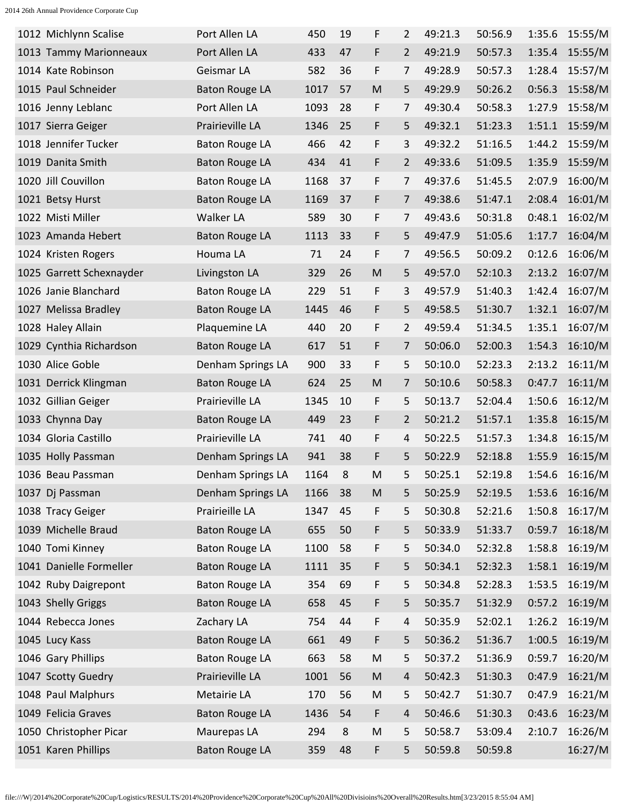| 1012 Michlynn Scalise    | Port Allen LA         | 450  | 19 | F         | 2              | 49:21.3 | 50:56.9 | 1:35.6 | 15:55/M |
|--------------------------|-----------------------|------|----|-----------|----------------|---------|---------|--------|---------|
| 1013 Tammy Marionneaux   | Port Allen LA         | 433  | 47 | F         | 2              | 49:21.9 | 50:57.3 | 1:35.4 | 15:55/M |
| 1014 Kate Robinson       | Geismar LA            | 582  | 36 | F         | 7              | 49:28.9 | 50:57.3 | 1:28.4 | 15:57/M |
| 1015 Paul Schneider      | <b>Baton Rouge LA</b> | 1017 | 57 | M         | 5              | 49:29.9 | 50:26.2 | 0:56.3 | 15:58/M |
| 1016 Jenny Leblanc       | Port Allen LA         | 1093 | 28 | F         | 7              | 49:30.4 | 50:58.3 | 1:27.9 | 15:58/M |
| 1017 Sierra Geiger       | Prairieville LA       | 1346 | 25 | F         | 5              | 49:32.1 | 51:23.3 | 1:51.1 | 15:59/M |
| 1018 Jennifer Tucker     | <b>Baton Rouge LA</b> | 466  | 42 | F         | 3              | 49:32.2 | 51:16.5 | 1:44.2 | 15:59/M |
| 1019 Danita Smith        | <b>Baton Rouge LA</b> | 434  | 41 | F         | $\overline{2}$ | 49:33.6 | 51:09.5 | 1:35.9 | 15:59/M |
| 1020 Jill Couvillon      | <b>Baton Rouge LA</b> | 1168 | 37 | F         | 7              | 49:37.6 | 51:45.5 | 2:07.9 | 16:00/M |
| 1021 Betsy Hurst         | <b>Baton Rouge LA</b> | 1169 | 37 | F         | 7              | 49:38.6 | 51:47.1 | 2:08.4 | 16:01/M |
| 1022 Misti Miller        | Walker LA             | 589  | 30 | F         | 7              | 49:43.6 | 50:31.8 | 0:48.1 | 16:02/M |
| 1023 Amanda Hebert       | <b>Baton Rouge LA</b> | 1113 | 33 | F         | 5              | 49:47.9 | 51:05.6 | 1:17.7 | 16:04/M |
| 1024 Kristen Rogers      | Houma LA              | 71   | 24 | F         | 7              | 49:56.5 | 50:09.2 | 0:12.6 | 16:06/M |
| 1025 Garrett Schexnayder | Livingston LA         | 329  | 26 | M         | 5              | 49:57.0 | 52:10.3 | 2:13.2 | 16:07/M |
| 1026 Janie Blanchard     | <b>Baton Rouge LA</b> | 229  | 51 | F         | 3              | 49:57.9 | 51:40.3 | 1:42.4 | 16:07/M |
| 1027 Melissa Bradley     | <b>Baton Rouge LA</b> | 1445 | 46 | F         | 5              | 49:58.5 | 51:30.7 | 1:32.1 | 16:07/M |
| 1028 Haley Allain        | Plaquemine LA         | 440  | 20 | F         | $\overline{2}$ | 49:59.4 | 51:34.5 | 1:35.1 | 16:07/M |
| 1029 Cynthia Richardson  | <b>Baton Rouge LA</b> | 617  | 51 | F         | 7              | 50:06.0 | 52:00.3 | 1:54.3 | 16:10/M |
| 1030 Alice Goble         | Denham Springs LA     | 900  | 33 | F         | 5              | 50:10.0 | 52:23.3 | 2:13.2 | 16:11/M |
| 1031 Derrick Klingman    | <b>Baton Rouge LA</b> | 624  | 25 | M         | 7              | 50:10.6 | 50:58.3 | 0:47.7 | 16:11/M |
| 1032 Gillian Geiger      | Prairieville LA       | 1345 | 10 | F         | 5              | 50:13.7 | 52:04.4 | 1:50.6 | 16:12/M |
| 1033 Chynna Day          | <b>Baton Rouge LA</b> | 449  | 23 | F         | 2              | 50:21.2 | 51:57.1 | 1:35.8 | 16:15/M |
| 1034 Gloria Castillo     | Prairieville LA       | 741  | 40 | F         | 4              | 50:22.5 | 51:57.3 | 1:34.8 | 16:15/M |
| 1035 Holly Passman       | Denham Springs LA     | 941  | 38 | F         | 5              | 50:22.9 | 52:18.8 | 1:55.9 | 16:15/M |
| 1036 Beau Passman        | Denham Springs LA     | 1164 | 8  | M         | 5              | 50:25.1 | 52:19.8 | 1:54.6 | 16:16/M |
| 1037 Dj Passman          | Denham Springs LA     | 1166 | 38 | ${\sf M}$ | 5              | 50:25.9 | 52:19.5 | 1:53.6 | 16:16/M |
| 1038 Tracy Geiger        | Prairieille LA        | 1347 | 45 | F         | 5              | 50:30.8 | 52:21.6 | 1:50.8 | 16:17/M |
| 1039 Michelle Braud      | <b>Baton Rouge LA</b> | 655  | 50 | F         | 5              | 50:33.9 | 51:33.7 | 0:59.7 | 16:18/M |
| 1040 Tomi Kinney         | <b>Baton Rouge LA</b> | 1100 | 58 | F         | 5              | 50:34.0 | 52:32.8 | 1:58.8 | 16:19/M |
| 1041 Danielle Formeller  | <b>Baton Rouge LA</b> | 1111 | 35 | F         | 5              | 50:34.1 | 52:32.3 | 1:58.1 | 16:19/M |
| 1042 Ruby Daigrepont     | <b>Baton Rouge LA</b> | 354  | 69 | F         | 5              | 50:34.8 | 52:28.3 | 1:53.5 | 16:19/M |
| 1043 Shelly Griggs       | <b>Baton Rouge LA</b> | 658  | 45 | F         | 5              | 50:35.7 | 51:32.9 | 0:57.2 | 16:19/M |
| 1044 Rebecca Jones       | Zachary LA            | 754  | 44 | F         | 4              | 50:35.9 | 52:02.1 | 1:26.2 | 16:19/M |
| 1045 Lucy Kass           | <b>Baton Rouge LA</b> | 661  | 49 | F         | 5              | 50:36.2 | 51:36.7 | 1:00.5 | 16:19/M |
| 1046 Gary Phillips       | <b>Baton Rouge LA</b> | 663  | 58 | M         | 5              | 50:37.2 | 51:36.9 | 0:59.7 | 16:20/M |
| 1047 Scotty Guedry       | Prairieville LA       | 1001 | 56 | ${\sf M}$ | $\overline{4}$ | 50:42.3 | 51:30.3 | 0:47.9 | 16:21/M |
| 1048 Paul Malphurs       | Metairie LA           | 170  | 56 | M         | 5              | 50:42.7 | 51:30.7 | 0:47.9 | 16:21/M |
| 1049 Felicia Graves      | <b>Baton Rouge LA</b> | 1436 | 54 | F         | $\overline{4}$ | 50:46.6 | 51:30.3 | 0:43.6 | 16:23/M |
| 1050 Christopher Picar   | Maurepas LA           | 294  | 8  | M         | 5              | 50:58.7 | 53:09.4 | 2:10.7 | 16:26/M |
| 1051 Karen Phillips      | <b>Baton Rouge LA</b> | 359  | 48 | F         | 5              | 50:59.8 | 50:59.8 |        | 16:27/M |
|                          |                       |      |    |           |                |         |         |        |         |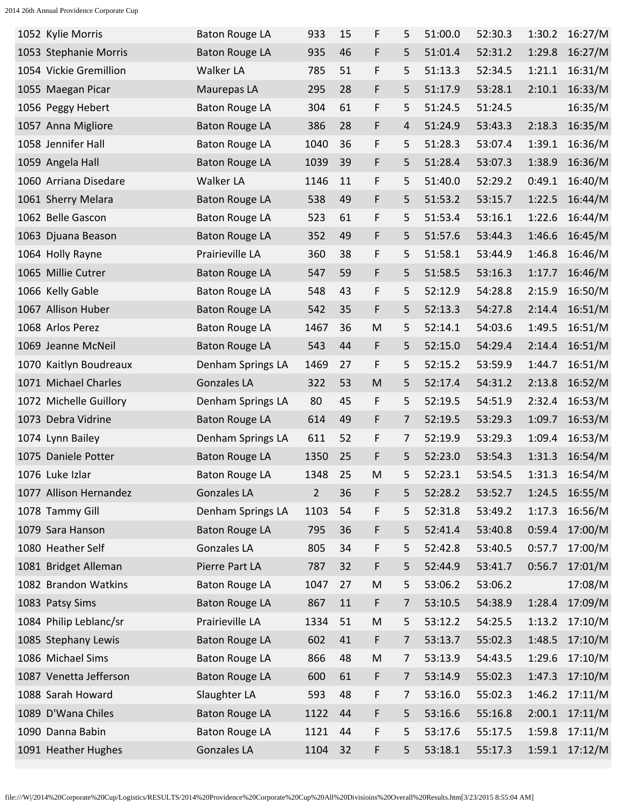| 1052 Kylie Morris      | <b>Baton Rouge LA</b> | 933            | 15 | F         | 5 | 51:00.0 | 52:30.3 | 1:30.2 | 16:27/M |
|------------------------|-----------------------|----------------|----|-----------|---|---------|---------|--------|---------|
| 1053 Stephanie Morris  | <b>Baton Rouge LA</b> | 935            | 46 | F         | 5 | 51:01.4 | 52:31.2 | 1:29.8 | 16:27/M |
| 1054 Vickie Gremillion | Walker LA             | 785            | 51 | F         | 5 | 51:13.3 | 52:34.5 | 1:21.1 | 16:31/M |
| 1055 Maegan Picar      | Maurepas LA           | 295            | 28 | F         | 5 | 51:17.9 | 53:28.1 | 2:10.1 | 16:33/M |
| 1056 Peggy Hebert      | <b>Baton Rouge LA</b> | 304            | 61 | F         | 5 | 51:24.5 | 51:24.5 |        | 16:35/M |
| 1057 Anna Migliore     | <b>Baton Rouge LA</b> | 386            | 28 | F         | 4 | 51:24.9 | 53:43.3 | 2:18.3 | 16:35/M |
| 1058 Jennifer Hall     | <b>Baton Rouge LA</b> | 1040           | 36 | F         | 5 | 51:28.3 | 53:07.4 | 1:39.1 | 16:36/M |
| 1059 Angela Hall       | <b>Baton Rouge LA</b> | 1039           | 39 | F         | 5 | 51:28.4 | 53:07.3 | 1:38.9 | 16:36/M |
| 1060 Arriana Disedare  | Walker LA             | 1146           | 11 | F         | 5 | 51:40.0 | 52:29.2 | 0:49.1 | 16:40/M |
| 1061 Sherry Melara     | <b>Baton Rouge LA</b> | 538            | 49 | F         | 5 | 51:53.2 | 53:15.7 | 1:22.5 | 16:44/M |
| 1062 Belle Gascon      | <b>Baton Rouge LA</b> | 523            | 61 | F         | 5 | 51:53.4 | 53:16.1 | 1:22.6 | 16:44/M |
| 1063 Djuana Beason     | <b>Baton Rouge LA</b> | 352            | 49 | F         | 5 | 51:57.6 | 53:44.3 | 1:46.6 | 16:45/M |
| 1064 Holly Rayne       | Prairieville LA       | 360            | 38 | F         | 5 | 51:58.1 | 53:44.9 | 1:46.8 | 16:46/M |
| 1065 Millie Cutrer     | <b>Baton Rouge LA</b> | 547            | 59 | F         | 5 | 51:58.5 | 53:16.3 | 1:17.7 | 16:46/M |
| 1066 Kelly Gable       | <b>Baton Rouge LA</b> | 548            | 43 | F         | 5 | 52:12.9 | 54:28.8 | 2:15.9 | 16:50/M |
| 1067 Allison Huber     | <b>Baton Rouge LA</b> | 542            | 35 | F         | 5 | 52:13.3 | 54:27.8 | 2:14.4 | 16:51/M |
| 1068 Arlos Perez       | <b>Baton Rouge LA</b> | 1467           | 36 | M         | 5 | 52:14.1 | 54:03.6 | 1:49.5 | 16:51/M |
| 1069 Jeanne McNeil     | <b>Baton Rouge LA</b> | 543            | 44 | F         | 5 | 52:15.0 | 54:29.4 | 2:14.4 | 16:51/M |
| 1070 Kaitlyn Boudreaux | Denham Springs LA     | 1469           | 27 | F         | 5 | 52:15.2 | 53:59.9 | 1:44.7 | 16:51/M |
| 1071 Michael Charles   | Gonzales LA           | 322            | 53 | M         | 5 | 52:17.4 | 54:31.2 | 2:13.8 | 16:52/M |
| 1072 Michelle Guillory | Denham Springs LA     | 80             | 45 | F         | 5 | 52:19.5 | 54:51.9 | 2:32.4 | 16:53/M |
| 1073 Debra Vidrine     | <b>Baton Rouge LA</b> | 614            | 49 | F         | 7 | 52:19.5 | 53:29.3 | 1:09.7 | 16:53/M |
| 1074 Lynn Bailey       | Denham Springs LA     | 611            | 52 | F         | 7 | 52:19.9 | 53:29.3 | 1:09.4 | 16:53/M |
| 1075 Daniele Potter    | <b>Baton Rouge LA</b> | 1350           | 25 | F         | 5 | 52:23.0 | 53:54.3 | 1:31.3 | 16:54/M |
| 1076 Luke Izlar        | <b>Baton Rouge LA</b> | 1348           | 25 | M         | 5 | 52:23.1 | 53:54.5 | 1:31.3 | 16:54/M |
| 1077 Allison Hernandez | Gonzales LA           | $\overline{2}$ | 36 | F         | 5 | 52:28.2 | 53:52.7 | 1:24.5 | 16:55/M |
| 1078 Tammy Gill        | Denham Springs LA     | 1103           | 54 | F         | 5 | 52:31.8 | 53:49.2 | 1:17.3 | 16:56/M |
| 1079 Sara Hanson       | <b>Baton Rouge LA</b> | 795            | 36 | F         | 5 | 52:41.4 | 53:40.8 | 0:59.4 | 17:00/M |
| 1080 Heather Self      | Gonzales LA           | 805            | 34 | F         | 5 | 52:42.8 | 53:40.5 | 0:57.7 | 17:00/M |
| 1081 Bridget Alleman   | Pierre Part LA        | 787            | 32 | F         | 5 | 52:44.9 | 53:41.7 | 0:56.7 | 17:01/M |
| 1082 Brandon Watkins   | <b>Baton Rouge LA</b> | 1047           | 27 | M         | 5 | 53:06.2 | 53:06.2 |        | 17:08/M |
| 1083 Patsy Sims        | <b>Baton Rouge LA</b> | 867            | 11 | F         | 7 | 53:10.5 | 54:38.9 | 1:28.4 | 17:09/M |
| 1084 Philip Leblanc/sr | Prairieville LA       | 1334           | 51 | M         | 5 | 53:12.2 | 54:25.5 | 1:13.2 | 17:10/M |
| 1085 Stephany Lewis    | <b>Baton Rouge LA</b> | 602            | 41 | F         | 7 | 53:13.7 | 55:02.3 | 1:48.5 | 17:10/M |
| 1086 Michael Sims      | <b>Baton Rouge LA</b> | 866            | 48 | ${\sf M}$ | 7 | 53:13.9 | 54:43.5 | 1:29.6 | 17:10/M |
| 1087 Venetta Jefferson | <b>Baton Rouge LA</b> | 600            | 61 | F         | 7 | 53:14.9 | 55:02.3 | 1:47.3 | 17:10/M |
| 1088 Sarah Howard      | Slaughter LA          | 593            | 48 | F         | 7 | 53:16.0 | 55:02.3 | 1:46.2 | 17:11/M |
| 1089 D'Wana Chiles     | <b>Baton Rouge LA</b> | 1122           | 44 | F         | 5 | 53:16.6 | 55:16.8 | 2:00.1 | 17:11/M |
| 1090 Danna Babin       | <b>Baton Rouge LA</b> | 1121           | 44 | F         | 5 | 53:17.6 | 55:17.5 | 1:59.8 | 17:11/M |
| 1091 Heather Hughes    | <b>Gonzales LA</b>    | 1104           | 32 | F         | 5 | 53:18.1 | 55:17.3 | 1:59.1 | 17:12/M |
|                        |                       |                |    |           |   |         |         |        |         |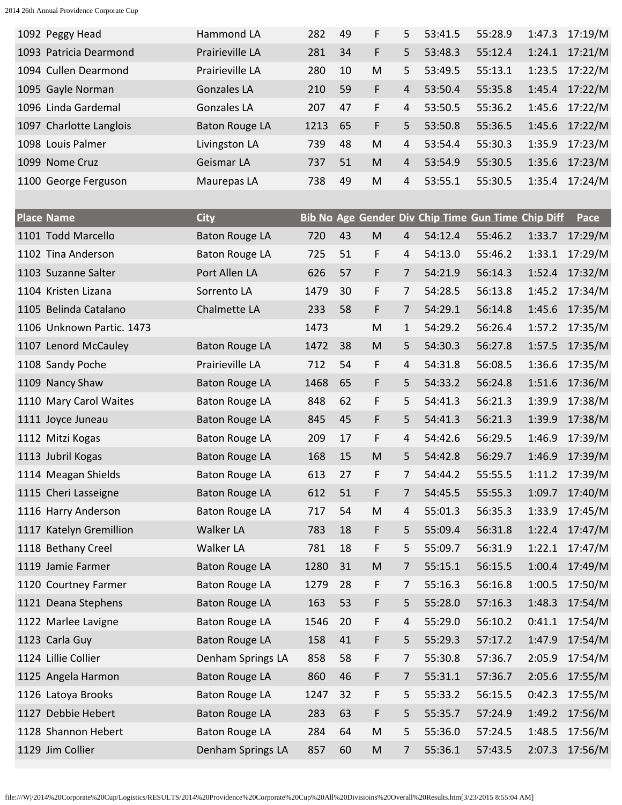| 1092 Peggy Head         | Hammond LA            | 282  | 49 | F  | 5.             | 53:41.5 | 55:28.9 | 1:47.3 | 17:19/M        |
|-------------------------|-----------------------|------|----|----|----------------|---------|---------|--------|----------------|
| 1093 Patricia Dearmond  | Prairieville LA       | 281  | 34 | F  | $5^{\circ}$    | 53:48.3 | 55:12.4 | 1:24.1 | 17:21/M        |
| 1094 Cullen Dearmond    | Prairieville LA       | 280  | 10 | M  | 5.             | 53:49.5 | 55:13.1 |        | 1:23.5 17:22/M |
| 1095 Gayle Norman       | Gonzales LA           | 210  | 59 | F  | 4              | 53:50.4 | 55:35.8 | 1:45.4 | 17:22/M        |
| 1096 Linda Gardemal     | <b>Gonzales LA</b>    | 207  | 47 | F. | 4              | 53:50.5 | 55:36.2 | 1:45.6 | 17:22/M        |
| 1097 Charlotte Langlois | <b>Baton Rouge LA</b> | 1213 | 65 | F  | 5.             | 53:50.8 | 55:36.5 |        | 1:45.6 17:22/M |
| 1098 Louis Palmer       | Livingston LA         | 739  | 48 | M  | 4              | 53:54.4 | 55:30.3 | 1:35.9 | 17:23/M        |
| 1099 Nome Cruz          | Geismar LA            | 737  | 51 | M  | $\overline{4}$ | 53:54.9 | 55:30.5 | 1:35.6 | 17:23/M        |
| 1100 George Ferguson    | Maurepas LA           | 738  | 49 | M  | 4              | 53:55.1 | 55:30.5 | 1:35.4 | 17:24/M        |

| <b>Place Name</b>         | <b>City</b>           |      |    |                                                                                                            |   |         | Bib No Age Gender Div Chip Time Gun Time Chip Diff |        | <b>Pace</b> |
|---------------------------|-----------------------|------|----|------------------------------------------------------------------------------------------------------------|---|---------|----------------------------------------------------|--------|-------------|
| 1101 Todd Marcello        | <b>Baton Rouge LA</b> | 720  | 43 | $\mathsf{M}% _{T}=\mathsf{M}_{T}\!\left( a,b\right) ,\ \mathsf{M}_{T}=\mathsf{M}_{T}\!\left( a,b\right) ,$ | 4 | 54:12.4 | 55:46.2                                            | 1:33.7 | 17:29/M     |
| 1102 Tina Anderson        | <b>Baton Rouge LA</b> | 725  | 51 | F                                                                                                          | 4 | 54:13.0 | 55:46.2                                            | 1:33.1 | 17:29/M     |
| 1103 Suzanne Salter       | Port Allen LA         | 626  | 57 | F                                                                                                          | 7 | 54:21.9 | 56:14.3                                            | 1:52.4 | 17:32/M     |
| 1104 Kristen Lizana       | Sorrento LA           | 1479 | 30 | F                                                                                                          | 7 | 54:28.5 | 56:13.8                                            | 1:45.2 | 17:34/M     |
| 1105 Belinda Catalano     | Chalmette LA          | 233  | 58 | F                                                                                                          | 7 | 54:29.1 | 56:14.8                                            | 1:45.6 | 17:35/M     |
| 1106 Unknown Partic. 1473 |                       | 1473 |    | M                                                                                                          | 1 | 54:29.2 | 56:26.4                                            | 1:57.2 | 17:35/M     |
| 1107 Lenord McCauley      | <b>Baton Rouge LA</b> | 1472 | 38 | M                                                                                                          | 5 | 54:30.3 | 56:27.8                                            | 1:57.5 | 17:35/M     |
| 1108 Sandy Poche          | Prairieville LA       | 712  | 54 | F                                                                                                          | 4 | 54:31.8 | 56:08.5                                            | 1:36.6 | 17:35/M     |
| 1109 Nancy Shaw           | <b>Baton Rouge LA</b> | 1468 | 65 | F                                                                                                          | 5 | 54:33.2 | 56:24.8                                            | 1:51.6 | 17:36/M     |
| 1110 Mary Carol Waites    | <b>Baton Rouge LA</b> | 848  | 62 | F                                                                                                          | 5 | 54:41.3 | 56:21.3                                            | 1:39.9 | 17:38/M     |
| 1111 Joyce Juneau         | <b>Baton Rouge LA</b> | 845  | 45 | F                                                                                                          | 5 | 54:41.3 | 56:21.3                                            | 1:39.9 | 17:38/M     |
| 1112 Mitzi Kogas          | <b>Baton Rouge LA</b> | 209  | 17 | F                                                                                                          | 4 | 54:42.6 | 56:29.5                                            | 1:46.9 | 17:39/M     |
| 1113 Jubril Kogas         | <b>Baton Rouge LA</b> | 168  | 15 | M                                                                                                          | 5 | 54:42.8 | 56:29.7                                            | 1:46.9 | 17:39/M     |
| 1114 Meagan Shields       | <b>Baton Rouge LA</b> | 613  | 27 | F                                                                                                          | 7 | 54:44.2 | 55:55.5                                            | 1:11.2 | 17:39/M     |
| 1115 Cheri Lasseigne      | <b>Baton Rouge LA</b> | 612  | 51 | F                                                                                                          | 7 | 54:45.5 | 55:55.3                                            | 1:09.7 | 17:40/M     |
| 1116 Harry Anderson       | <b>Baton Rouge LA</b> | 717  | 54 | M                                                                                                          | 4 | 55:01.3 | 56:35.3                                            | 1:33.9 | 17:45/M     |
| 1117 Katelyn Gremillion   | Walker LA             | 783  | 18 | F                                                                                                          | 5 | 55:09.4 | 56:31.8                                            | 1:22.4 | 17:47/M     |
| 1118 Bethany Creel        | Walker LA             | 781  | 18 | F                                                                                                          | 5 | 55:09.7 | 56:31.9                                            | 1:22.1 | 17:47/M     |
| 1119 Jamie Farmer         | <b>Baton Rouge LA</b> | 1280 | 31 | M                                                                                                          | 7 | 55:15.1 | 56:15.5                                            | 1:00.4 | 17:49/M     |
| 1120 Courtney Farmer      | <b>Baton Rouge LA</b> | 1279 | 28 | F                                                                                                          | 7 | 55:16.3 | 56:16.8                                            | 1:00.5 | 17:50/M     |
| 1121 Deana Stephens       | <b>Baton Rouge LA</b> | 163  | 53 | F                                                                                                          | 5 | 55:28.0 | 57:16.3                                            | 1:48.3 | 17:54/M     |
| 1122 Marlee Lavigne       | <b>Baton Rouge LA</b> | 1546 | 20 | F                                                                                                          | 4 | 55:29.0 | 56:10.2                                            | 0:41.1 | 17:54/M     |
| 1123 Carla Guy            | <b>Baton Rouge LA</b> | 158  | 41 | F                                                                                                          | 5 | 55:29.3 | 57:17.2                                            | 1:47.9 | 17:54/M     |
| 1124 Lillie Collier       | Denham Springs LA     | 858  | 58 | F                                                                                                          | 7 | 55:30.8 | 57:36.7                                            | 2:05.9 | 17:54/M     |
| 1125 Angela Harmon        | <b>Baton Rouge LA</b> | 860  | 46 | F                                                                                                          | 7 | 55:31.1 | 57:36.7                                            | 2:05.6 | 17:55/M     |
| 1126 Latoya Brooks        | <b>Baton Rouge LA</b> | 1247 | 32 | F                                                                                                          | 5 | 55:33.2 | 56:15.5                                            | 0:42.3 | 17:55/M     |
| 1127 Debbie Hebert        | <b>Baton Rouge LA</b> | 283  | 63 | F                                                                                                          | 5 | 55:35.7 | 57:24.9                                            | 1:49.2 | 17:56/M     |
| 1128 Shannon Hebert       | <b>Baton Rouge LA</b> | 284  | 64 | $\mathsf{M}% _{T}=\mathsf{M}_{T}\!\left( a,b\right) ,\ \mathsf{M}_{T}=\mathsf{M}_{T}\!\left( a,b\right) ,$ | 5 | 55:36.0 | 57:24.5                                            | 1:48.5 | 17:56/M     |
| 1129 Jim Collier          | Denham Springs LA     | 857  | 60 | ${\sf M}$                                                                                                  | 7 | 55:36.1 | 57:43.5                                            | 2:07.3 | 17:56/M     |

file:///W|/2014%20Corporate%20Cup/Logistics/RESULTS/2014%20Providence%20Corporate%20Cup%20All%20Divisioins%20Overall%20Results.htm[3/23/2015 8:55:04 AM]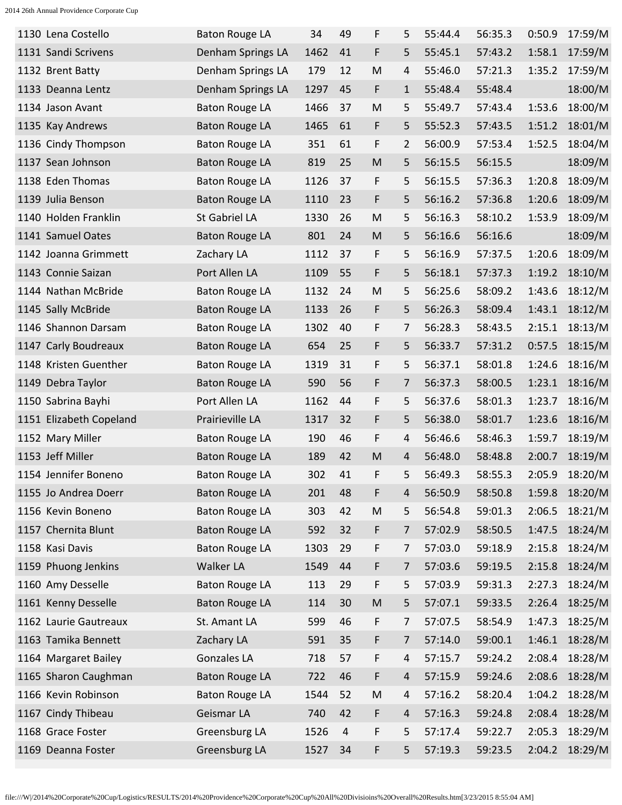| 1130 Lena Costello      | <b>Baton Rouge LA</b> | 34   | 49             | F         | 5            | 55:44.4 | 56:35.3 | 0:50.9 | 17:59/M |
|-------------------------|-----------------------|------|----------------|-----------|--------------|---------|---------|--------|---------|
| 1131 Sandi Scrivens     | Denham Springs LA     | 1462 | 41             | F         | 5            | 55:45.1 | 57:43.2 | 1:58.1 | 17:59/M |
| 1132 Brent Batty        | Denham Springs LA     | 179  | 12             | M         | 4            | 55:46.0 | 57:21.3 | 1:35.2 | 17:59/M |
| 1133 Deanna Lentz       | Denham Springs LA     | 1297 | 45             | F         | $\mathbf{1}$ | 55:48.4 | 55:48.4 |        | 18:00/M |
| 1134 Jason Avant        | <b>Baton Rouge LA</b> | 1466 | 37             | M         | 5            | 55:49.7 | 57:43.4 | 1:53.6 | 18:00/M |
| 1135 Kay Andrews        | <b>Baton Rouge LA</b> | 1465 | 61             | F         | 5            | 55:52.3 | 57:43.5 | 1:51.2 | 18:01/M |
| 1136 Cindy Thompson     | <b>Baton Rouge LA</b> | 351  | 61             | F         | 2            | 56:00.9 | 57:53.4 | 1:52.5 | 18:04/M |
| 1137 Sean Johnson       | <b>Baton Rouge LA</b> | 819  | 25             | M         | 5            | 56:15.5 | 56:15.5 |        | 18:09/M |
| 1138 Eden Thomas        | <b>Baton Rouge LA</b> | 1126 | 37             | F         | 5            | 56:15.5 | 57:36.3 | 1:20.8 | 18:09/M |
| 1139 Julia Benson       | <b>Baton Rouge LA</b> | 1110 | 23             | F         | 5            | 56:16.2 | 57:36.8 | 1:20.6 | 18:09/M |
| 1140 Holden Franklin    | St Gabriel LA         | 1330 | 26             | M         | 5            | 56:16.3 | 58:10.2 | 1:53.9 | 18:09/M |
| 1141 Samuel Oates       | <b>Baton Rouge LA</b> | 801  | 24             | M         | 5            | 56:16.6 | 56:16.6 |        | 18:09/M |
| 1142 Joanna Grimmett    | Zachary LA            | 1112 | 37             | F         | 5            | 56:16.9 | 57:37.5 | 1:20.6 | 18:09/M |
| 1143 Connie Saizan      | Port Allen LA         | 1109 | 55             | F         | 5            | 56:18.1 | 57:37.3 | 1:19.2 | 18:10/M |
| 1144 Nathan McBride     | <b>Baton Rouge LA</b> | 1132 | 24             | M         | 5            | 56:25.6 | 58:09.2 | 1:43.6 | 18:12/M |
| 1145 Sally McBride      | <b>Baton Rouge LA</b> | 1133 | 26             | F         | 5            | 56:26.3 | 58:09.4 | 1:43.1 | 18:12/M |
| 1146 Shannon Darsam     | <b>Baton Rouge LA</b> | 1302 | 40             | F         | 7            | 56:28.3 | 58:43.5 | 2:15.1 | 18:13/M |
| 1147 Carly Boudreaux    | <b>Baton Rouge LA</b> | 654  | 25             | F         | 5            | 56:33.7 | 57:31.2 | 0:57.5 | 18:15/M |
| 1148 Kristen Guenther   | <b>Baton Rouge LA</b> | 1319 | 31             | F         | 5            | 56:37.1 | 58:01.8 | 1:24.6 | 18:16/M |
| 1149 Debra Taylor       | <b>Baton Rouge LA</b> | 590  | 56             | F.        | 7            | 56:37.3 | 58:00.5 | 1:23.1 | 18:16/M |
| 1150 Sabrina Bayhi      | Port Allen LA         | 1162 | 44             | F         | 5            | 56:37.6 | 58:01.3 | 1:23.7 | 18:16/M |
| 1151 Elizabeth Copeland | Prairieville LA       | 1317 | 32             | F         | 5            | 56:38.0 | 58:01.7 | 1:23.6 | 18:16/M |
| 1152 Mary Miller        | <b>Baton Rouge LA</b> | 190  | 46             | F         | 4            | 56:46.6 | 58:46.3 | 1:59.7 | 18:19/M |
| 1153 Jeff Miller        | <b>Baton Rouge LA</b> | 189  | 42             | M         | 4            | 56:48.0 | 58:48.8 | 2:00.7 | 18:19/M |
| 1154 Jennifer Boneno    | <b>Baton Rouge LA</b> | 302  | 41             | F         | 5            | 56:49.3 | 58:55.3 | 2:05.9 | 18:20/M |
| 1155 Jo Andrea Doerr    | <b>Baton Rouge LA</b> | 201  | 48             | F         | 4            | 56:50.9 | 58:50.8 | 1:59.8 | 18:20/M |
| 1156 Kevin Boneno       | <b>Baton Rouge LA</b> | 303  | 42             | M         | 5            | 56:54.8 | 59:01.3 | 2:06.5 | 18:21/M |
| 1157 Chernita Blunt     | <b>Baton Rouge LA</b> | 592  | 32             | F         | 7            | 57:02.9 | 58:50.5 | 1:47.5 | 18:24/M |
| 1158 Kasi Davis         | <b>Baton Rouge LA</b> | 1303 | 29             | F         | 7            | 57:03.0 | 59:18.9 | 2:15.8 | 18:24/M |
| 1159 Phuong Jenkins     | Walker LA             | 1549 | 44             | F         | 7            | 57:03.6 | 59:19.5 | 2:15.8 | 18:24/M |
| 1160 Amy Desselle       | <b>Baton Rouge LA</b> | 113  | 29             | F         | 5            | 57:03.9 | 59:31.3 | 2:27.3 | 18:24/M |
| 1161 Kenny Desselle     | <b>Baton Rouge LA</b> | 114  | 30             | ${\sf M}$ | 5            | 57:07.1 | 59:33.5 | 2:26.4 | 18:25/M |
| 1162 Laurie Gautreaux   | St. Amant LA          | 599  | 46             | F         | 7            | 57:07.5 | 58:54.9 | 1:47.3 | 18:25/M |
| 1163 Tamika Bennett     | Zachary LA            | 591  | 35             | F         | 7            | 57:14.0 | 59:00.1 | 1:46.1 | 18:28/M |
| 1164 Margaret Bailey    | Gonzales LA           | 718  | 57             | F         | 4            | 57:15.7 | 59:24.2 | 2:08.4 | 18:28/M |
| 1165 Sharon Caughman    | <b>Baton Rouge LA</b> | 722  | 46             | F         | 4            | 57:15.9 | 59:24.6 | 2:08.6 | 18:28/M |
| 1166 Kevin Robinson     | <b>Baton Rouge LA</b> | 1544 | 52             | ${\sf M}$ | 4            | 57:16.2 | 58:20.4 | 1:04.2 | 18:28/M |
| 1167 Cindy Thibeau      | Geismar LA            | 740  | 42             | F         | 4            | 57:16.3 | 59:24.8 | 2:08.4 | 18:28/M |
| 1168 Grace Foster       | Greensburg LA         | 1526 | $\overline{4}$ | F         | 5            | 57:17.4 | 59:22.7 | 2:05.3 | 18:29/M |
| 1169 Deanna Foster      | Greensburg LA         | 1527 | 34             | F         | 5            | 57:19.3 | 59:23.5 | 2:04.2 | 18:29/M |
|                         |                       |      |                |           |              |         |         |        |         |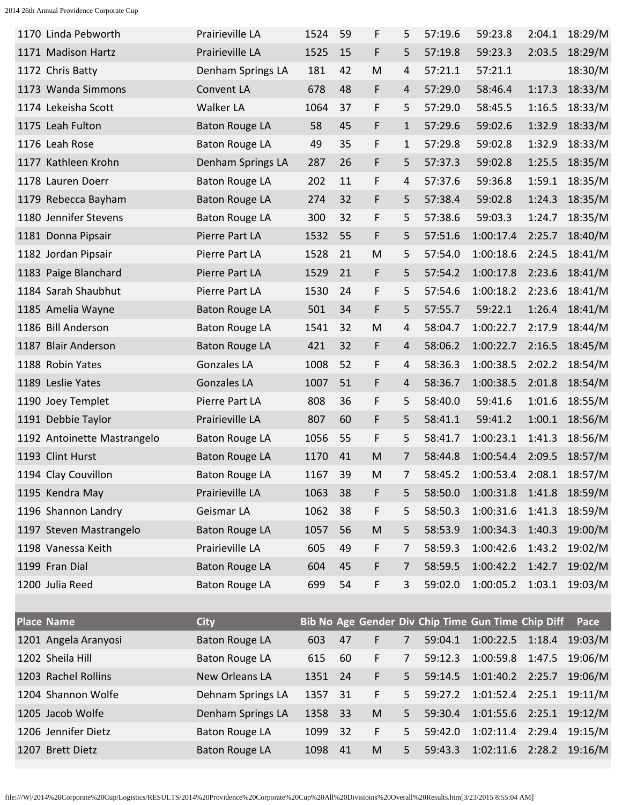| 1170 Linda Pebworth         | Prairieville LA       | 1524 | 59 | F         | 5            | 57:19.6 | 59:23.8                                            | 2:04.1 | 18:29/M |
|-----------------------------|-----------------------|------|----|-----------|--------------|---------|----------------------------------------------------|--------|---------|
| 1171 Madison Hartz          | Prairieville LA       | 1525 | 15 | F         | 5            | 57:19.8 | 59:23.3                                            | 2:03.5 | 18:29/M |
| 1172 Chris Batty            | Denham Springs LA     | 181  | 42 | M         | 4            | 57:21.1 | 57:21.1                                            |        | 18:30/M |
| 1173 Wanda Simmons          | Convent LA            | 678  | 48 | F         | 4            | 57:29.0 | 58:46.4                                            | 1:17.3 | 18:33/M |
| 1174 Lekeisha Scott         | Walker LA             | 1064 | 37 | F         | 5            | 57:29.0 | 58:45.5                                            | 1:16.5 | 18:33/M |
| 1175 Leah Fulton            | <b>Baton Rouge LA</b> | 58   | 45 | F         | $\mathbf{1}$ | 57:29.6 | 59:02.6                                            | 1:32.9 | 18:33/M |
| 1176 Leah Rose              | <b>Baton Rouge LA</b> | 49   | 35 | F         | 1            | 57:29.8 | 59:02.8                                            | 1:32.9 | 18:33/M |
| 1177 Kathleen Krohn         | Denham Springs LA     | 287  | 26 | F         | 5            | 57:37.3 | 59:02.8                                            | 1:25.5 | 18:35/M |
| 1178 Lauren Doerr           | <b>Baton Rouge LA</b> | 202  | 11 | F         | 4            | 57:37.6 | 59:36.8                                            | 1:59.1 | 18:35/M |
| 1179 Rebecca Bayham         | <b>Baton Rouge LA</b> | 274  | 32 | F         | 5            | 57:38.4 | 59:02.8                                            | 1:24.3 | 18:35/M |
| 1180 Jennifer Stevens       | <b>Baton Rouge LA</b> | 300  | 32 | F         | 5            | 57:38.6 | 59:03.3                                            | 1:24.7 | 18:35/M |
| 1181 Donna Pipsair          | Pierre Part LA        | 1532 | 55 | F         | 5            | 57:51.6 | 1:00:17.4                                          | 2:25.7 | 18:40/M |
| 1182 Jordan Pipsair         | Pierre Part LA        | 1528 | 21 | M         | 5            | 57:54.0 | 1:00:18.6                                          | 2:24.5 | 18:41/M |
| 1183 Paige Blanchard        | Pierre Part LA        | 1529 | 21 | F         | 5            | 57:54.2 | 1:00:17.8                                          | 2:23.6 | 18:41/M |
| 1184 Sarah Shaubhut         | Pierre Part LA        | 1530 | 24 | F         | 5            | 57:54.6 | 1:00:18.2                                          | 2:23.6 | 18:41/M |
| 1185 Amelia Wayne           | <b>Baton Rouge LA</b> | 501  | 34 | F         | 5            | 57:55.7 | 59:22.1                                            | 1:26.4 | 18:41/M |
| 1186 Bill Anderson          | <b>Baton Rouge LA</b> | 1541 | 32 | M         | 4            | 58:04.7 | 1:00:22.7                                          | 2:17.9 | 18:44/M |
| 1187 Blair Anderson         | <b>Baton Rouge LA</b> | 421  | 32 | F         | 4            | 58:06.2 | 1:00:22.7                                          | 2:16.5 | 18:45/M |
| 1188 Robin Yates            | <b>Gonzales LA</b>    | 1008 | 52 | F         | 4            | 58:36.3 | 1:00:38.5                                          | 2:02.2 | 18:54/M |
| 1189 Leslie Yates           | <b>Gonzales LA</b>    | 1007 | 51 | F         | 4            | 58:36.7 | 1:00:38.5                                          | 2:01.8 | 18:54/M |
| 1190 Joey Templet           | Pierre Part LA        | 808  | 36 | F         | 5            | 58:40.0 | 59:41.6                                            | 1:01.6 | 18:55/M |
| 1191 Debbie Taylor          | Prairieville LA       | 807  | 60 | F         | 5            | 58:41.1 | 59:41.2                                            | 1:00.1 | 18:56/M |
| 1192 Antoinette Mastrangelo | <b>Baton Rouge LA</b> | 1056 | 55 | F         | 5            | 58:41.7 | 1:00:23.1                                          | 1:41.3 | 18:56/M |
| 1193 Clint Hurst            | <b>Baton Rouge LA</b> | 1170 | 41 | M         | 7            | 58:44.8 | 1:00:54.4                                          | 2:09.5 | 18:57/M |
| 1194 Clay Couvillon         | <b>Baton Rouge LA</b> | 1167 | 39 | M         | 7            | 58:45.2 | 1:00:53.4                                          | 2:08.1 | 18:57/M |
| 1195 Kendra May             | Prairieville LA       | 1063 | 38 | F         | 5            | 58:50.0 | 1:00:31.8                                          | 1:41.8 | 18:59/M |
| 1196 Shannon Landry         | Geismar LA            | 1062 | 38 | F         | 5            | 58:50.3 | 1:00:31.6                                          | 1:41.3 | 18:59/M |
| 1197 Steven Mastrangelo     | <b>Baton Rouge LA</b> | 1057 | 56 | M         | 5            | 58:53.9 | 1:00:34.3                                          | 1:40.3 | 19:00/M |
| 1198 Vanessa Keith          | Prairieville LA       | 605  | 49 | F         | 7            | 58:59.3 | 1:00:42.6                                          | 1:43.2 | 19:02/M |
| 1199 Fran Dial              | <b>Baton Rouge LA</b> | 604  | 45 | F         | 7            | 58:59.5 | 1:00:42.2                                          | 1:42.7 | 19:02/M |
| 1200 Julia Reed             | <b>Baton Rouge LA</b> | 699  | 54 | F         | 3            | 59:02.0 | 1:00:05.2  1:03.1  19:03/M                         |        |         |
|                             |                       |      |    |           |              |         |                                                    |        |         |
| <b>Place Name</b>           | <b>City</b>           |      |    |           |              |         | Bib No Age Gender Div Chip Time Gun Time Chip Diff |        | Pace    |
| 1201 Angela Aranyosi        | <b>Baton Rouge LA</b> | 603  | 47 | F         | 7            | 59:04.1 | 1:00:22.5                                          | 1:18.4 | 19:03/M |
| 1202 Sheila Hill            | <b>Baton Rouge LA</b> | 615  | 60 | F         | 7            | 59:12.3 | 1:00:59.8                                          | 1:47.5 | 19:06/M |
| 1203 Rachel Rollins         | New Orleans LA        | 1351 | 24 | F         | 5            | 59:14.5 | 1:01:40.2                                          | 2:25.7 | 19:06/M |
| 1204 Shannon Wolfe          | Dehnam Springs LA     | 1357 | 31 | F         | 5            | 59:27.2 | 1:01:52.4                                          | 2:25.1 | 19:11/M |
| 1205 Jacob Wolfe            | Denham Springs LA     | 1358 | 33 | ${\sf M}$ | 5            | 59:30.4 | 1:01:55.6                                          | 2:25.1 | 19:12/M |
| 1206 Jennifer Dietz         | <b>Baton Rouge LA</b> | 1099 | 32 | F         | 5            | 59:42.0 | 1:02:11.4                                          | 2:29.4 | 19:15/M |
| 1207 Brett Dietz            |                       |      |    |           |              |         |                                                    |        |         |

file:///W|/2014%20Corporate%20Cup/Logistics/RESULTS/2014%20Providence%20Corporate%20Cup%20All%20Divisioins%20Overall%20Results.htm[3/23/2015 8:55:04 AM]